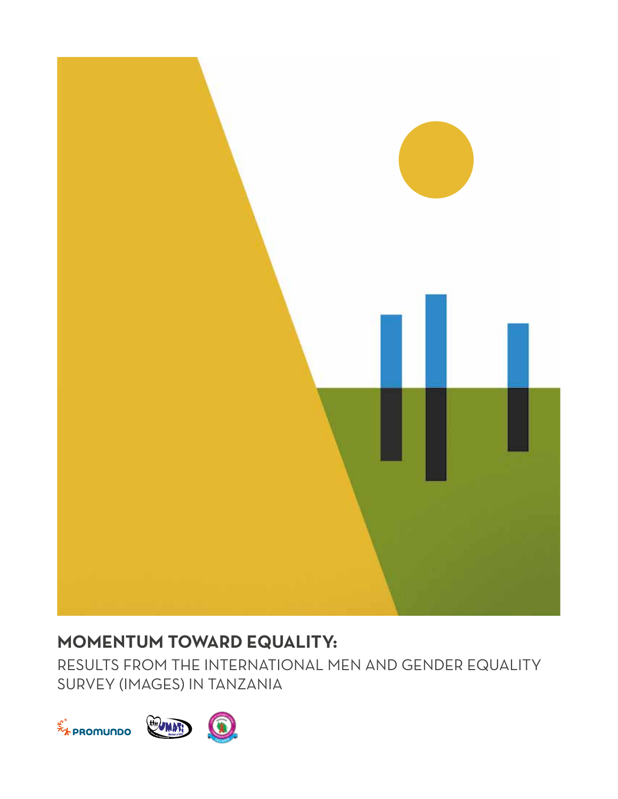

# **MOMENTUM TOWARD EQUALITY:**

RESULTS FROM THE INTERNATIONAL MEN AND GENDER EQUALITY SURVEY (IMAGES) IN TANZANIA

![](_page_0_Picture_3.jpeg)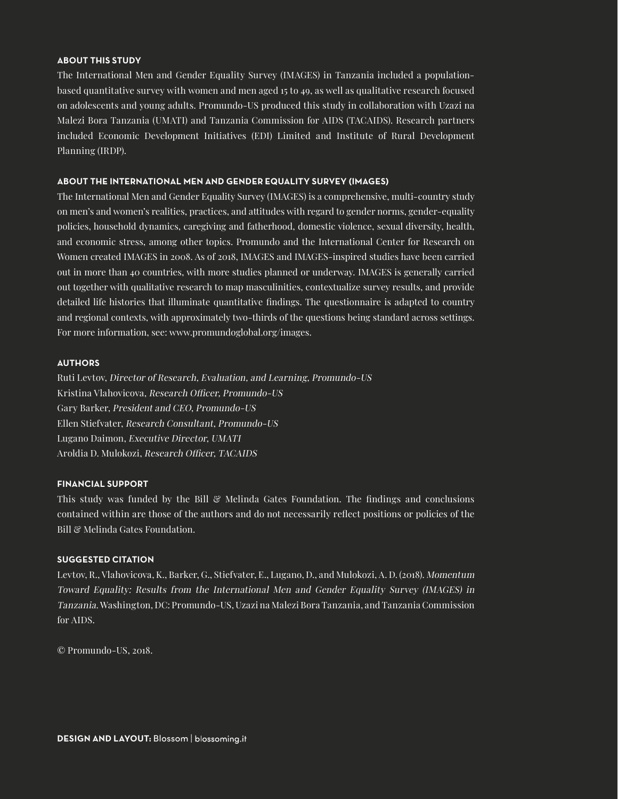#### **ABOUT THIS STUDY**

The International Men and Gender Equality Survey (IMAGES) in Tanzania included a populationbased quantitative survey with women and men aged 15 to 49, as well as qualitative research focused on adolescents and young adults. Promundo-US produced this study in collaboration with Uzazi na Malezi Bora Tanzania (UMATI) and Tanzania Commission for AIDS (TACAIDS). Research partners included Economic Development Initiatives (EDI) Limited and Institute of Rural Development Planning (IRDP).

#### **ABOUT THE INTERNATIONAL MEN AND GENDER EQUALITY SURVEY (IMAGES)**

The International Men and Gender Equality Survey (IMAGES) is a comprehensive, multi-country study on men's and women's realities, practices, and attitudes with regard to gender norms, gender-equality policies, household dynamics, caregiving and fatherhood, domestic violence, sexual diversity, health, and economic stress, among other topics. Promundo and the International Center for Research on Women created IMAGES in 2008. As of 2018, IMAGES and IMAGES-inspired studies have been carried out in more than 40 countries, with more studies planned or underway. IMAGES is generally carried out together with qualitative research to map masculinities, contextualize survey results, and provide detailed life histories that illuminate quantitative findings. The questionnaire is adapted to country and regional contexts, with approximately two-thirds of the questions being standard across settings. For more information, see: www.promundoglobal.org/images.

#### **AUTHORS**

Ruti Levtov, Director of Research, Evaluation, and Learning, Promundo-US Kristina Vlahovicova, Research Officer, Promundo-US Gary Barker, President and CEO, Promundo-US Ellen Stiefvater, Research Consultant, Promundo-US Lugano Daimon, Executive Director, UMATI Aroldia D. Mulokozi, Research Officer, TACAIDS

#### **FINANCIAL SUPPORT**

This study was funded by the Bill  $\mathcal C$  Melinda Gates Foundation. The findings and conclusions contained within are those of the authors and do not necessarily reflect positions or policies of the Bill & Melinda Gates Foundation.

#### **SUGGESTED CITATION**

Levtov, R., Vlahovicova, K., Barker, G., Stiefvater, E., Lugano, D., and Mulokozi, A. D. (2018). Momentum Toward Equality: Results from the International Men and Gender Equality Survey (IMAGES) in Tanzania. Washington, DC: Promundo-US, Uzazi na Malezi Bora Tanzania, and Tanzania Commission for AIDS.

© Promundo-US, 2018.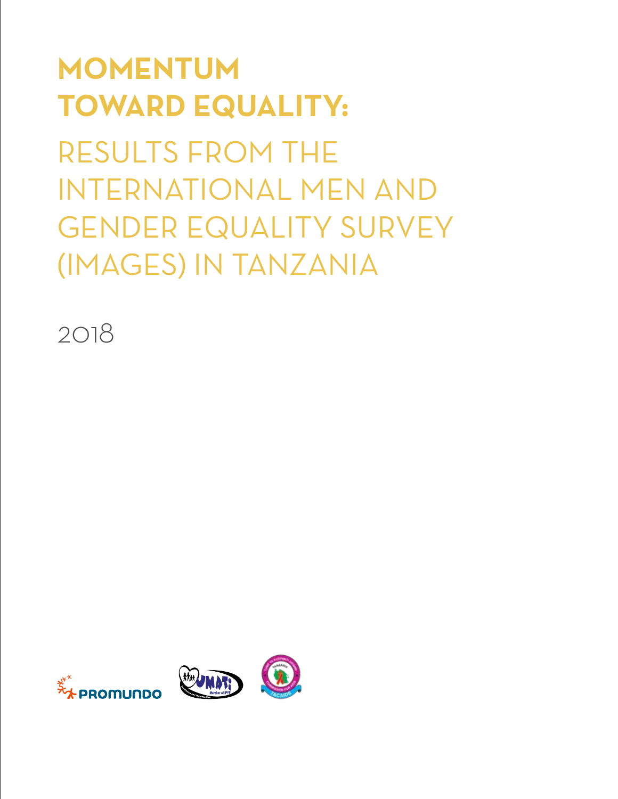# **MOMENTUM TOWARD EQUALITY:**

RESULTS FROM THE INTERNATIONAL MEN AND GENDER EQUALITY SURVEY (IMAGES) IN TANZANIA

2018

![](_page_2_Picture_3.jpeg)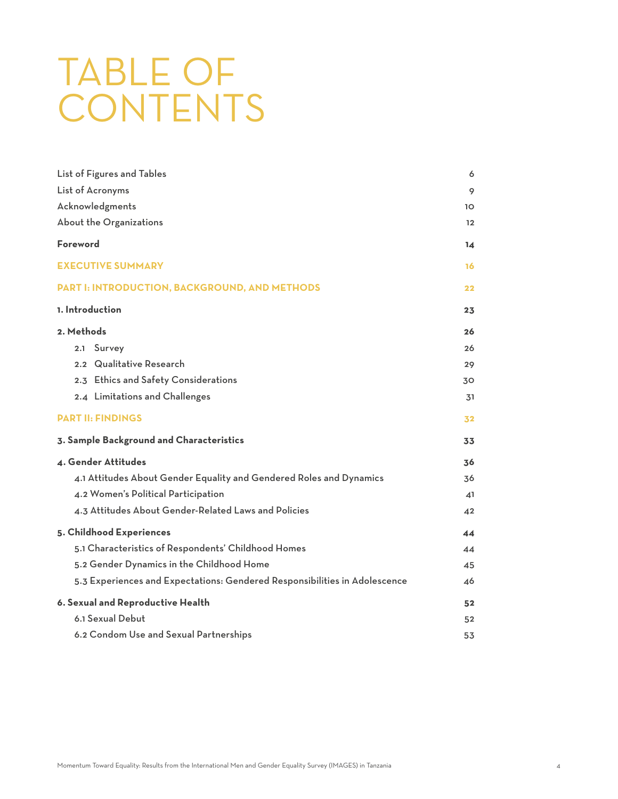# TABLE OF **CONTENTS**

| List of Figures and Tables                                                 | 6  |
|----------------------------------------------------------------------------|----|
| List of Acronyms                                                           | 9  |
| Acknowledgments                                                            | 10 |
| About the Organizations                                                    | 12 |
| <b>Foreword</b>                                                            | 14 |
| <b>EXECUTIVE SUMMARY</b>                                                   | 16 |
| PART I: INTRODUCTION, BACKGROUND, AND METHODS                              | 22 |
| 1. Introduction                                                            | 23 |
| 2. Methods                                                                 | 26 |
| 2.1 Survey                                                                 | 26 |
| 2.2 Qualitative Research                                                   | 29 |
| 2.3 Ethics and Safety Considerations                                       | 30 |
| 2.4 Limitations and Challenges                                             | 31 |
| <b>PART II: FINDINGS</b>                                                   | 32 |
| 3. Sample Background and Characteristics                                   | 33 |
| 4. Gender Attitudes                                                        | 36 |
| 4.1 Attitudes About Gender Equality and Gendered Roles and Dynamics        | 36 |
| 4.2 Women's Political Participation                                        | 41 |
| 4.3 Attitudes About Gender-Related Laws and Policies                       | 42 |
| 5. Childhood Experiences                                                   | 44 |
| 5.1 Characteristics of Respondents' Childhood Homes                        | 44 |
| 5.2 Gender Dynamics in the Childhood Home                                  | 45 |
| 5.3 Experiences and Expectations: Gendered Responsibilities in Adolescence | 46 |
| 6. Sexual and Reproductive Health                                          | 52 |
| 6.1 Sexual Debut                                                           | 52 |
| 6.2 Condom Use and Sexual Partnerships                                     | 53 |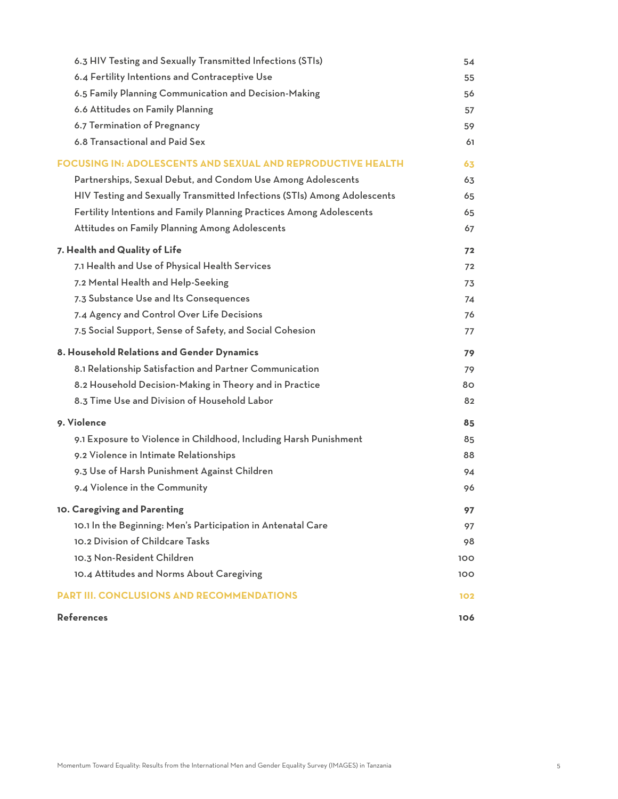| 6.3 HIV Testing and Sexually Transmitted Infections (STIs)               | 54   |
|--------------------------------------------------------------------------|------|
| 6.4 Fertility Intentions and Contraceptive Use                           | 55   |
| 6.5 Family Planning Communication and Decision-Making                    | 56   |
| 6.6 Attitudes on Family Planning                                         | 57   |
| 6.7 Termination of Pregnancy                                             | 59   |
| 6.8 Transactional and Paid Sex                                           | 61   |
| <b>FOCUSING IN: ADOLESCENTS AND SEXUAL AND REPRODUCTIVE HEALTH</b>       | 63   |
| Partnerships, Sexual Debut, and Condom Use Among Adolescents             | 63   |
| HIV Testing and Sexually Transmitted Infections (STIs) Among Adolescents | 65   |
| Fertility Intentions and Family Planning Practices Among Adolescents     | 65   |
| Attitudes on Family Planning Among Adolescents                           | 67   |
| 7. Health and Quality of Life                                            | 72   |
| 7.1 Health and Use of Physical Health Services                           | 72   |
| 7.2 Mental Health and Help-Seeking                                       | 73   |
| 7.3 Substance Use and Its Consequences                                   | 74   |
| 7.4 Agency and Control Over Life Decisions                               | 76   |
| 7.5 Social Support, Sense of Safety, and Social Cohesion                 | 77   |
| 8. Household Relations and Gender Dynamics                               | 79   |
| 8.1 Relationship Satisfaction and Partner Communication                  | 79   |
| 8.2 Household Decision-Making in Theory and in Practice                  | 80   |
| 8.3 Time Use and Division of Household Labor                             | 82   |
| 9. Violence                                                              | 85   |
| 9.1 Exposure to Violence in Childhood, Including Harsh Punishment        | 85   |
| 9.2 Violence in Intimate Relationships                                   | 88   |
| 9.3 Use of Harsh Punishment Against Children                             | 94   |
| 9.4 Violence in the Community                                            | 96   |
| 10. Caregiving and Parenting                                             | 97   |
| 10.1 In the Beginning: Men's Participation in Antenatal Care             | 97   |
| 10.2 Division of Childcare Tasks                                         | 98   |
| 10.3 Non-Resident Children                                               | 100  |
| 10.4 Attitudes and Norms About Caregiving                                | 100. |
| <b>PART III. CONCLUSIONS AND RECOMMENDATIONS</b>                         | 102  |
| <b>References</b>                                                        | 106  |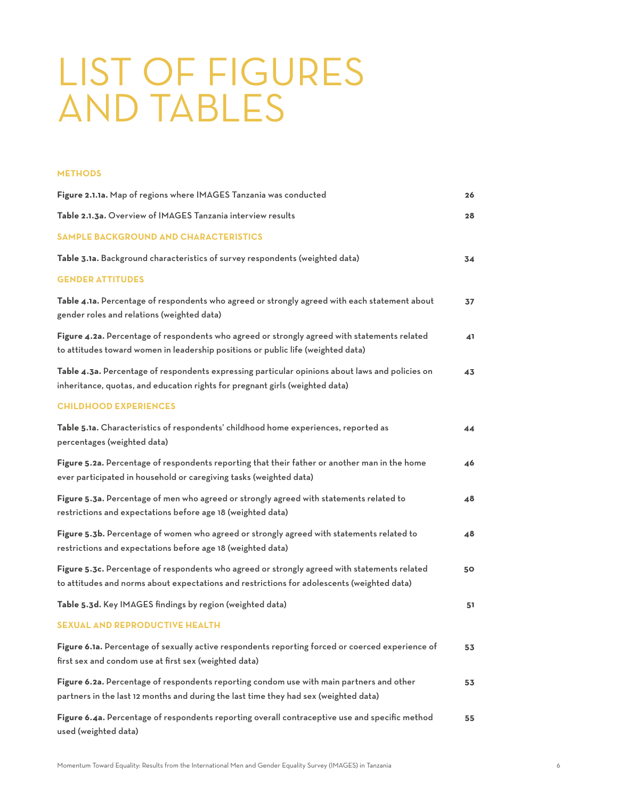# LIST OF FIGURES AND TABLES

#### **METHODS**

| Figure 2.1.1a. Map of regions where IMAGES Tanzania was conducted                                                                                                                          | 26 |
|--------------------------------------------------------------------------------------------------------------------------------------------------------------------------------------------|----|
| Table 2.1.3a. Overview of IMAGES Tanzania interview results                                                                                                                                | 28 |
| <b>SAMPLE BACKGROUND AND CHARACTERISTICS</b>                                                                                                                                               |    |
| Table 3.1a. Background characteristics of survey respondents (weighted data)                                                                                                               | 34 |
| <b>GENDER ATTITUDES</b>                                                                                                                                                                    |    |
| Table 4.1a. Percentage of respondents who agreed or strongly agreed with each statement about<br>gender roles and relations (weighted data)                                                | 37 |
| Figure 4.2a. Percentage of respondents who agreed or strongly agreed with statements related<br>to attitudes toward women in leadership positions or public life (weighted data)           | 41 |
| Table 4.3a. Percentage of respondents expressing particular opinions about laws and policies on<br>inheritance, quotas, and education rights for pregnant girls (weighted data)            | 43 |
| <b>CHILDHOOD EXPERIENCES</b>                                                                                                                                                               |    |
| Table 5.1a. Characteristics of respondents' childhood home experiences, reported as<br>percentages (weighted data)                                                                         | 44 |
| Figure 5.2a. Percentage of respondents reporting that their father or another man in the home<br>ever participated in household or caregiving tasks (weighted data)                        | 46 |
| Figure 5.3a. Percentage of men who agreed or strongly agreed with statements related to<br>restrictions and expectations before age 18 (weighted data)                                     | 48 |
| Figure 5.3b. Percentage of women who agreed or strongly agreed with statements related to<br>restrictions and expectations before age 18 (weighted data)                                   | 48 |
| Figure 5.3c. Percentage of respondents who agreed or strongly agreed with statements related<br>to attitudes and norms about expectations and restrictions for adolescents (weighted data) | 50 |
| Table 5.3d. Key IMAGES findings by region (weighted data)                                                                                                                                  | 51 |
| <b>SEXUAL AND REPRODUCTIVE HEALTH</b>                                                                                                                                                      |    |
| Figure 6.1a. Percentage of sexually active respondents reporting forced or coerced experience of<br>first sex and condom use at first sex (weighted data)                                  | 53 |
| Figure 6.2a. Percentage of respondents reporting condom use with main partners and other<br>partners in the last 12 months and during the last time they had sex (weighted data)           | 53 |
| Figure 6.4a. Percentage of respondents reporting overall contraceptive use and specific method<br>used (weighted data)                                                                     | 55 |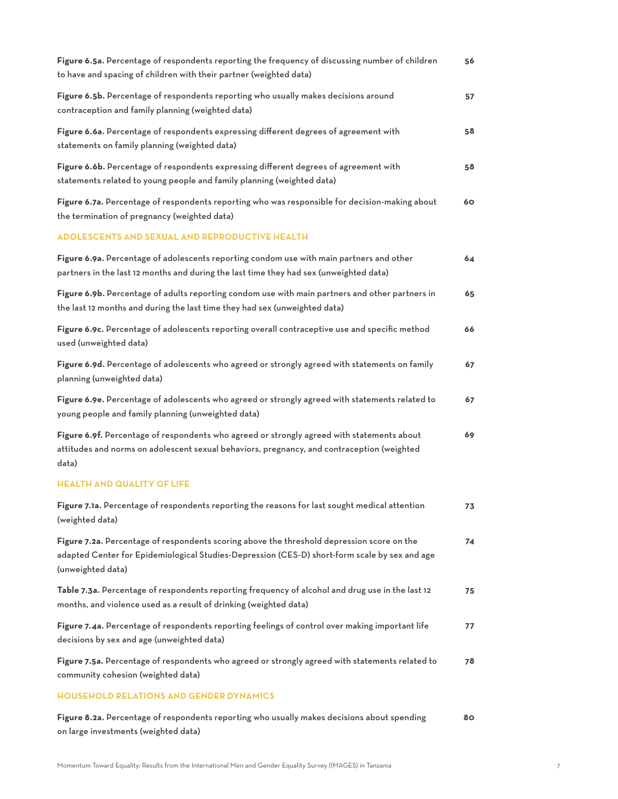| Figure 6.5a. Percentage of respondents reporting the frequency of discussing number of children<br>to have and spacing of children with their partner (weighted data)                                            | 56 |
|------------------------------------------------------------------------------------------------------------------------------------------------------------------------------------------------------------------|----|
| Figure 6.5b. Percentage of respondents reporting who usually makes decisions around<br>contraception and family planning (weighted data)                                                                         | 57 |
| Figure 6.6a. Percentage of respondents expressing different degrees of agreement with<br>statements on family planning (weighted data)                                                                           | 58 |
| Figure 6.6b. Percentage of respondents expressing different degrees of agreement with<br>statements related to young people and family planning (weighted data)                                                  | 58 |
| Figure 6.7a. Percentage of respondents reporting who was responsible for decision-making about<br>the termination of pregnancy (weighted data)                                                                   | 60 |
| <b>ADOLESCENTS AND SEXUAL AND REPRODUCTIVE HEALTH</b>                                                                                                                                                            |    |
| Figure 6.9a. Percentage of adolescents reporting condom use with main partners and other<br>partners in the last 12 months and during the last time they had sex (unweighted data)                               | 64 |
| Figure 6.9b. Percentage of adults reporting condom use with main partners and other partners in<br>the last 12 months and during the last time they had sex (unweighted data)                                    | 65 |
| Figure 6.9c. Percentage of adolescents reporting overall contraceptive use and specific method<br>used (unweighted data)                                                                                         | 66 |
| Figure 6.9d. Percentage of adolescents who agreed or strongly agreed with statements on family<br>planning (unweighted data)                                                                                     | 67 |
| Figure 6.9e. Percentage of adolescents who agreed or strongly agreed with statements related to<br>young people and family planning (unweighted data)                                                            | 67 |
| Figure 6.9f. Percentage of respondents who agreed or strongly agreed with statements about<br>attitudes and norms on adolescent sexual behaviors, pregnancy, and contraception (weighted<br>data)                | 69 |
| <b>HEALTH AND QUALITY OF LIFE</b>                                                                                                                                                                                |    |
| Figure 7.1a. Percentage of respondents reporting the reasons for last sought medical attention<br>(weighted data)                                                                                                | 73 |
| Figure 7.2a. Percentage of respondents scoring above the threshold depression score on the<br>adapted Center for Epidemiological Studies-Depression (CES-D) short-form scale by sex and age<br>(unweighted data) | 74 |
| Table 7.3a. Percentage of respondents reporting frequency of alcohol and drug use in the last 12<br>months, and violence used as a result of drinking (weighted data)                                            | 75 |
| Figure 7.4a. Percentage of respondents reporting feelings of control over making important life<br>decisions by sex and age (unweighted data)                                                                    | 77 |
| Figure 7.5a. Percentage of respondents who agreed or strongly agreed with statements related to<br>community cohesion (weighted data)                                                                            | 78 |
| <b>HOUSEHOLD RELATIONS AND GENDER DYNAMICS</b>                                                                                                                                                                   |    |
| Figure 8.2a. Percentage of respondents reporting who usually makes decisions about spending<br>on large investments (weighted data)                                                                              | 80 |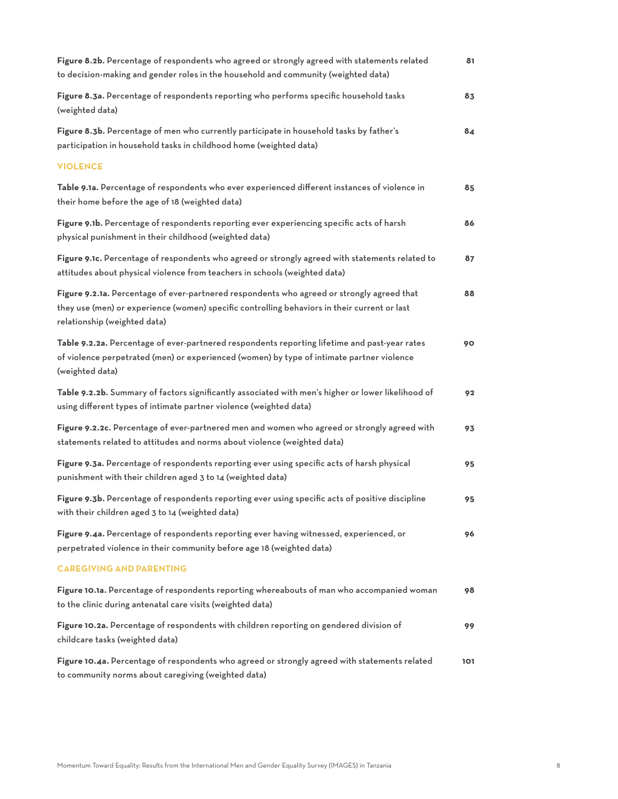| Figure 8.2b. Percentage of respondents who agreed or strongly agreed with statements related<br>to decision-making and gender roles in the household and community (weighted data)                                         | 81  |
|----------------------------------------------------------------------------------------------------------------------------------------------------------------------------------------------------------------------------|-----|
| Figure 8.3a. Percentage of respondents reporting who performs specific household tasks<br>(weighted data)                                                                                                                  | 83  |
| Figure 8.3b. Percentage of men who currently participate in household tasks by father's<br>participation in household tasks in childhood home (weighted data)                                                              | 84  |
| <b>VIOLENCE</b>                                                                                                                                                                                                            |     |
| Table 9.1a. Percentage of respondents who ever experienced different instances of violence in<br>their home before the age of 18 (weighted data)                                                                           | 85  |
| Figure 9.1b. Percentage of respondents reporting ever experiencing specific acts of harsh<br>physical punishment in their childhood (weighted data)                                                                        | 86  |
| Figure 9.1c. Percentage of respondents who agreed or strongly agreed with statements related to<br>attitudes about physical violence from teachers in schools (weighted data)                                              | 87  |
| Figure 9.2.1a. Percentage of ever-partnered respondents who agreed or strongly agreed that<br>they use (men) or experience (women) specific controlling behaviors in their current or last<br>relationship (weighted data) | 88  |
| Table 9.2.2a. Percentage of ever-partnered respondents reporting lifetime and past-year rates<br>of violence perpetrated (men) or experienced (women) by type of intimate partner violence<br>(weighted data)              | 90  |
| Table 9.2.2b. Summary of factors significantly associated with men's higher or lower likelihood of<br>using different types of intimate partner violence (weighted data)                                                   | 92  |
| Figure 9.2.2c. Percentage of ever-partnered men and women who agreed or strongly agreed with<br>statements related to attitudes and norms about violence (weighted data)                                                   | 93  |
| Figure 9.3a. Percentage of respondents reporting ever using specific acts of harsh physical<br>punishment with their children aged 3 to 14 (weighted data)                                                                 | 95  |
| Figure 9.3b. Percentage of respondents reporting ever using specific acts of positive discipline<br>with their children aged 3 to 14 (weighted data)                                                                       | 95  |
| Figure 9.4a. Percentage of respondents reporting ever having witnessed, experienced, or<br>perpetrated violence in their community before age 18 (weighted data)                                                           | 96  |
| <b>CAREGIVING AND PARENTING</b>                                                                                                                                                                                            |     |
| Figure 10.1a. Percentage of respondents reporting whereabouts of man who accompanied woman<br>to the clinic during antenatal care visits (weighted data)                                                                   | 98  |
| Figure 10.2a. Percentage of respondents with children reporting on gendered division of<br>childcare tasks (weighted data)                                                                                                 | 99  |
| Figure 10.4a. Percentage of respondents who agreed or strongly agreed with statements related<br>to community norms about caregiving (weighted data)                                                                       | 101 |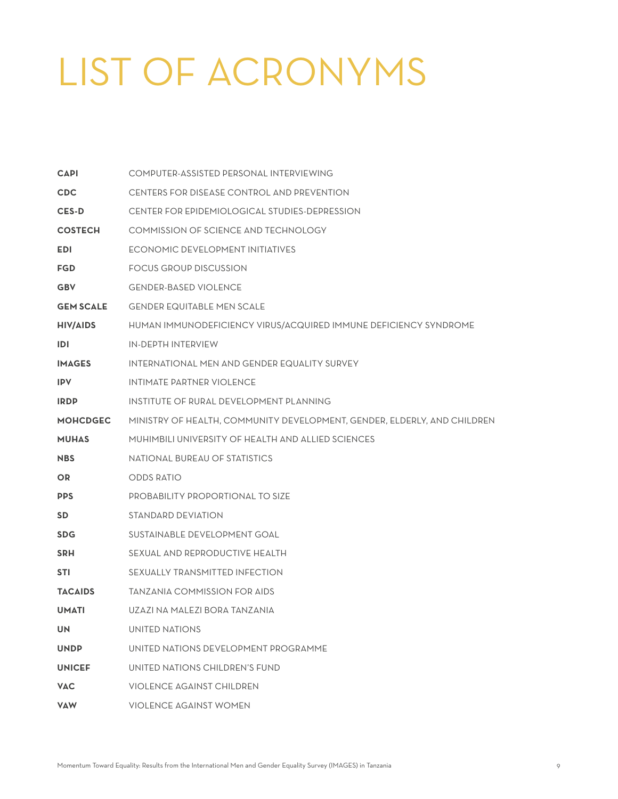# LIST OF ACRONYMS

| <b>CAPI</b>      | COMPUTER-ASSISTED PERSONAL INTERVIEWING                                  |
|------------------|--------------------------------------------------------------------------|
| <b>CDC</b>       | CENTERS FOR DISEASE CONTROL AND PREVENTION                               |
| <b>CES-D</b>     | CENTER FOR EPIDEMIOLOGICAL STUDIES-DEPRESSION                            |
| <b>COSTECH</b>   | COMMISSION OF SCIENCE AND TECHNOLOGY                                     |
| <b>EDI</b>       | ECONOMIC DEVELOPMENT INITIATIVES                                         |
| <b>FGD</b>       | FOCUS GROUP DISCUSSION                                                   |
| <b>GBV</b>       | <b>GENDER-BASED VIOLENCE</b>                                             |
| <b>GEM SCALE</b> | <b>GENDER EQUITABLE MEN SCALE</b>                                        |
| <b>HIV/AIDS</b>  | HUMAN IMMUNODEFICIENCY VIRUS/ACQUIRED IMMUNE DEFICIENCY SYNDROME         |
| IDI              | IN-DEPTH INTERVIEW                                                       |
| <b>IMAGES</b>    | INTERNATIONAL MEN AND GENDER EQUALITY SURVEY                             |
| <b>IPV</b>       | INTIMATE PARTNER VIOLENCE                                                |
| <b>IRDP</b>      | INSTITUTE OF RURAL DEVELOPMENT PLANNING                                  |
| <b>MOHCDGEC</b>  | MINISTRY OF HEALTH, COMMUNITY DEVELOPMENT, GENDER, ELDERLY, AND CHILDREN |
| <b>MUHAS</b>     | MUHIMBILI UNIVERSITY OF HEALTH AND ALLIED SCIENCES                       |
| <b>NBS</b>       | NATIONAL BUREAU OF STATISTICS                                            |
| <b>OR</b>        | <b>ODDS RATIO</b>                                                        |
| <b>PPS</b>       | PROBABILITY PROPORTIONAL TO SIZE                                         |
| <b>SD</b>        | STANDARD DEVIATION                                                       |
| <b>SDG</b>       | SUSTAINABLE DEVELOPMENT GOAL                                             |
| <b>SRH</b>       | SEXUAL AND REPRODUCTIVE HEALTH                                           |
| <b>STI</b>       | SEXUALLY TRANSMITTED INFECTION                                           |
| <b>TACAIDS</b>   | <b>TANZANIA COMMISSION FOR AIDS</b>                                      |
| <b>UMATI</b>     | UZAZI NA MALEZI BORA TANZANIA                                            |
| UN.              | UNITED NATIONS                                                           |
| <b>UNDP</b>      | UNITED NATIONS DEVELOPMENT PROGRAMME                                     |
| <b>UNICEF</b>    | UNITED NATIONS CHILDREN'S FUND                                           |
| <b>VAC</b>       | <b>VIOLENCE AGAINST CHILDREN</b>                                         |
| <b>VAW</b>       | <b>VIOLENCE AGAINST WOMEN</b>                                            |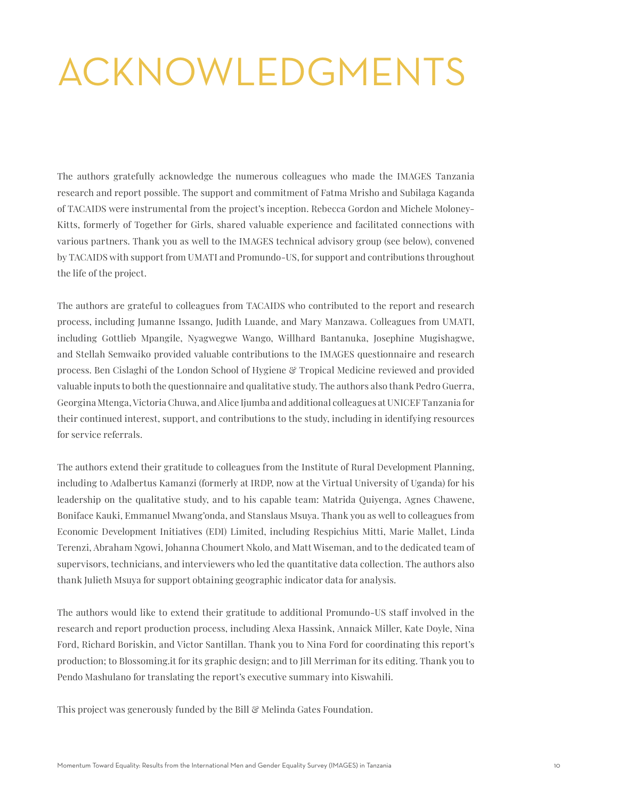# ACKNOWLEDGMENTS

The authors gratefully acknowledge the numerous colleagues who made the IMAGES Tanzania research and report possible. The support and commitment of Fatma Mrisho and Subilaga Kaganda of TACAIDS were instrumental from the project's inception. Rebecca Gordon and Michele Moloney-Kitts, formerly of Together for Girls, shared valuable experience and facilitated connections with various partners. Thank you as well to the IMAGES technical advisory group (see below), convened by TACAIDS with support from UMATI and Promundo-US, for support and contributions throughout the life of the project.

The authors are grateful to colleagues from TACAIDS who contributed to the report and research process, including Jumanne Issango, Judith Luande, and Mary Manzawa. Colleagues from UMATI, including Gottlieb Mpangile, Nyagwegwe Wango, Willhard Bantanuka, Josephine Mugishagwe, and Stellah Semwaiko provided valuable contributions to the IMAGES questionnaire and research process. Ben Cislaghi of the London School of Hygiene & Tropical Medicine reviewed and provided valuable inputs to both the questionnaire and qualitative study. The authors also thank Pedro Guerra, Georgina Mtenga, Victoria Chuwa, and Alice Ijumba and additional colleagues at UNICEF Tanzania for their continued interest, support, and contributions to the study, including in identifying resources for service referrals.

The authors extend their gratitude to colleagues from the Institute of Rural Development Planning, including to Adalbertus Kamanzi (formerly at IRDP, now at the Virtual University of Uganda) for his leadership on the qualitative study, and to his capable team: Matrida Quiyenga, Agnes Chawene, Boniface Kauki, Emmanuel Mwang'onda, and Stanslaus Msuya. Thank you as well to colleagues from Economic Development Initiatives (EDI) Limited, including Respichius Mitti, Marie Mallet, Linda Terenzi, Abraham Ngowi, Johanna Choumert Nkolo, and Matt Wiseman, and to the dedicated team of supervisors, technicians, and interviewers who led the quantitative data collection. The authors also thank Julieth Msuya for support obtaining geographic indicator data for analysis.

The authors would like to extend their gratitude to additional Promundo-US staff involved in the research and report production process, including Alexa Hassink, Annaick Miller, Kate Doyle, Nina Ford, Richard Boriskin, and Victor Santillan. Thank you to Nina Ford for coordinating this report's production; to Blossoming.it for its graphic design; and to Jill Merriman for its editing. Thank you to Pendo Mashulano for translating the report's executive summary into Kiswahili.

This project was generously funded by the Bill & Melinda Gates Foundation.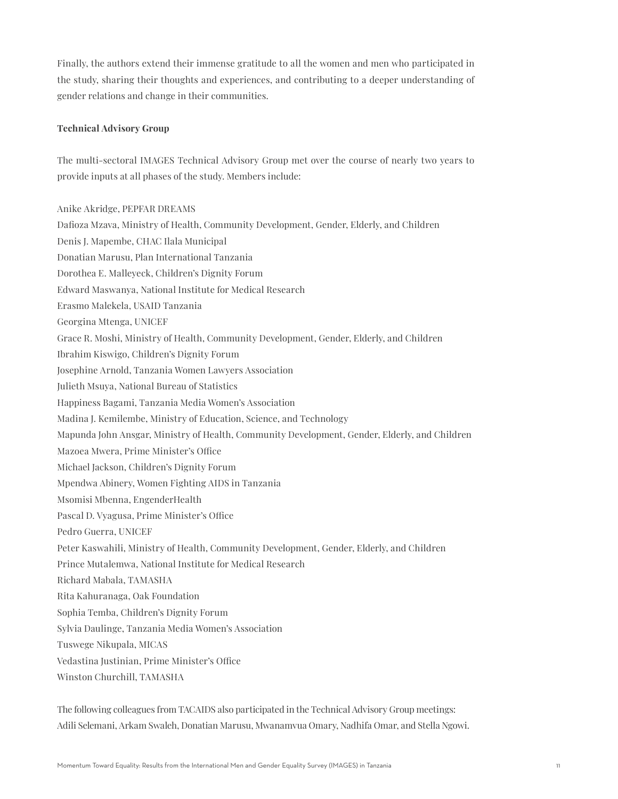Finally, the authors extend their immense gratitude to all the women and men who participated in the study, sharing their thoughts and experiences, and contributing to a deeper understanding of gender relations and change in their communities.

#### **Technical Advisory Group**

The multi-sectoral IMAGES Technical Advisory Group met over the course of nearly two years to provide inputs at all phases of the study. Members include:

Anike Akridge, PEPFAR DREAMS Dafioza Mzava, Ministry of Health, Community Development, Gender, Elderly, and Children Denis J. Mapembe, CHAC Ilala Municipal Donatian Marusu, Plan International Tanzania Dorothea E. Malleyeck, Children's Dignity Forum Edward Maswanya, National Institute for Medical Research Erasmo Malekela, USAID Tanzania Georgina Mtenga, UNICEF Grace R. Moshi, Ministry of Health, Community Development, Gender, Elderly, and Children Ibrahim Kiswigo, Children's Dignity Forum Josephine Arnold, Tanzania Women Lawyers Association Julieth Msuya, National Bureau of Statistics Happiness Bagami, Tanzania Media Women's Association Madina J. Kemilembe, Ministry of Education, Science, and Technology Mapunda John Ansgar, Ministry of Health, Community Development, Gender, Elderly, and Children Mazoea Mwera, Prime Minister's Office Michael Jackson, Children's Dignity Forum Mpendwa Abinery, Women Fighting AIDS in Tanzania Msomisi Mbenna, EngenderHealth Pascal D. Vyagusa, Prime Minister's Office Pedro Guerra, UNICEF Peter Kaswahili, Ministry of Health, Community Development, Gender, Elderly, and Children Prince Mutalemwa, National Institute for Medical Research Richard Mabala, TAMASHA Rita Kahuranaga, Oak Foundation Sophia Temba, Children's Dignity Forum Sylvia Daulinge, Tanzania Media Women's Association Tuswege Nikupala, MICAS Vedastina Justinian, Prime Minister's Office Winston Churchill, TAMASHA

The following colleagues from TACAIDS also participated in the Technical Advisory Group meetings: Adili Selemani, Arkam Swaleh, Donatian Marusu, Mwanamvua Omary, Nadhifa Omar, and Stella Ngowi.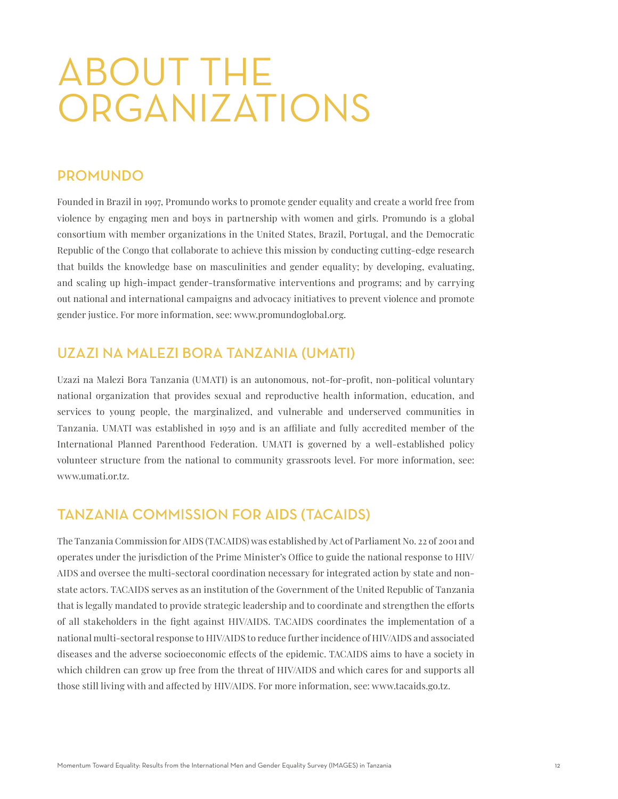# ABOUT THE ORGANIZATIONS

## PROMUNDO

Founded in Brazil in 1997, Promundo works to promote gender equality and create a world free from violence by engaging men and boys in partnership with women and girls. Promundo is a global consortium with member organizations in the United States, Brazil, Portugal, and the Democratic Republic of the Congo that collaborate to achieve this mission by conducting cutting-edge research that builds the knowledge base on masculinities and gender equality; by developing, evaluating, and scaling up high-impact gender-transformative interventions and programs; and by carrying out national and international campaigns and advocacy initiatives to prevent violence and promote gender justice. For more information, see: www.promundoglobal.org.

## UZAZI NA MALEZI BORA TANZANIA (UMATI)

Uzazi na Malezi Bora Tanzania (UMATI) is an autonomous, not-for-profit, non-political voluntary national organization that provides sexual and reproductive health information, education, and services to young people, the marginalized, and vulnerable and underserved communities in Tanzania. UMATI was established in 1959 and is an affiliate and fully accredited member of the International Planned Parenthood Federation. UMATI is governed by a well-established policy volunteer structure from the national to community grassroots level. For more information, see: www.umati.or.tz.

## TANZANIA COMMISSION FOR AIDS (TACAIDS)

The Tanzania Commission for AIDS (TACAIDS) was established by Act of Parliament No. 22 of 2001 and operates under the jurisdiction of the Prime Minister's Office to guide the national response to HIV/ AIDS and oversee the multi-sectoral coordination necessary for integrated action by state and nonstate actors. TACAIDS serves as an institution of the Government of the United Republic of Tanzania that is legally mandated to provide strategic leadership and to coordinate and strengthen the efforts of all stakeholders in the fight against HIV/AIDS. TACAIDS coordinates the implementation of a national multi-sectoral response to HIV/AIDS to reduce further incidence of HIV/AIDS and associated diseases and the adverse socioeconomic effects of the epidemic. TACAIDS aims to have a society in which children can grow up free from the threat of HIV/AIDS and which cares for and supports all those still living with and affected by HIV/AIDS. For more information, see: www.tacaids.go.tz.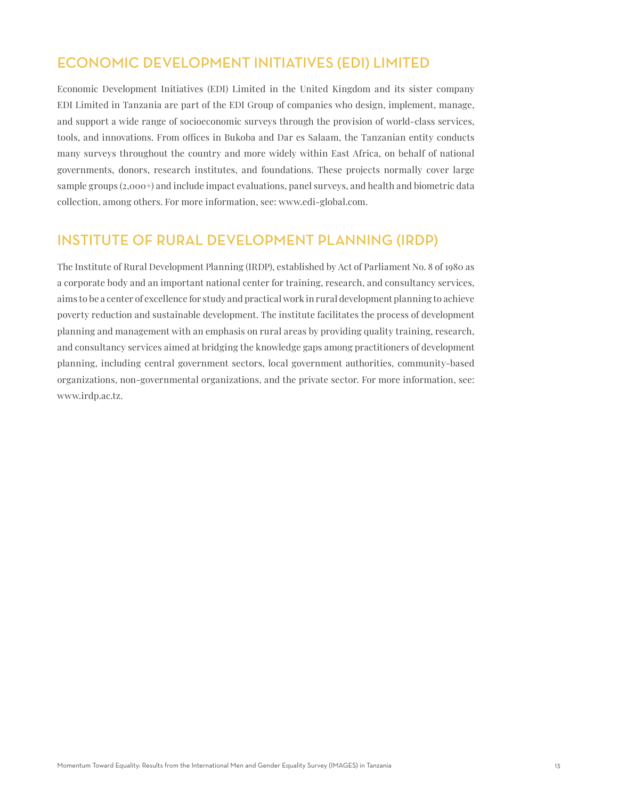# ECONOMIC DEVELOPMENT INITIATIVES (EDI) LIMITED

Economic Development Initiatives (EDI) Limited in the United Kingdom and its sister company EDI Limited in Tanzania are part of the EDI Group of companies who design, implement, manage, and support a wide range of socioeconomic surveys through the provision of world-class services, tools, and innovations. From offices in Bukoba and Dar es Salaam, the Tanzanian entity conducts many surveys throughout the country and more widely within East Africa, on behalf of national governments, donors, research institutes, and foundations. These projects normally cover large sample groups (2,000+) and include impact evaluations, panel surveys, and health and biometric data collection, among others. For more information, see: www.edi-global.com.

## INSTITUTE OF RURAL DEVELOPMENT PLANNING (IRDP)

The Institute of Rural Development Planning (IRDP), established by Act of Parliament No. 8 of 1980 as a corporate body and an important national center for training, research, and consultancy services, aims to be a center of excellence for study and practical work in rural development planning to achieve poverty reduction and sustainable development. The institute facilitates the process of development planning and management with an emphasis on rural areas by providing quality training, research, and consultancy services aimed at bridging the knowledge gaps among practitioners of development planning, including central government sectors, local government authorities, community-based organizations, non-governmental organizations, and the private sector. For more information, see: www.irdp.ac.tz.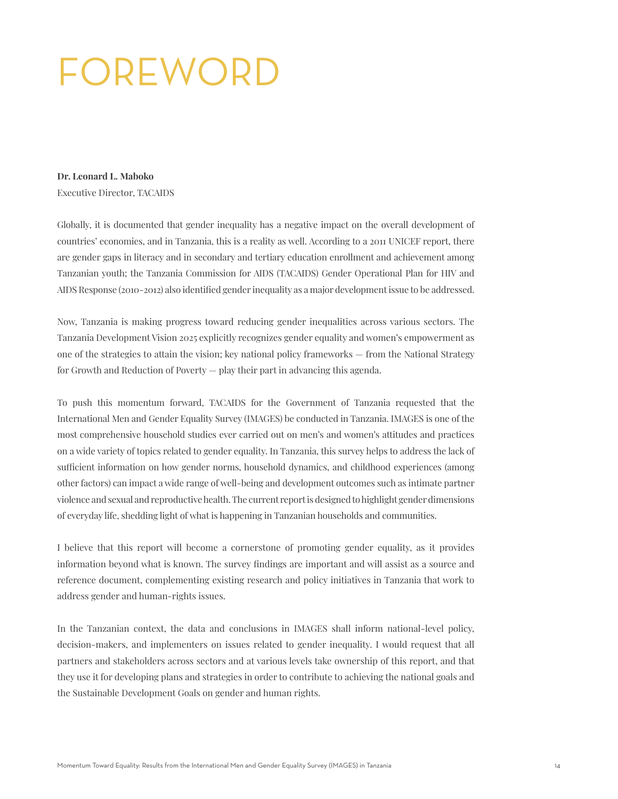# FOREWORD

#### **Dr. Leonard L. Maboko**

Executive Director, TACAIDS

Globally, it is documented that gender inequality has a negative impact on the overall development of countries' economies, and in Tanzania, this is a reality as well. According to a 2011 UNICEF report, there are gender gaps in literacy and in secondary and tertiary education enrollment and achievement among Tanzanian youth; the Tanzania Commission for AIDS (TACAIDS) Gender Operational Plan for HIV and AIDS Response (2010-2012) also identified gender inequality as a major development issue to be addressed.

Now, Tanzania is making progress toward reducing gender inequalities across various sectors. The Tanzania Development Vision 2025 explicitly recognizes gender equality and women's empowerment as one of the strategies to attain the vision; key national policy frameworks — from the National Strategy for Growth and Reduction of Poverty — play their part in advancing this agenda.

To push this momentum forward, TACAIDS for the Government of Tanzania requested that the International Men and Gender Equality Survey (IMAGES) be conducted in Tanzania. IMAGES is one of the most comprehensive household studies ever carried out on men's and women's attitudes and practices on a wide variety of topics related to gender equality. In Tanzania, this survey helps to address the lack of sufficient information on how gender norms, household dynamics, and childhood experiences (among other factors) can impact a wide range of well-being and development outcomes such as intimate partner violence and sexual and reproductive health. The current report is designed to highlight gender dimensions of everyday life, shedding light of what is happening in Tanzanian households and communities.

I believe that this report will become a cornerstone of promoting gender equality, as it provides information beyond what is known. The survey findings are important and will assist as a source and reference document, complementing existing research and policy initiatives in Tanzania that work to address gender and human-rights issues.

In the Tanzanian context, the data and conclusions in IMAGES shall inform national-level policy, decision-makers, and implementers on issues related to gender inequality. I would request that all partners and stakeholders across sectors and at various levels take ownership of this report, and that they use it for developing plans and strategies in order to contribute to achieving the national goals and the Sustainable Development Goals on gender and human rights.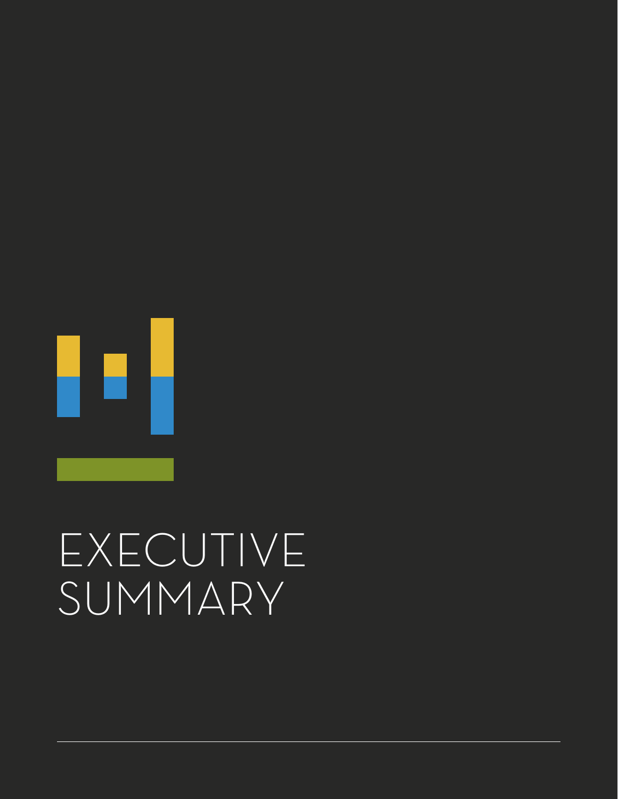![](_page_15_Picture_0.jpeg)

# EXECUTIVE SUMMARY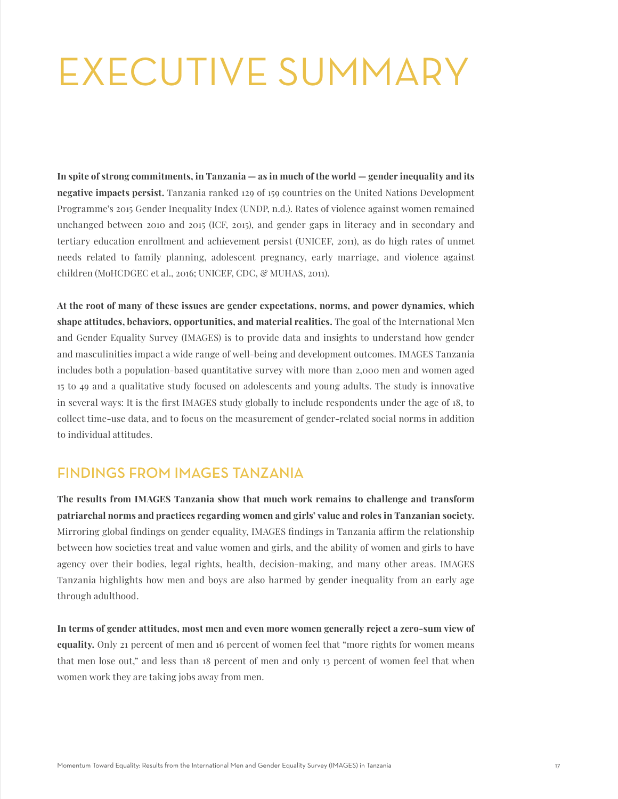# EXECUTIVE SUMMARY

**In spite of strong commitments, in Tanzania — as in much of the world — gender inequality and its negative impacts persist.** Tanzania ranked 129 of 159 countries on the United Nations Development Programme's 2015 Gender Inequality Index (UNDP, n.d.). Rates of violence against women remained unchanged between 2010 and 2015 (ICF, 2015), and gender gaps in literacy and in secondary and tertiary education enrollment and achievement persist (UNICEF, 2011), as do high rates of unmet needs related to family planning, adolescent pregnancy, early marriage, and violence against children (MoHCDGEC et al., 2016; UNICEF, CDC, & MUHAS, 2011).

**At the root of many of these issues are gender expectations, norms, and power dynamics, which shape attitudes, behaviors, opportunities, and material realities.** The goal of the International Men and Gender Equality Survey (IMAGES) is to provide data and insights to understand how gender and masculinities impact a wide range of well-being and development outcomes. IMAGES Tanzania includes both a population-based quantitative survey with more than 2,000 men and women aged 15 to 49 and a qualitative study focused on adolescents and young adults. The study is innovative in several ways: It is the first IMAGES study globally to include respondents under the age of 18, to collect time-use data, and to focus on the measurement of gender-related social norms in addition to individual attitudes.

### FINDINGS FROM IMAGES TANZANIA

**The results from IMAGES Tanzania show that much work remains to challenge and transform patriarchal norms and practices regarding women and girls' value and roles in Tanzanian society.** Mirroring global findings on gender equality, IMAGES findings in Tanzania affirm the relationship between how societies treat and value women and girls, and the ability of women and girls to have agency over their bodies, legal rights, health, decision-making, and many other areas. IMAGES Tanzania highlights how men and boys are also harmed by gender inequality from an early age through adulthood.

**In terms of gender attitudes, most men and even more women generally reject a zero-sum view of equality.** Only 21 percent of men and 16 percent of women feel that "more rights for women means that men lose out," and less than 18 percent of men and only 13 percent of women feel that when women work they are taking jobs away from men.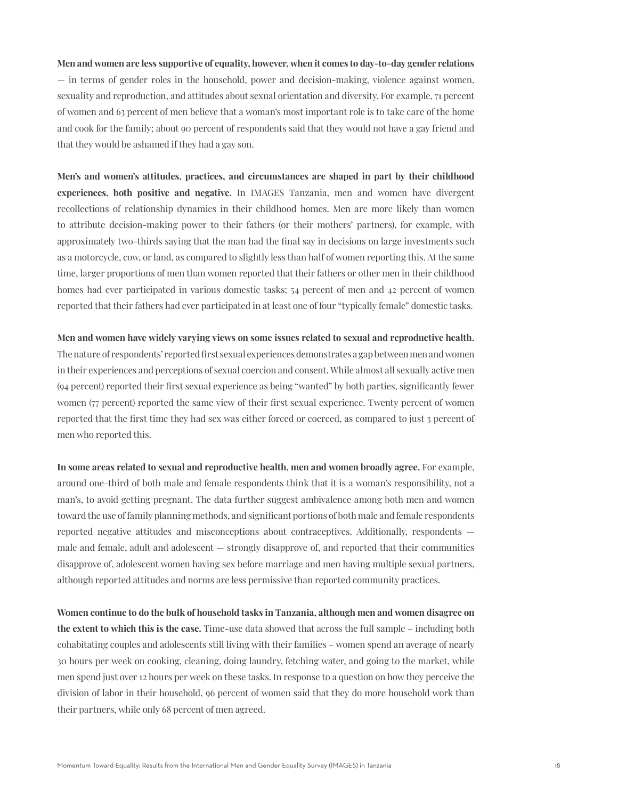### **Men and women are less supportive of equality, however, when it comes to day-to-day gender relations** — in terms of gender roles in the household, power and decision-making, violence against women, sexuality and reproduction, and attitudes about sexual orientation and diversity. For example, 71 percent of women and 63 percent of men believe that a woman's most important role is to take care of the home and cook for the family; about 90 percent of respondents said that they would not have a gay friend and that they would be ashamed if they had a gay son.

**Men's and women's attitudes, practices, and circumstances are shaped in part by their childhood experiences, both positive and negative.** In IMAGES Tanzania, men and women have divergent recollections of relationship dynamics in their childhood homes. Men are more likely than women to attribute decision-making power to their fathers (or their mothers' partners), for example, with approximately two-thirds saying that the man had the final say in decisions on large investments such as a motorcycle, cow, or land, as compared to slightly less than half of women reporting this. At the same time, larger proportions of men than women reported that their fathers or other men in their childhood homes had ever participated in various domestic tasks; 54 percent of men and 42 percent of women reported that their fathers had ever participated in at least one of four "typically female" domestic tasks.

### **Men and women have widely varying views on some issues related to sexual and reproductive health.** The nature of respondents' reported first sexual experiences demonstrates a gap between men and women in their experiences and perceptions of sexual coercion and consent. While almost all sexually active men (94 percent) reported their first sexual experience as being "wanted" by both parties, significantly fewer women (77 percent) reported the same view of their first sexual experience. Twenty percent of women reported that the first time they had sex was either forced or coerced, as compared to just 3 percent of men who reported this.

**In some areas related to sexual and reproductive health, men and women broadly agree.** For example, around one-third of both male and female respondents think that it is a woman's responsibility, not a man's, to avoid getting pregnant. The data further suggest ambivalence among both men and women toward the use of family planning methods, and significant portions of both male and female respondents reported negative attitudes and misconceptions about contraceptives. Additionally, respondents male and female, adult and adolescent — strongly disapprove of, and reported that their communities disapprove of, adolescent women having sex before marriage and men having multiple sexual partners, although reported attitudes and norms are less permissive than reported community practices.

**Women continue to do the bulk of household tasks in Tanzania, although men and women disagree on the extent to which this is the case.** Time-use data showed that across the full sample – including both cohabitating couples and adolescents still living with their families – women spend an average of nearly 30 hours per week on cooking, cleaning, doing laundry, fetching water, and going to the market, while men spend just over 12 hours per week on these tasks. In response to a question on how they perceive the division of labor in their household, 96 percent of women said that they do more household work than their partners, while only 68 percent of men agreed.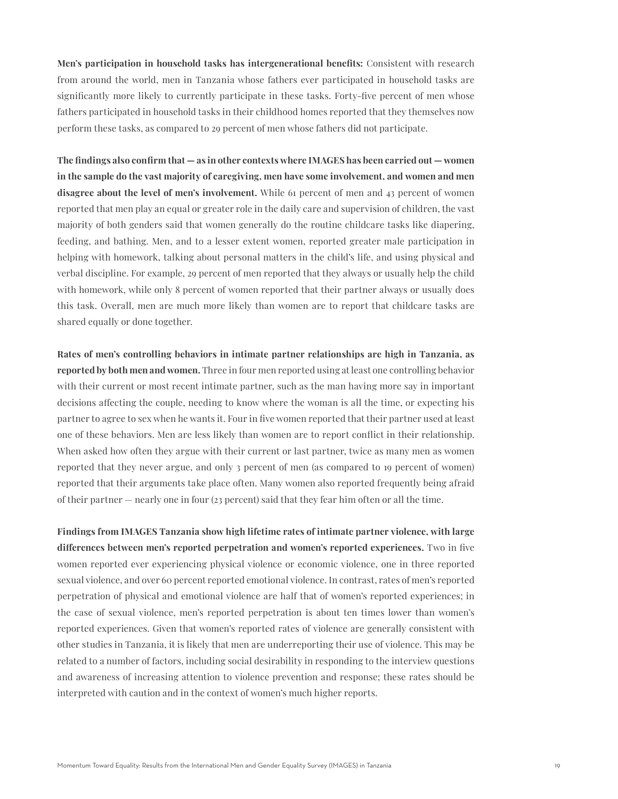**Men's participation in household tasks has intergenerational benefits:** Consistent with research from around the world, men in Tanzania whose fathers ever participated in household tasks are significantly more likely to currently participate in these tasks. Forty-five percent of men whose fathers participated in household tasks in their childhood homes reported that they themselves now perform these tasks, as compared to 29 percent of men whose fathers did not participate.

**The findings also confirm that — as in other contexts where IMAGES has been carried out — women in the sample do the vast majority of caregiving, men have some involvement, and women and men disagree about the level of men's involvement.** While 61 percent of men and 43 percent of women reported that men play an equal or greater role in the daily care and supervision of children, the vast majority of both genders said that women generally do the routine childcare tasks like diapering, feeding, and bathing. Men, and to a lesser extent women, reported greater male participation in helping with homework, talking about personal matters in the child's life, and using physical and verbal discipline. For example, 29 percent of men reported that they always or usually help the child with homework, while only 8 percent of women reported that their partner always or usually does this task. Overall, men are much more likely than women are to report that childcare tasks are shared equally or done together.

**Rates of men's controlling behaviors in intimate partner relationships are high in Tanzania, as reported by both men and women.** Three in four men reported using at least one controlling behavior with their current or most recent intimate partner, such as the man having more say in important decisions affecting the couple, needing to know where the woman is all the time, or expecting his partner to agree to sex when he wants it. Four in five women reported that their partner used at least one of these behaviors. Men are less likely than women are to report conflict in their relationship. When asked how often they argue with their current or last partner, twice as many men as women reported that they never argue, and only 3 percent of men (as compared to 19 percent of women) reported that their arguments take place often. Many women also reported frequently being afraid of their partner — nearly one in four (23 percent) said that they fear him often or all the time.

**Findings from IMAGES Tanzania show high lifetime rates of intimate partner violence, with large differences between men's reported perpetration and women's reported experiences.** Two in five women reported ever experiencing physical violence or economic violence, one in three reported sexual violence, and over 60 percent reported emotional violence. In contrast, rates of men's reported perpetration of physical and emotional violence are half that of women's reported experiences; in the case of sexual violence, men's reported perpetration is about ten times lower than women's reported experiences. Given that women's reported rates of violence are generally consistent with other studies in Tanzania, it is likely that men are underreporting their use of violence. This may be related to a number of factors, including social desirability in responding to the interview questions and awareness of increasing attention to violence prevention and response; these rates should be interpreted with caution and in the context of women's much higher reports.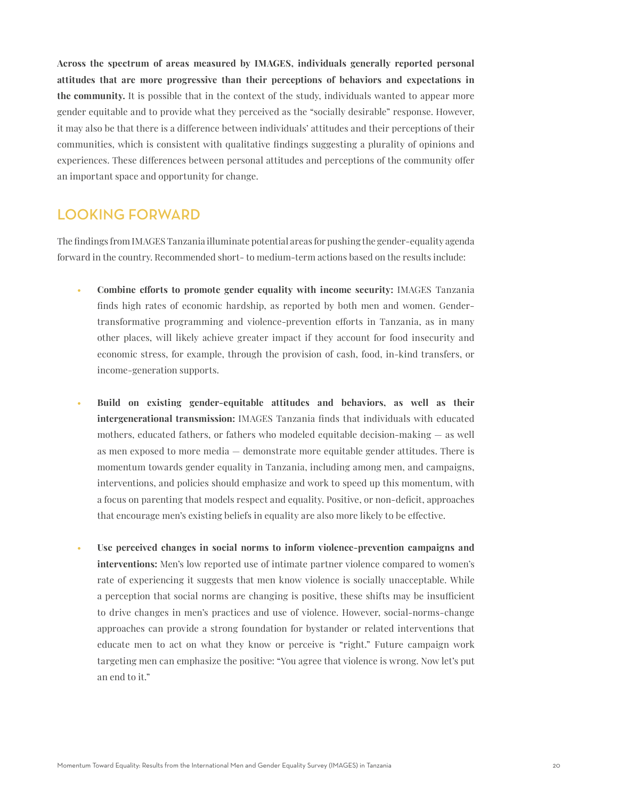**Across the spectrum of areas measured by IMAGES, individuals generally reported personal attitudes that are more progressive than their perceptions of behaviors and expectations in the community.** It is possible that in the context of the study, individuals wanted to appear more gender equitable and to provide what they perceived as the "socially desirable" response. However, it may also be that there is a difference between individuals' attitudes and their perceptions of their communities, which is consistent with qualitative findings suggesting a plurality of opinions and experiences. These differences between personal attitudes and perceptions of the community offer an important space and opportunity for change.

### LOOKING FORWARD

The findings from IMAGES Tanzania illuminate potential areas for pushing the gender-equality agenda forward in the country. Recommended short- to medium-term actions based on the results include:

- **Combine efforts to promote gender equality with income security:** IMAGES Tanzania finds high rates of economic hardship, as reported by both men and women. Gendertransformative programming and violence-prevention efforts in Tanzania, as in many other places, will likely achieve greater impact if they account for food insecurity and economic stress, for example, through the provision of cash, food, in-kind transfers, or income-generation supports.
- **Build on existing gender-equitable attitudes and behaviors, as well as their intergenerational transmission:** IMAGES Tanzania finds that individuals with educated mothers, educated fathers, or fathers who modeled equitable decision-making — as well as men exposed to more media — demonstrate more equitable gender attitudes. There is momentum towards gender equality in Tanzania, including among men, and campaigns, interventions, and policies should emphasize and work to speed up this momentum, with a focus on parenting that models respect and equality. Positive, or non-deficit, approaches that encourage men's existing beliefs in equality are also more likely to be effective.
- **Use perceived changes in social norms to inform violence-prevention campaigns and interventions:** Men's low reported use of intimate partner violence compared to women's rate of experiencing it suggests that men know violence is socially unacceptable. While a perception that social norms are changing is positive, these shifts may be insufficient to drive changes in men's practices and use of violence. However, social-norms-change approaches can provide a strong foundation for bystander or related interventions that educate men to act on what they know or perceive is "right." Future campaign work targeting men can emphasize the positive: "You agree that violence is wrong. Now let's put an end to it."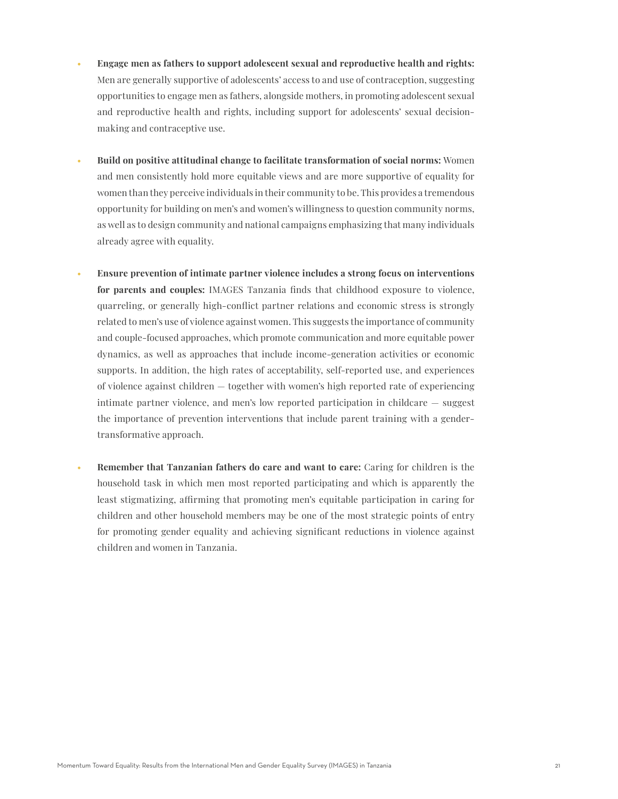- **Engage men as fathers to support adolescent sexual and reproductive health and rights:**  Men are generally supportive of adolescents' access to and use of contraception, suggesting opportunities to engage men as fathers, alongside mothers, in promoting adolescent sexual and reproductive health and rights, including support for adolescents' sexual decisionmaking and contraceptive use.
- **Build on positive attitudinal change to facilitate transformation of social norms:** Women and men consistently hold more equitable views and are more supportive of equality for women than they perceive individuals in their community to be. This provides a tremendous opportunity for building on men's and women's willingness to question community norms, as well as to design community and national campaigns emphasizing that many individuals already agree with equality.
- **Ensure prevention of intimate partner violence includes a strong focus on interventions for parents and couples:** IMAGES Tanzania finds that childhood exposure to violence, quarreling, or generally high-conflict partner relations and economic stress is strongly related to men's use of violence against women. This suggests the importance of community and couple-focused approaches, which promote communication and more equitable power dynamics, as well as approaches that include income-generation activities or economic supports. In addition, the high rates of acceptability, self-reported use, and experiences of violence against children — together with women's high reported rate of experiencing intimate partner violence, and men's low reported participation in childcare — suggest the importance of prevention interventions that include parent training with a gendertransformative approach.
- **Remember that Tanzanian fathers do care and want to care:** Caring for children is the household task in which men most reported participating and which is apparently the least stigmatizing, affirming that promoting men's equitable participation in caring for children and other household members may be one of the most strategic points of entry for promoting gender equality and achieving significant reductions in violence against children and women in Tanzania.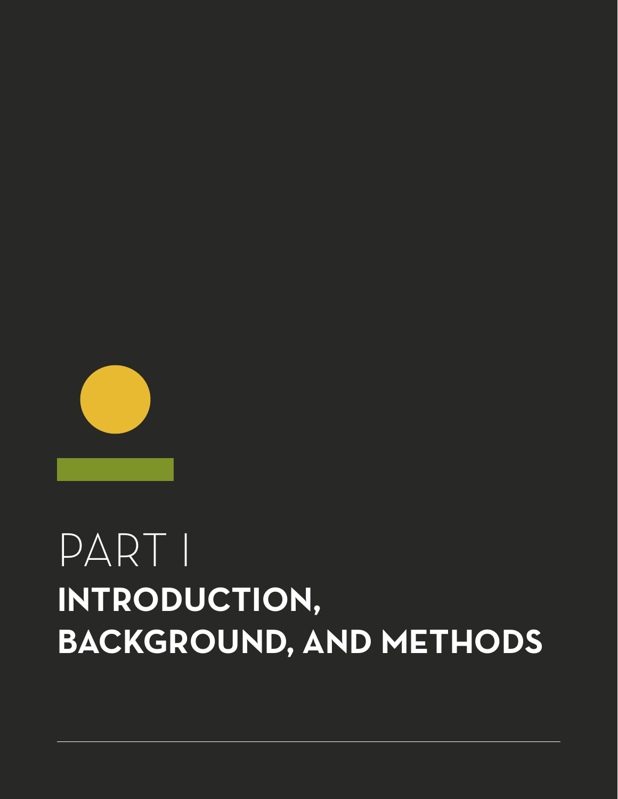# PART I **INTRODUCTION, BACKGROUND, AND METHODS**

![](_page_21_Picture_1.jpeg)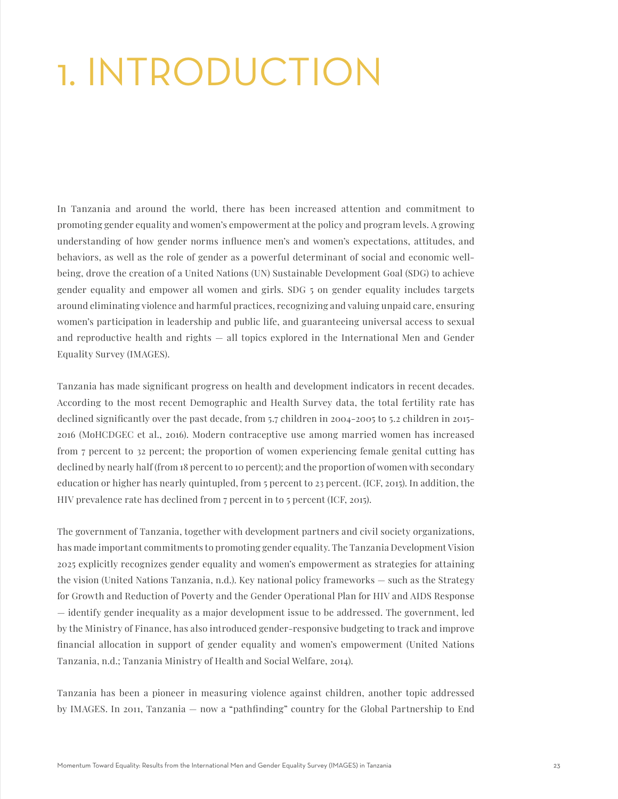# 1. INTRODUCTION

In Tanzania and around the world, there has been increased attention and commitment to promoting gender equality and women's empowerment at the policy and program levels. A growing understanding of how gender norms influence men's and women's expectations, attitudes, and behaviors, as well as the role of gender as a powerful determinant of social and economic wellbeing, drove the creation of a United Nations (UN) Sustainable Development Goal (SDG) to achieve gender equality and empower all women and girls. SDG 5 on gender equality includes targets around eliminating violence and harmful practices, recognizing and valuing unpaid care, ensuring women's participation in leadership and public life, and guaranteeing universal access to sexual and reproductive health and rights — all topics explored in the International Men and Gender Equality Survey (IMAGES).

Tanzania has made significant progress on health and development indicators in recent decades. According to the most recent Demographic and Health Survey data, the total fertility rate has declined significantly over the past decade, from 5.7 children in 2004-2005 to 5.2 children in 2015- 2016 (MoHCDGEC et al., 2016). Modern contraceptive use among married women has increased from 7 percent to 32 percent; the proportion of women experiencing female genital cutting has declined by nearly half (from 18 percent to 10 percent); and the proportion of women with secondary education or higher has nearly quintupled, from 5 percent to 23 percent. (ICF, 2015). In addition, the HIV prevalence rate has declined from 7 percent in to 5 percent (ICF, 2015).

The government of Tanzania, together with development partners and civil society organizations, has made important commitments to promoting gender equality. The Tanzania Development Vision 2025 explicitly recognizes gender equality and women's empowerment as strategies for attaining the vision (United Nations Tanzania, n.d.). Key national policy frameworks — such as the Strategy for Growth and Reduction of Poverty and the Gender Operational Plan for HIV and AIDS Response — identify gender inequality as a major development issue to be addressed. The government, led by the Ministry of Finance, has also introduced gender-responsive budgeting to track and improve financial allocation in support of gender equality and women's empowerment (United Nations Tanzania, n.d.; Tanzania Ministry of Health and Social Welfare, 2014).

Tanzania has been a pioneer in measuring violence against children, another topic addressed by IMAGES. In 2011, Tanzania — now a "pathfinding" country for the Global Partnership to End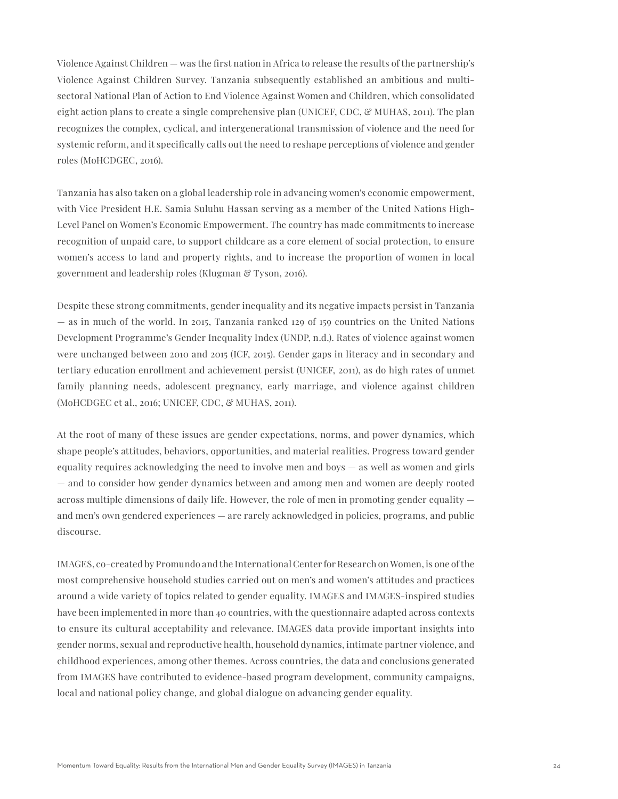Violence Against Children — was the first nation in Africa to release the results of the partnership's Violence Against Children Survey. Tanzania subsequently established an ambitious and multisectoral National Plan of Action to End Violence Against Women and Children, which consolidated eight action plans to create a single comprehensive plan (UNICEF, CDC,  $\mathcal{C}$  MUHAS, 2011). The plan recognizes the complex, cyclical, and intergenerational transmission of violence and the need for systemic reform, and it specifically calls out the need to reshape perceptions of violence and gender roles (MoHCDGEC, 2016).

Tanzania has also taken on a global leadership role in advancing women's economic empowerment, with Vice President H.E. Samia Suluhu Hassan serving as a member of the United Nations High-Level Panel on Women's Economic Empowerment. The country has made commitments to increase recognition of unpaid care, to support childcare as a core element of social protection, to ensure women's access to land and property rights, and to increase the proportion of women in local government and leadership roles (Klugman & Tyson, 2016).

Despite these strong commitments, gender inequality and its negative impacts persist in Tanzania — as in much of the world. In 2015, Tanzania ranked 129 of 159 countries on the United Nations Development Programme's Gender Inequality Index (UNDP, n.d.). Rates of violence against women were unchanged between 2010 and 2015 (ICF, 2015). Gender gaps in literacy and in secondary and tertiary education enrollment and achievement persist (UNICEF, 2011), as do high rates of unmet family planning needs, adolescent pregnancy, early marriage, and violence against children (MoHCDGEC et al., 2016; UNICEF, CDC, & MUHAS, 2011).

At the root of many of these issues are gender expectations, norms, and power dynamics, which shape people's attitudes, behaviors, opportunities, and material realities. Progress toward gender equality requires acknowledging the need to involve men and boys — as well as women and girls — and to consider how gender dynamics between and among men and women are deeply rooted across multiple dimensions of daily life. However, the role of men in promoting gender equality and men's own gendered experiences — are rarely acknowledged in policies, programs, and public discourse.

IMAGES, co-created by Promundo and the International Center for Research on Women, is one of the most comprehensive household studies carried out on men's and women's attitudes and practices around a wide variety of topics related to gender equality. IMAGES and IMAGES-inspired studies have been implemented in more than 40 countries, with the questionnaire adapted across contexts to ensure its cultural acceptability and relevance. IMAGES data provide important insights into gender norms, sexual and reproductive health, household dynamics, intimate partner violence, and childhood experiences, among other themes. Across countries, the data and conclusions generated from IMAGES have contributed to evidence-based program development, community campaigns, local and national policy change, and global dialogue on advancing gender equality.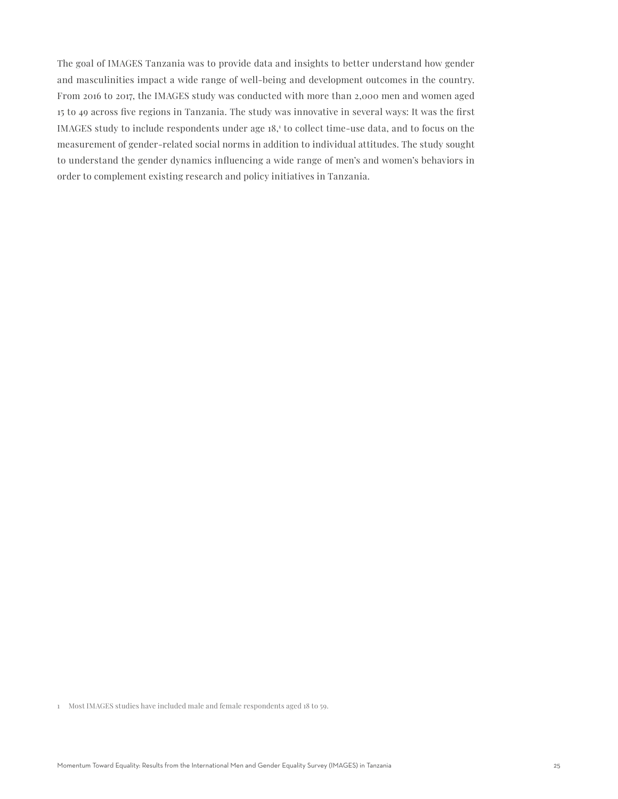The goal of IMAGES Tanzania was to provide data and insights to better understand how gender and masculinities impact a wide range of well-being and development outcomes in the country. From 2016 to 2017, the IMAGES study was conducted with more than 2,000 men and women aged 15 to 49 across five regions in Tanzania. The study was innovative in several ways: It was the first IMAGES study to include respondents under age  $18<sup>1</sup>$  to collect time-use data, and to focus on the measurement of gender-related social norms in addition to individual attitudes. The study sought to understand the gender dynamics influencing a wide range of men's and women's behaviors in order to complement existing research and policy initiatives in Tanzania.

1 Most IMAGES studies have included male and female respondents aged 18 to 59.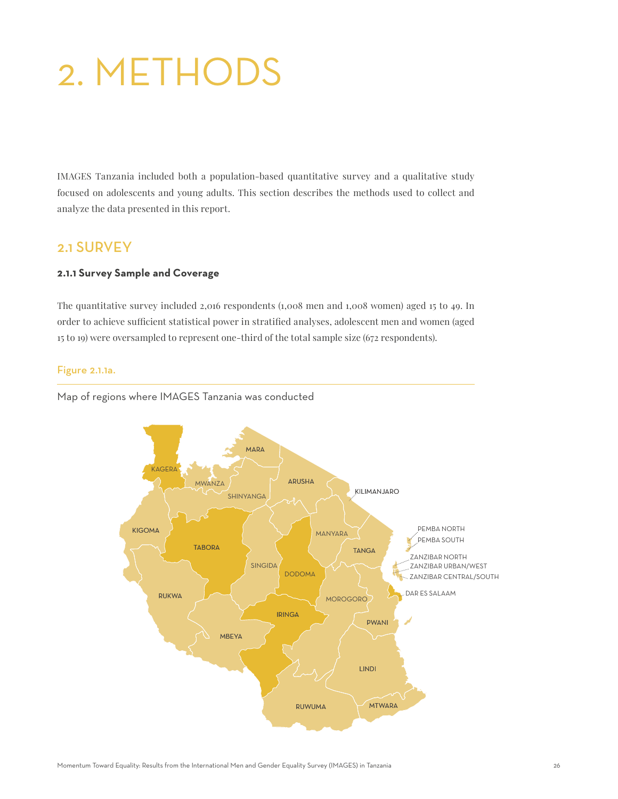# 2. METHODS

IMAGES Tanzania included both a population-based quantitative survey and a qualitative study focused on adolescents and young adults. This section describes the methods used to collect and analyze the data presented in this report.

### 2.1 SURVEY

### **2.1.1 Survey Sample and Coverage**

The quantitative survey included 2,016 respondents (1,008 men and 1,008 women) aged 15 to 49. In order to achieve sufficient statistical power in stratified analyses, adolescent men and women (aged 15 to 19) were oversampled to represent one-third of the total sample size (672 respondents).

#### Figure 2.1.1a.

Map of regions where IMAGES Tanzania was conducted

![](_page_25_Figure_7.jpeg)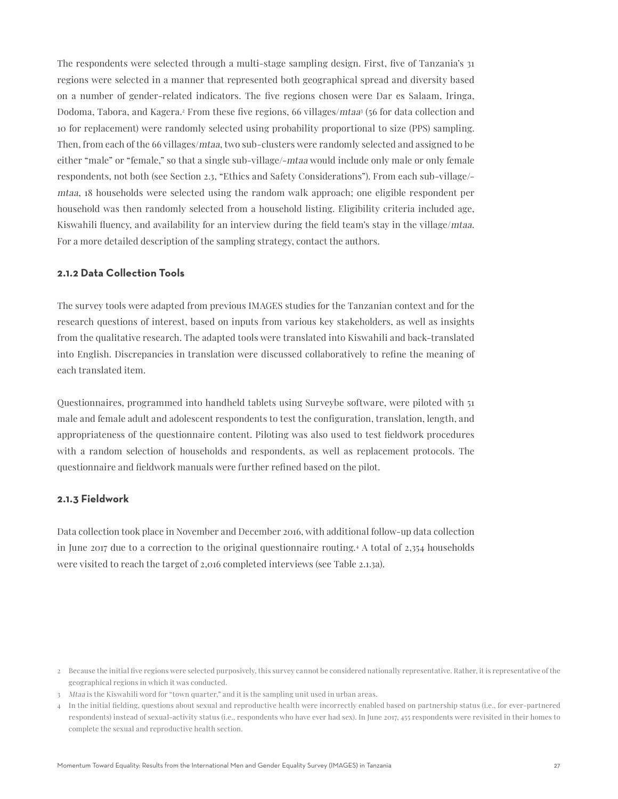The respondents were selected through a multi-stage sampling design. First, five of Tanzania's 31 regions were selected in a manner that represented both geographical spread and diversity based on a number of gender-related indicators. The five regions chosen were Dar es Salaam, Iringa, Dodoma, Tabora, and Kagera.<sup>2</sup> From these five regions, 66 villages/*mtaa*<sup>3</sup> (56 for data collection and 10 for replacement) were randomly selected using probability proportional to size (PPS) sampling. Then, from each of the 66 villages/mtaa, two sub-clusters were randomly selected and assigned to be either "male" or "female," so that a single sub-village/-mtaa would include only male or only female respondents, not both (see Section 2.3, "Ethics and Safety Considerations"). From each sub-village/ mtaa, 18 households were selected using the random walk approach; one eligible respondent per household was then randomly selected from a household listing. Eligibility criteria included age, Kiswahili fluency, and availability for an interview during the field team's stay in the village/mtaa. For a more detailed description of the sampling strategy, contact the authors.

#### **2.1.2 Data Collection Tools**

The survey tools were adapted from previous IMAGES studies for the Tanzanian context and for the research questions of interest, based on inputs from various key stakeholders, as well as insights from the qualitative research. The adapted tools were translated into Kiswahili and back-translated into English. Discrepancies in translation were discussed collaboratively to refine the meaning of each translated item.

Questionnaires, programmed into handheld tablets using Surveybe software, were piloted with 51 male and female adult and adolescent respondents to test the configuration, translation, length, and appropriateness of the questionnaire content. Piloting was also used to test fieldwork procedures with a random selection of households and respondents, as well as replacement protocols. The questionnaire and fieldwork manuals were further refined based on the pilot.

### **2.1.3 Fieldwork**

Data collection took place in November and December 2016, with additional follow-up data collection in June 2017 due to a correction to the original questionnaire routing.4 A total of 2,354 households were visited to reach the target of 2,016 completed interviews (see Table 2.1.3a).

<sup>2</sup> Because the initial five regions were selected purposively, this survey cannot be considered nationally representative. Rather, it is representative of the geographical regions in which it was conducted.

<sup>3</sup> Mtaa is the Kiswahili word for "town quarter," and it is the sampling unit used in urban areas.

<sup>4</sup> In the initial fielding, questions about sexual and reproductive health were incorrectly enabled based on partnership status (i.e., for ever-partnered respondents) instead of sexual-activity status (i.e., respondents who have ever had sex). In June 2017, 455 respondents were revisited in their homes to complete the sexual and reproductive health section.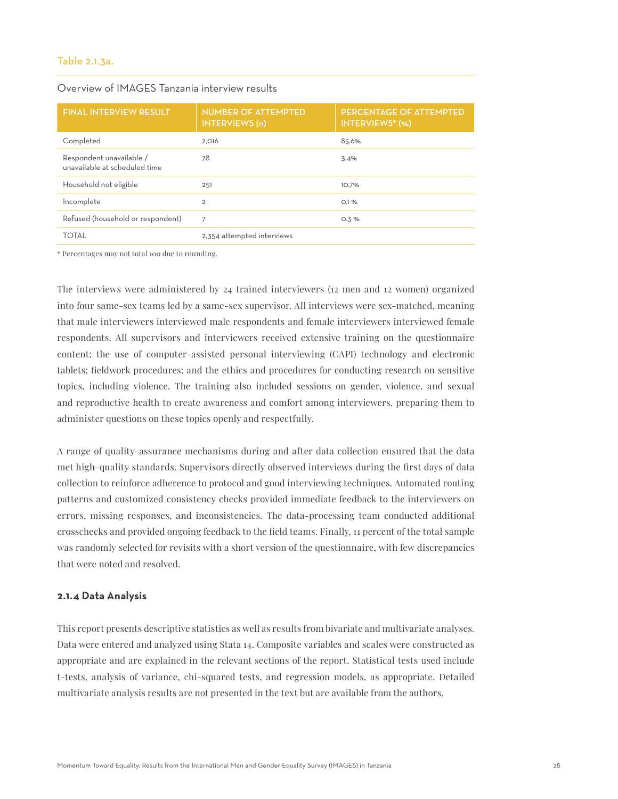#### Table 2.1.3a.

| <b>FINAL INTERVIEW RESULT</b>                             | <b>NUMBER OF ATTEMPTED</b><br><b>INTERVIEWS</b> (n) | PERCENTAGE OF ATTEMPTED<br><b>INTERVIEWS* (%)</b> |
|-----------------------------------------------------------|-----------------------------------------------------|---------------------------------------------------|
| Completed                                                 | 2.016                                               | 85.6%                                             |
| Respondent unavailable /<br>unavailable at scheduled time | 78                                                  | 3.4%                                              |
| Household not eligible                                    | 251                                                 | 10.7%                                             |
| Incomplete                                                | $\overline{2}$                                      | O.1%                                              |
| Refused (household or respondent)                         | 7                                                   | 0.3%                                              |
| <b>TOTAL</b>                                              | 2,354 attempted interviews                          |                                                   |

#### Overview of IMAGES Tanzania interview results

\* Percentages may not total 100 due to rounding.

The interviews were administered by 24 trained interviewers (12 men and 12 women) organized into four same-sex teams led by a same-sex supervisor. All interviews were sex-matched, meaning that male interviewers interviewed male respondents and female interviewers interviewed female respondents. All supervisors and interviewers received extensive training on the questionnaire content; the use of computer-assisted personal interviewing (CAPI) technology and electronic tablets; fieldwork procedures; and the ethics and procedures for conducting research on sensitive topics, including violence. The training also included sessions on gender, violence, and sexual and reproductive health to create awareness and comfort among interviewers, preparing them to administer questions on these topics openly and respectfully.

A range of quality-assurance mechanisms during and after data collection ensured that the data met high-quality standards. Supervisors directly observed interviews during the first days of data collection to reinforce adherence to protocol and good interviewing techniques. Automated routing patterns and customized consistency checks provided immediate feedback to the interviewers on errors, missing responses, and inconsistencies. The data-processing team conducted additional crosschecks and provided ongoing feedback to the field teams. Finally, 11 percent of the total sample was randomly selected for revisits with a short version of the questionnaire, with few discrepancies that were noted and resolved.

#### **2.1.4 Data Analysis**

This report presents descriptive statistics as well as results from bivariate and multivariate analyses. Data were entered and analyzed using Stata 14. Composite variables and scales were constructed as appropriate and are explained in the relevant sections of the report. Statistical tests used include t-tests, analysis of variance, chi-squared tests, and regression models, as appropriate. Detailed multivariate analysis results are not presented in the text but are available from the authors.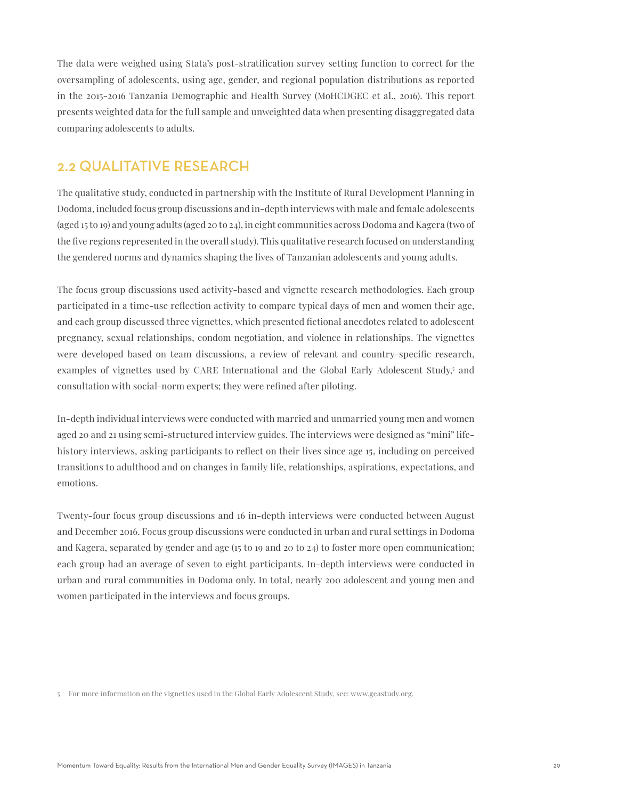The data were weighed using Stata's post-stratification survey setting function to correct for the oversampling of adolescents, using age, gender, and regional population distributions as reported in the 2015-2016 Tanzania Demographic and Health Survey (MoHCDGEC et al., 2016). This report presents weighted data for the full sample and unweighted data when presenting disaggregated data comparing adolescents to adults.

### 2.2 QUALITATIVE RESEARCH

The qualitative study, conducted in partnership with the Institute of Rural Development Planning in Dodoma, included focus group discussions and in-depth interviews with male and female adolescents (aged 15 to 19) and young adults (aged 20 to 24), in eight communities across Dodoma and Kagera (two of the five regions represented in the overall study). This qualitative research focused on understanding the gendered norms and dynamics shaping the lives of Tanzanian adolescents and young adults.

The focus group discussions used activity-based and vignette research methodologies. Each group participated in a time-use reflection activity to compare typical days of men and women their age, and each group discussed three vignettes, which presented fictional anecdotes related to adolescent pregnancy, sexual relationships, condom negotiation, and violence in relationships. The vignettes were developed based on team discussions, a review of relevant and country-specific research, examples of vignettes used by CARE International and the Global Early Adolescent Study,<sup>5</sup> and consultation with social-norm experts; they were refined after piloting.

In-depth individual interviews were conducted with married and unmarried young men and women aged 20 and 21 using semi-structured interview guides. The interviews were designed as "mini" lifehistory interviews, asking participants to reflect on their lives since age 15, including on perceived transitions to adulthood and on changes in family life, relationships, aspirations, expectations, and emotions.

Twenty-four focus group discussions and 16 in-depth interviews were conducted between August and December 2016. Focus group discussions were conducted in urban and rural settings in Dodoma and Kagera, separated by gender and age (15 to 19 and 20 to 24) to foster more open communication; each group had an average of seven to eight participants. In-depth interviews were conducted in urban and rural communities in Dodoma only. In total, nearly 200 adolescent and young men and women participated in the interviews and focus groups.

<sup>5</sup> For more information on the vignettes used in the Global Early Adolescent Study, see: www.geastudy.org.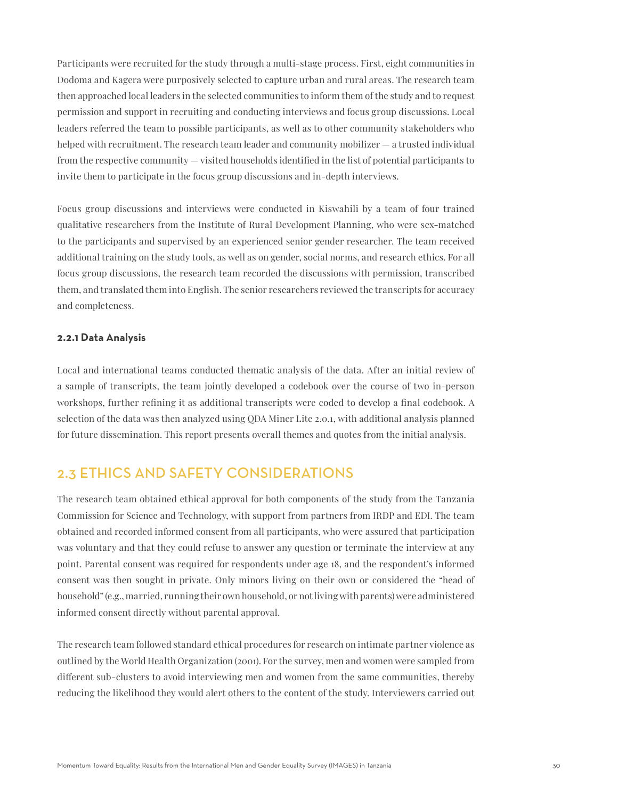Participants were recruited for the study through a multi-stage process. First, eight communities in Dodoma and Kagera were purposively selected to capture urban and rural areas. The research team then approached local leaders in the selected communities to inform them of the study and to request permission and support in recruiting and conducting interviews and focus group discussions. Local leaders referred the team to possible participants, as well as to other community stakeholders who helped with recruitment. The research team leader and community mobilizer — a trusted individual from the respective community — visited households identified in the list of potential participants to invite them to participate in the focus group discussions and in-depth interviews.

Focus group discussions and interviews were conducted in Kiswahili by a team of four trained qualitative researchers from the Institute of Rural Development Planning, who were sex-matched to the participants and supervised by an experienced senior gender researcher. The team received additional training on the study tools, as well as on gender, social norms, and research ethics. For all focus group discussions, the research team recorded the discussions with permission, transcribed them, and translated them into English. The senior researchers reviewed the transcripts for accuracy and completeness.

#### **2.2.1 Data Analysis**

Local and international teams conducted thematic analysis of the data. After an initial review of a sample of transcripts, the team jointly developed a codebook over the course of two in-person workshops, further refining it as additional transcripts were coded to develop a final codebook. A selection of the data was then analyzed using QDA Miner Lite 2.0.1, with additional analysis planned for future dissemination. This report presents overall themes and quotes from the initial analysis.

# 2.3 ETHICS AND SAFETY CONSIDERATIONS

The research team obtained ethical approval for both components of the study from the Tanzania Commission for Science and Technology, with support from partners from IRDP and EDI. The team obtained and recorded informed consent from all participants, who were assured that participation was voluntary and that they could refuse to answer any question or terminate the interview at any point. Parental consent was required for respondents under age 18, and the respondent's informed consent was then sought in private. Only minors living on their own or considered the "head of household" (e.g., married, running their own household, or not living with parents) were administered informed consent directly without parental approval.

The research team followed standard ethical procedures for research on intimate partner violence as outlined by the World Health Organization (2001). For the survey, men and women were sampled from different sub-clusters to avoid interviewing men and women from the same communities, thereby reducing the likelihood they would alert others to the content of the study. Interviewers carried out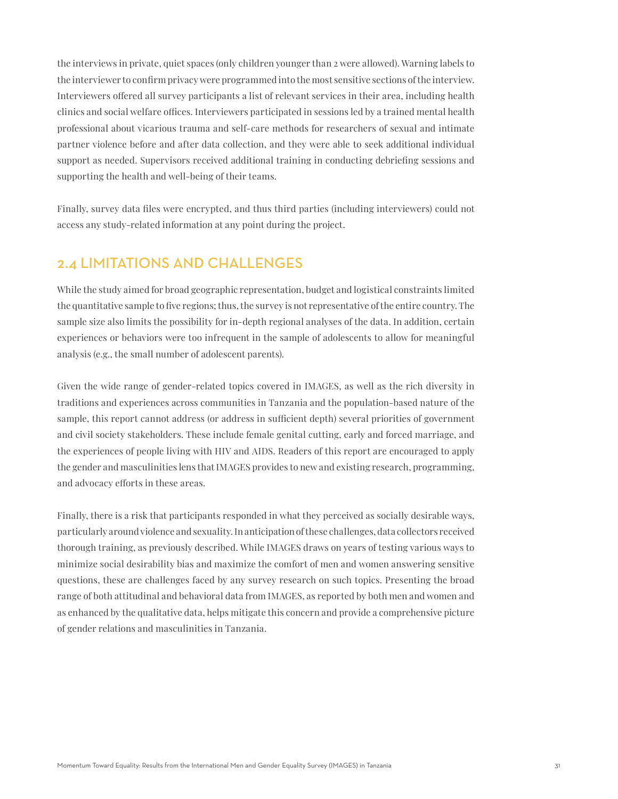the interviews in private, quiet spaces (only children younger than 2 were allowed). Warning labels to the interviewer to confirm privacy were programmed into the most sensitive sections of the interview. Interviewers offered all survey participants a list of relevant services in their area, including health clinics and social welfare offices. Interviewers participated in sessions led by a trained mental health professional about vicarious trauma and self-care methods for researchers of sexual and intimate partner violence before and after data collection, and they were able to seek additional individual support as needed. Supervisors received additional training in conducting debriefing sessions and supporting the health and well-being of their teams.

Finally, survey data files were encrypted, and thus third parties (including interviewers) could not access any study-related information at any point during the project.

### 2.4 LIMITATIONS AND CHALLENGES

While the study aimed for broad geographic representation, budget and logistical constraints limited the quantitative sample to five regions; thus, the survey is not representative of the entire country. The sample size also limits the possibility for in-depth regional analyses of the data. In addition, certain experiences or behaviors were too infrequent in the sample of adolescents to allow for meaningful analysis (e.g., the small number of adolescent parents).

Given the wide range of gender-related topics covered in IMAGES, as well as the rich diversity in traditions and experiences across communities in Tanzania and the population-based nature of the sample, this report cannot address (or address in sufficient depth) several priorities of government and civil society stakeholders. These include female genital cutting, early and forced marriage, and the experiences of people living with HIV and AIDS. Readers of this report are encouraged to apply the gender and masculinities lens that IMAGES provides to new and existing research, programming, and advocacy efforts in these areas.

Finally, there is a risk that participants responded in what they perceived as socially desirable ways, particularly around violence and sexuality. In anticipation of these challenges, data collectors received thorough training, as previously described. While IMAGES draws on years of testing various ways to minimize social desirability bias and maximize the comfort of men and women answering sensitive questions, these are challenges faced by any survey research on such topics. Presenting the broad range of both attitudinal and behavioral data from IMAGES, as reported by both men and women and as enhanced by the qualitative data, helps mitigate this concern and provide a comprehensive picture of gender relations and masculinities in Tanzania.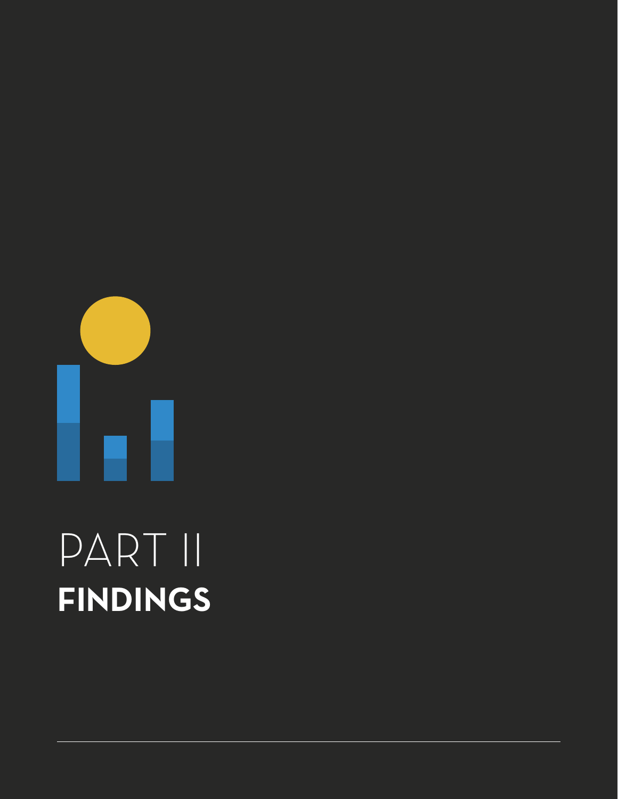![](_page_31_Picture_0.jpeg)

# PART II **FINDINGS**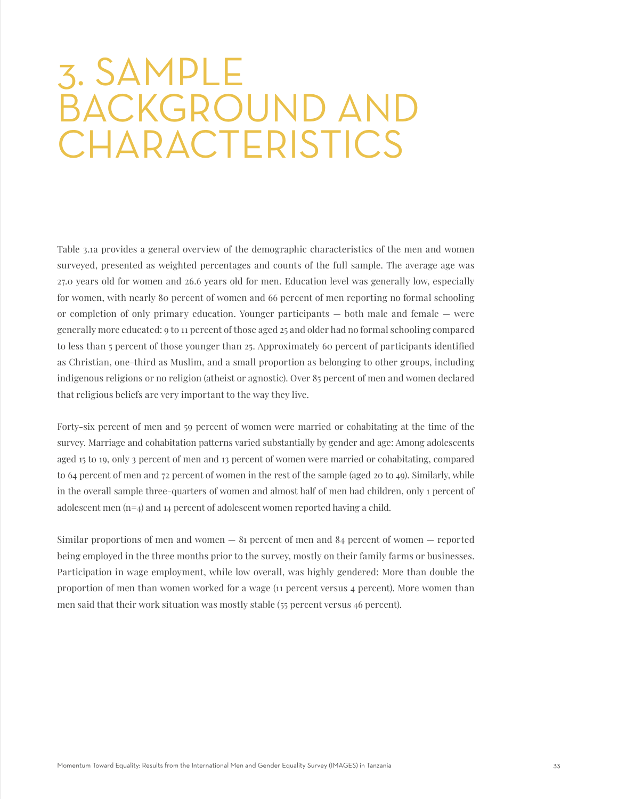# 3. SAMPLE BACKGROUND AND **CHARACTERISTICS**

Table 3.1a provides a general overview of the demographic characteristics of the men and women surveyed, presented as weighted percentages and counts of the full sample. The average age was 27.0 years old for women and 26.6 years old for men. Education level was generally low, especially for women, with nearly 80 percent of women and 66 percent of men reporting no formal schooling or completion of only primary education. Younger participants — both male and female — were generally more educated: 9 to 11 percent of those aged 25 and older had no formal schooling compared to less than 5 percent of those younger than 25. Approximately 60 percent of participants identified as Christian, one-third as Muslim, and a small proportion as belonging to other groups, including indigenous religions or no religion (atheist or agnostic). Over 85 percent of men and women declared that religious beliefs are very important to the way they live.

Forty-six percent of men and 59 percent of women were married or cohabitating at the time of the survey. Marriage and cohabitation patterns varied substantially by gender and age: Among adolescents aged 15 to 19, only 3 percent of men and 13 percent of women were married or cohabitating, compared to 64 percent of men and 72 percent of women in the rest of the sample (aged 20 to 49). Similarly, while in the overall sample three-quarters of women and almost half of men had children, only 1 percent of adolescent men  $(n=4)$  and 14 percent of adolescent women reported having a child.

Similar proportions of men and women  $-8i$  percent of men and  $84$  percent of women  $-$  reported being employed in the three months prior to the survey, mostly on their family farms or businesses. Participation in wage employment, while low overall, was highly gendered: More than double the proportion of men than women worked for a wage (11 percent versus 4 percent). More women than men said that their work situation was mostly stable (55 percent versus 46 percent).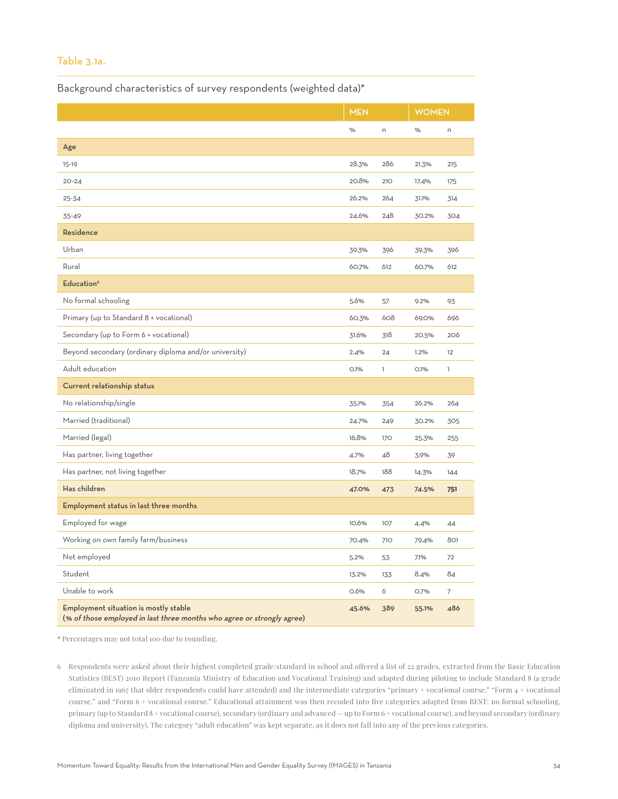### Table 3.1a.

Background characteristics of survey respondents (weighted data)\*

|                                                                                                                 | <b>MEN</b> |            | <b>WOMEN</b> |              |
|-----------------------------------------------------------------------------------------------------------------|------------|------------|--------------|--------------|
|                                                                                                                 | $\%$       | n          |              | n            |
| Age                                                                                                             |            |            |              |              |
| 15-19                                                                                                           | 28.3%      | 286        | 21.3%        | 215          |
| $20 - 24$                                                                                                       | 20.8%      | 210        | 17.4%        | 175          |
| $25 - 34$                                                                                                       | 26.2%      | 264        | 31.1%        | 314          |
| 35-49                                                                                                           | 24.6%      | 248        | 30.2%        | 304          |
| Residence                                                                                                       |            |            |              |              |
| Urban                                                                                                           | 39.3%      | 396        | 39.3%        | 396          |
| Rural                                                                                                           | 60.7%      | 612        | 60.7%        | 612          |
| Education <sup>6</sup>                                                                                          |            |            |              |              |
| No formal schooling                                                                                             | 5.6%       | 57         | 9.2%         | 93           |
| Primary (up to Standard 8 + vocational)                                                                         | 60.3%      | 608        | 69.0%        | 696          |
| Secondary (up to Form 6 + vocational)                                                                           | 31.6%      | 318        | 20.5%        | 206          |
| Beyond secondary (ordinary diploma and/or university)                                                           | 2.4%       | 24         | 1.2%         | 12           |
| Adult education                                                                                                 | O.1%       | T          | O.1%         | $\mathbf{I}$ |
| Current relationship status                                                                                     |            |            |              |              |
| No relationship/single                                                                                          | 35.1%      | 354        | 26.2%        | 264          |
| Married (traditional)                                                                                           | 24.7%      | 249        | 30.2%        | 305          |
| Married (legal)                                                                                                 | 16.8%      | 170        | 25.3%        | 255          |
| Has partner, living together                                                                                    | 4.7%       | 48         | 3.9%         | 39           |
| Has partner, not living together                                                                                | 18.7%      | 188        | 14.3%        | 144          |
| Has children                                                                                                    | 47.0%      | 473        | 74.5%        | 751          |
| Employment status in last three months                                                                          |            |            |              |              |
| Employed for wage                                                                                               | 10.6%      | 107        | 4.4%         | 44           |
| Working on own family farm/business                                                                             | 70.4%      | <b>710</b> | 79.4%        | 801          |
| Not employed                                                                                                    | 5.2%       | 53         | 7.1%         | 72           |
| Student                                                                                                         | 13.2%      | 133        | 8.4%         | 84           |
| Unable to work                                                                                                  | 0.6%       | 6          | O.7%         | 7            |
| Employment situation is mostly stable<br>(% of those employed in last three months who agree or strongly agree) | 45.6%      | 389        | 55.1%        | 486          |

\* Percentages may not total 100 due to rounding.

6 Respondents were asked about their highest completed grade/standard in school and offered a list of 22 grades, extracted from the Basic Education Statistics (BEST) 2010 Report (Tanzania Ministry of Education and Vocational Training) and adapted during piloting to include Standard 8 (a grade eliminated in 1967 that older respondents could have attended) and the intermediate categories "primary + vocational course," "Form 4 + vocational course," and "Form 6 + vocational course." Educational attainment was then recoded into five categories adapted from BEST: no formal schooling, primary (up to Standard 8 + vocational course), secondary (ordinary and advanced — up to Form 6 + vocational course), and beyond secondary (ordinary diploma and university). The category "adult education" was kept separate, as it does not fall into any of the previous categories.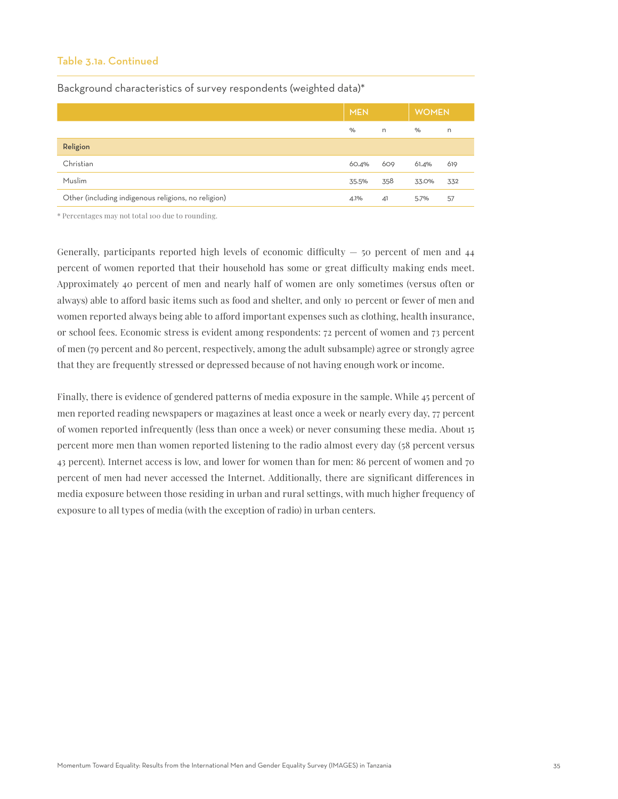### Table 3.1a. Continued

Background characteristics of survey respondents (weighted data)\*

|                                                     | <b>MEN</b> |     | <b>WOMEN</b> |     |
|-----------------------------------------------------|------------|-----|--------------|-----|
|                                                     | $\%$       | n.  | $\%$         | n   |
| Religion                                            |            |     |              |     |
| Christian                                           | 60.4%      | 609 | 61.4%        | 619 |
| Muslim                                              | 35.5%      | 358 | 33.0%        | 332 |
| Other (including indigenous religions, no religion) | 4.1%       | 41  | 5.7%         | 57  |

\* Percentages may not total 100 due to rounding.

Generally, participants reported high levels of economic difficulty  $-$  50 percent of men and  $44$ percent of women reported that their household has some or great difficulty making ends meet. Approximately 40 percent of men and nearly half of women are only sometimes (versus often or always) able to afford basic items such as food and shelter, and only 10 percent or fewer of men and women reported always being able to afford important expenses such as clothing, health insurance, or school fees. Economic stress is evident among respondents: 72 percent of women and 73 percent of men (79 percent and 80 percent, respectively, among the adult subsample) agree or strongly agree that they are frequently stressed or depressed because of not having enough work or income.

Finally, there is evidence of gendered patterns of media exposure in the sample. While 45 percent of men reported reading newspapers or magazines at least once a week or nearly every day, 77 percent of women reported infrequently (less than once a week) or never consuming these media. About 15 percent more men than women reported listening to the radio almost every day (58 percent versus 43 percent). Internet access is low, and lower for women than for men: 86 percent of women and 70 percent of men had never accessed the Internet. Additionally, there are significant differences in media exposure between those residing in urban and rural settings, with much higher frequency of exposure to all types of media (with the exception of radio) in urban centers.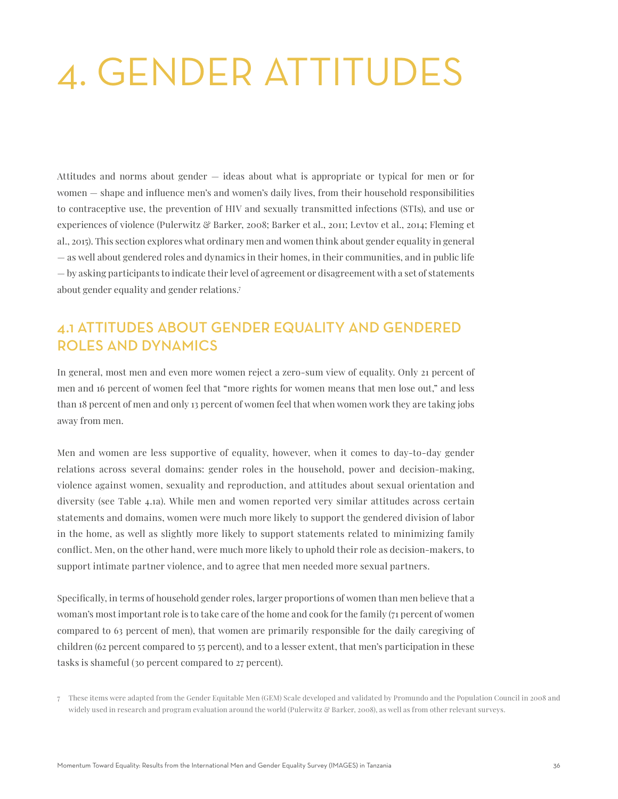# 4. GENDER ATTITUDES

Attitudes and norms about gender — ideas about what is appropriate or typical for men or for women — shape and influence men's and women's daily lives, from their household responsibilities to contraceptive use, the prevention of HIV and sexually transmitted infections (STIs), and use or experiences of violence (Pulerwitz & Barker, 2008; Barker et al., 2011; Levtov et al., 2014; Fleming et al., 2015). This section explores what ordinary men and women think about gender equality in general — as well about gendered roles and dynamics in their homes, in their communities, and in public life — by asking participants to indicate their level of agreement or disagreement with a set of statements about gender equality and gender relations.7

# 4.1 ATTITUDES ABOUT GENDER EQUALITY AND GENDERED ROLES AND DYNAMICS

In general, most men and even more women reject a zero-sum view of equality. Only 21 percent of men and 16 percent of women feel that "more rights for women means that men lose out," and less than 18 percent of men and only 13 percent of women feel that when women work they are taking jobs away from men.

Men and women are less supportive of equality, however, when it comes to day-to-day gender relations across several domains: gender roles in the household, power and decision-making, violence against women, sexuality and reproduction, and attitudes about sexual orientation and diversity (see Table 4.1a). While men and women reported very similar attitudes across certain statements and domains, women were much more likely to support the gendered division of labor in the home, as well as slightly more likely to support statements related to minimizing family conflict. Men, on the other hand, were much more likely to uphold their role as decision-makers, to support intimate partner violence, and to agree that men needed more sexual partners.

Specifically, in terms of household gender roles, larger proportions of women than men believe that a woman's most important role is to take care of the home and cook for the family (71 percent of women compared to 63 percent of men), that women are primarily responsible for the daily caregiving of children (62 percent compared to 55 percent), and to a lesser extent, that men's participation in these tasks is shameful (30 percent compared to 27 percent).

<sup>7</sup> These items were adapted from the Gender Equitable Men (GEM) Scale developed and validated by Promundo and the Population Council in 2008 and widely used in research and program evaluation around the world (Pulerwitz & Barker, 2008), as well as from other relevant surveys.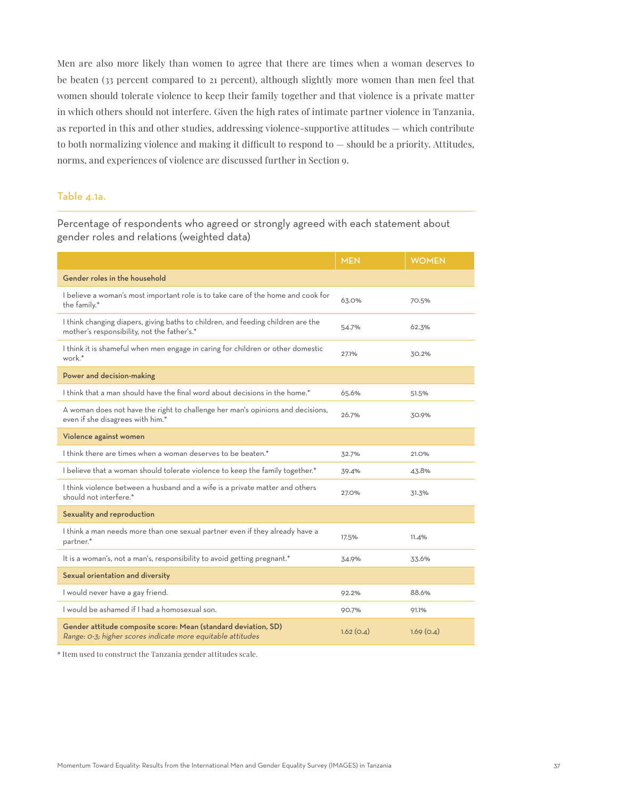Men are also more likely than women to agree that there are times when a woman deserves to be beaten (33 percent compared to 21 percent), although slightly more women than men feel that women should tolerate violence to keep their family together and that violence is a private matter in which others should not interfere. Given the high rates of intimate partner violence in Tanzania, as reported in this and other studies, addressing violence-supportive attitudes — which contribute to both normalizing violence and making it difficult to respond to — should be a priority. Attitudes, norms, and experiences of violence are discussed further in Section 9.

#### Table 4.1a.

Percentage of respondents who agreed or strongly agreed with each statement about gender roles and relations (weighted data)

|                                                                                                                                 | <b>MEN</b> | <b>WOMEN</b> |
|---------------------------------------------------------------------------------------------------------------------------------|------------|--------------|
| Gender roles in the household                                                                                                   |            |              |
| I believe a woman's most important role is to take care of the home and cook for<br>the family.*                                | 63.0%      | 70.5%        |
| I think changing diapers, giving baths to children, and feeding children are the<br>mother's responsibility, not the father's.* | 54.7%      | 62.3%        |
| I think it is shameful when men engage in caring for children or other domestic<br>work.*                                       | 27.1%      | 30.2%        |
| Power and decision-making                                                                                                       |            |              |
| I think that a man should have the final word about decisions in the home.*                                                     | 65.6%      | 51.5%        |
| A woman does not have the right to challenge her man's opinions and decisions,<br>even if she disagrees with him.*              | 26.7%      | 30.9%        |
| Violence against women                                                                                                          |            |              |
| I think there are times when a woman deserves to be beaten.*                                                                    | 32.7%      | 21.0%        |
| I believe that a woman should tolerate violence to keep the family together.*                                                   | 39.4%      | 43.8%        |
| I think violence between a husband and a wife is a private matter and others<br>should not interfere.*                          | 27.0%      | 31.3%        |
| Sexuality and reproduction                                                                                                      |            |              |
| I think a man needs more than one sexual partner even if they already have a<br>partner.*                                       | 17.5%      | 11.4%        |
| It is a woman's, not a man's, responsibility to avoid getting pregnant.*                                                        | 34.9%      | 33.6%        |
| Sexual orientation and diversity                                                                                                |            |              |
| I would never have a gay friend.                                                                                                | 92.2%      | 88.6%        |
| I would be ashamed if I had a homosexual son.                                                                                   | 90.7%      | 91.1%        |
| Gender attitude composite score: Mean (standard deviation, SD)<br>Range: 0-3; higher scores indicate more equitable attitudes   | 1.62(0.4)  | 1.69(0.4)    |

\* Item used to construct the Tanzania gender attitudes scale.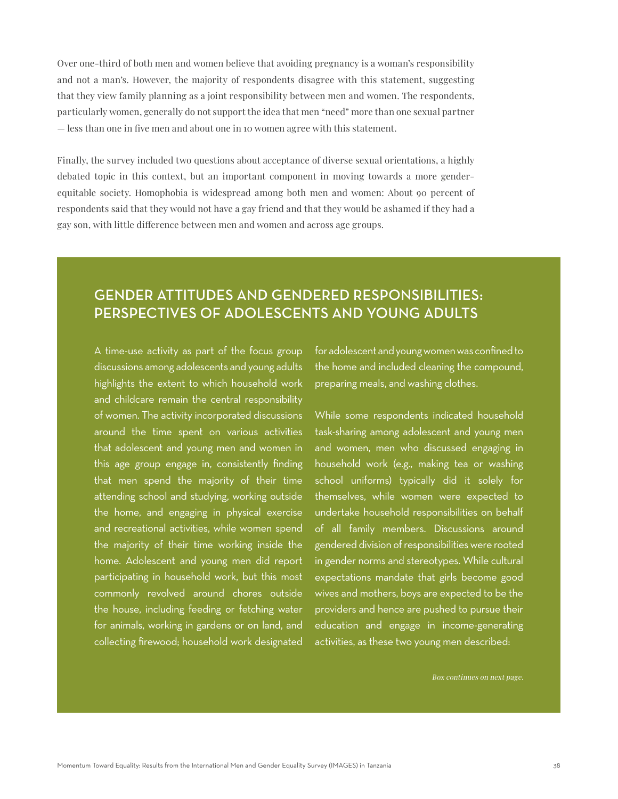Over one-third of both men and women believe that avoiding pregnancy is a woman's responsibility and not a man's. However, the majority of respondents disagree with this statement, suggesting that they view family planning as a joint responsibility between men and women. The respondents, particularly women, generally do not support the idea that men "need" more than one sexual partner — less than one in five men and about one in 10 women agree with this statement.

Finally, the survey included two questions about acceptance of diverse sexual orientations, a highly debated topic in this context, but an important component in moving towards a more genderequitable society. Homophobia is widespread among both men and women: About 90 percent of respondents said that they would not have a gay friend and that they would be ashamed if they had a gay son, with little difference between men and women and across age groups.

# GENDER ATTITUDES AND GENDERED RESPONSIBILITIES: PERSPECTIVES OF ADOLESCENTS AND YOUNG ADULTS

A time-use activity as part of the focus group discussions among adolescents and young adults highlights the extent to which household work and childcare remain the central responsibility of women. The activity incorporated discussions around the time spent on various activities that adolescent and young men and women in this age group engage in, consistently finding that men spend the majority of their time attending school and studying, working outside the home, and engaging in physical exercise and recreational activities, while women spend the majority of their time working inside the home. Adolescent and young men did report participating in household work, but this most commonly revolved around chores outside the house, including feeding or fetching water for animals, working in gardens or on land, and collecting firewood; household work designated

for adolescent and young women was confined to the home and included cleaning the compound, preparing meals, and washing clothes.

While some respondents indicated household task-sharing among adolescent and young men and women, men who discussed engaging in household work (e.g., making tea or washing school uniforms) typically did it solely for themselves, while women were expected to undertake household responsibilities on behalf of all family members. Discussions around gendered division of responsibilities were rooted in gender norms and stereotypes. While cultural expectations mandate that girls become good wives and mothers, boys are expected to be the providers and hence are pushed to pursue their education and engage in income-generating activities, as these two young men described: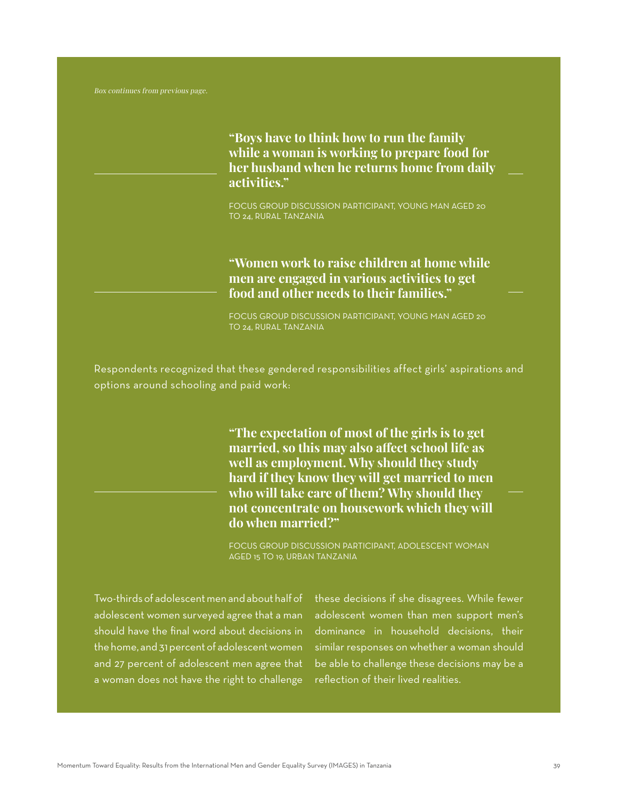**"Boys have to think how to run the family while a woman is working to prepare food for her husband when he returns home from daily activities."**

FOCUS GROUP DISCUSSION PARTICIPANT, YOUNG MAN AGED 20 TO 24, RURAL TANZANIA

**"Women work to raise children at home while men are engaged in various activities to get food and other needs to their families."**

FOCUS GROUP DISCUSSION PARTICIPANT, YOUNG MAN AGED 20 TO 24, RURAL TANZANIA

Respondents recognized that these gendered responsibilities affect girls' aspirations and options around schooling and paid work:

> **"The expectation of most of the girls is to get married, so this may also affect school life as well as employment. Why should they study hard if they know they will get married to men who will take care of them? Why should they not concentrate on housework which they will do when married?"**

FOCUS GROUP DISCUSSION PARTICIPANT, ADOLESCENT WOMAN AGED 15 TO 19, URBAN TANZANIA

Two-thirds of adolescent men and about half of adolescent women surveyed agree that a man should have the final word about decisions in the home, and 31 percent of adolescent women and 27 percent of adolescent men agree that a woman does not have the right to challenge

these decisions if she disagrees. While fewer adolescent women than men support men's dominance in household decisions, their similar responses on whether a woman should be able to challenge these decisions may be a reflection of their lived realities.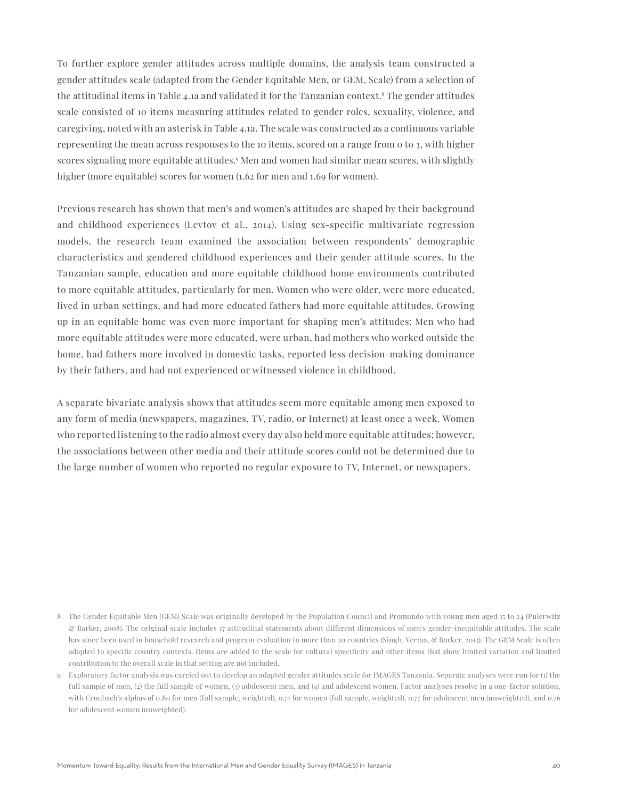To further explore gender attitudes across multiple domains, the analysis team constructed a gender attitudes scale (adapted from the Gender Equitable Men, or GEM, Scale) from a selection of the attitudinal items in Table 4.1a and validated it for the Tanzanian context.8 The gender attitudes scale consisted of 10 items measuring attitudes related to gender roles, sexuality, violence, and caregiving, noted with an asterisk in Table 4.1a. The scale was constructed as a continuous variable representing the mean across responses to the 10 items, scored on a range from 0 to 3, with higher scores signaling more equitable attitudes.<sup>9</sup> Men and women had similar mean scores, with slightly higher (more equitable) scores for women (1.62 for men and 1.69 for women).

Previous research has shown that men's and women's attitudes are shaped by their background and childhood experiences (Levtov et al., 2014). Using sex-specific multivariate regression models, the research team examined the association between respondents' demographic characteristics and gendered childhood experiences and their gender attitude scores. In the Tanzanian sample, education and more equitable childhood home environments contributed to more equitable attitudes, particularly for men. Women who were older, were more educated, lived in urban settings, and had more educated fathers had more equitable attitudes. Growing up in an equitable home was even more important for shaping men's attitudes: Men who had more equitable attitudes were more educated, were urban, had mothers who worked outside the home, had fathers more involved in domestic tasks, reported less decision-making dominance by their fathers, and had not experienced or witnessed violence in childhood.

A separate bivariate analysis shows that attitudes seem more equitable among men exposed to any form of media (newspapers, magazines, TV, radio, or Internet) at least once a week. Women who reported listening to the radio almost every day also held more equitable attitudes; however, the associations between other media and their attitude scores could not be determined due to the large number of women who reported no regular exposure to TV, Internet, or newspapers.

<sup>8</sup> The Gender Equitable Men (GEM) Scale was originally developed by the Population Council and Promundo with young men aged 15 to 24 (Pulerwitz & Barker, 2008). The original scale includes 17 attitudinal statements about different dimensions of men's gender-inequitable attitudes. The scale has since been used in household research and program evaluation in more than 20 countries (Singh, Verma, & Barker, 2013). The GEM Scale is often adapted to specific country contexts. Items are added to the scale for cultural specificity and other items that show limited variation and limited contribution to the overall scale in that setting are not included.

<sup>9</sup> Exploratory factor analysis was carried out to develop an adapted gender attitudes scale for IMAGES Tanzania. Separate analyses were run for (1) the full sample of men, (2) the full sample of women, (3) adolescent men, and (4) and adolescent women. Factor analyses resolve in a one-factor solution, with Cronbach's alphas of 0.80 for men (full sample, weighted), 0.77 for women (full sample, weighted), 0.77 for adolescent men (unweighted), and 0.76 for adolescent women (unweighted).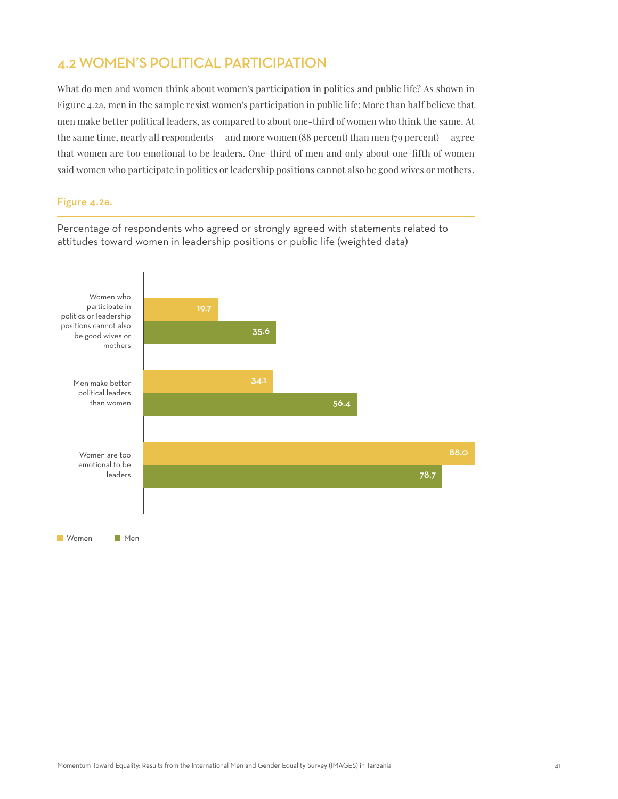# 4.2 WOMEN'S POLITICAL PARTICIPATION

What do men and women think about women's participation in politics and public life? As shown in Figure 4.2a, men in the sample resist women's participation in public life: More than half believe that men make better political leaders, as compared to about one-third of women who think the same. At the same time, nearly all respondents — and more women  $(88$  percent) than men  $(79$  percent) — agree that women are too emotional to be leaders. One-third of men and only about one-fifth of women said women who participate in politics or leadership positions cannot also be good wives or mothers.

#### Figure 4.2a.

Percentage of respondents who agreed or strongly agreed with statements related to attitudes toward women in leadership positions or public life (weighted data)

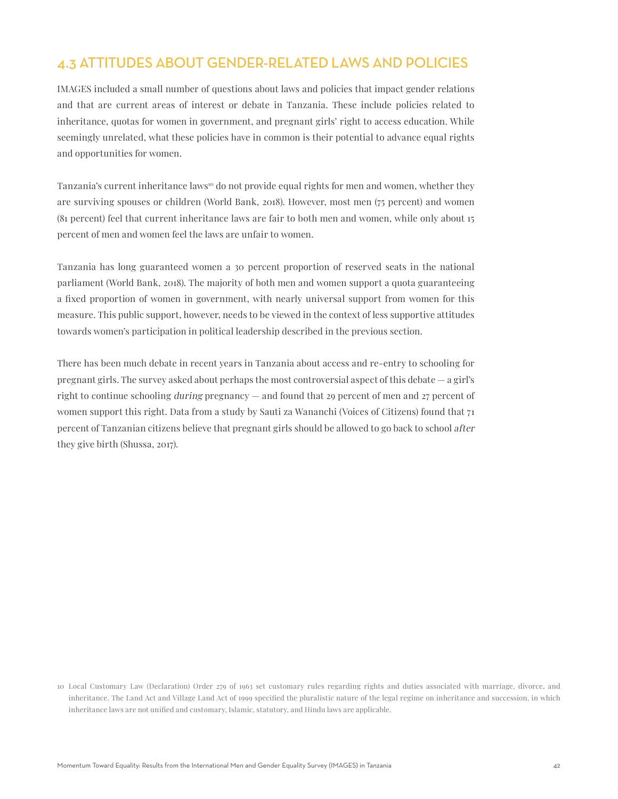# 4.3 ATTITUDES ABOUT GENDER-RELATED LAWS AND POLICIES

IMAGES included a small number of questions about laws and policies that impact gender relations and that are current areas of interest or debate in Tanzania. These include policies related to inheritance, quotas for women in government, and pregnant girls' right to access education. While seemingly unrelated, what these policies have in common is their potential to advance equal rights and opportunities for women.

Tanzania's current inheritance laws<sup>10</sup> do not provide equal rights for men and women, whether they are surviving spouses or children (World Bank, 2018). However, most men (75 percent) and women (81 percent) feel that current inheritance laws are fair to both men and women, while only about 15 percent of men and women feel the laws are unfair to women.

Tanzania has long guaranteed women a 30 percent proportion of reserved seats in the national parliament (World Bank, 2018). The majority of both men and women support a quota guaranteeing a fixed proportion of women in government, with nearly universal support from women for this measure. This public support, however, needs to be viewed in the context of less supportive attitudes towards women's participation in political leadership described in the previous section.

There has been much debate in recent years in Tanzania about access and re-entry to schooling for pregnant girls. The survey asked about perhaps the most controversial aspect of this debate — a girl's right to continue schooling during pregnancy — and found that 29 percent of men and 27 percent of women support this right. Data from a study by Sauti za Wananchi (Voices of Citizens) found that 71 percent of Tanzanian citizens believe that pregnant girls should be allowed to go back to school after they give birth (Shussa, 2017).

<sup>10</sup> Local Customary Law (Declaration) Order 279 of 1963 set customary rules regarding rights and duties associated with marriage, divorce, and inheritance. The Land Act and Village Land Act of 1999 specified the pluralistic nature of the legal regime on inheritance and succession, in which inheritance laws are not unified and customary, Islamic, statutory, and Hindu laws are applicable.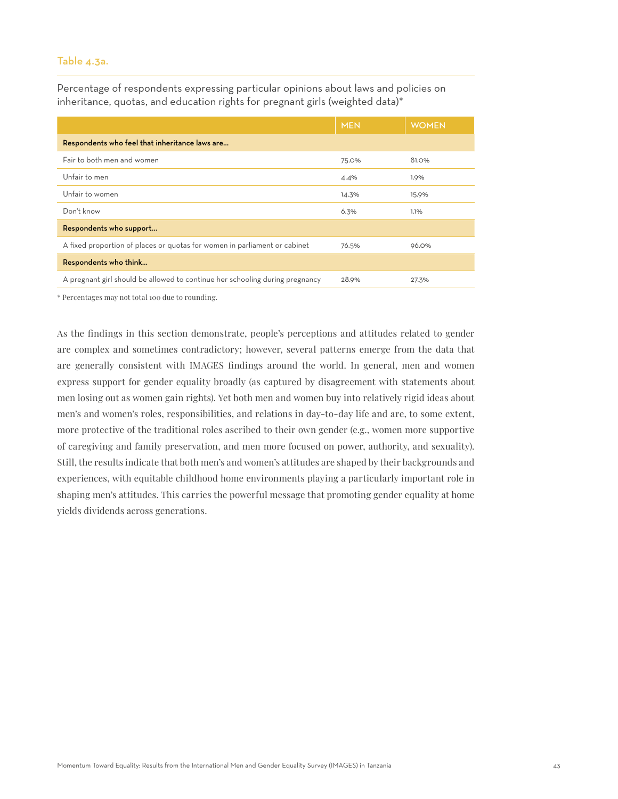#### Table 4.3a.

Percentage of respondents expressing particular opinions about laws and policies on inheritance, quotas, and education rights for pregnant girls (weighted data)\*

|                                                                              | <b>MEN</b> | <b>WOMEN</b> |  |  |
|------------------------------------------------------------------------------|------------|--------------|--|--|
| Respondents who feel that inheritance laws are                               |            |              |  |  |
| Fair to both men and women                                                   | 75.0%      | 81.0%        |  |  |
| Unfair to men                                                                | 4.4%       | 1.9%         |  |  |
| Unfair to women                                                              | 14.3%      | 15.9%        |  |  |
| Don't know                                                                   | 6.3%       | 1.1%         |  |  |
| Respondents who support                                                      |            |              |  |  |
| A fixed proportion of places or quotas for women in parliament or cabinet    | 76.5%      | 96.0%        |  |  |
| Respondents who think                                                        |            |              |  |  |
| A pregnant girl should be allowed to continue her schooling during pregnancy | 28.9%      | 27.3%        |  |  |

\* Percentages may not total 100 due to rounding.

As the findings in this section demonstrate, people's perceptions and attitudes related to gender are complex and sometimes contradictory; however, several patterns emerge from the data that are generally consistent with IMAGES findings around the world. In general, men and women express support for gender equality broadly (as captured by disagreement with statements about men losing out as women gain rights). Yet both men and women buy into relatively rigid ideas about men's and women's roles, responsibilities, and relations in day-to-day life and are, to some extent, more protective of the traditional roles ascribed to their own gender (e.g., women more supportive of caregiving and family preservation, and men more focused on power, authority, and sexuality). Still, the results indicate that both men's and women's attitudes are shaped by their backgrounds and experiences, with equitable childhood home environments playing a particularly important role in shaping men's attitudes. This carries the powerful message that promoting gender equality at home yields dividends across generations.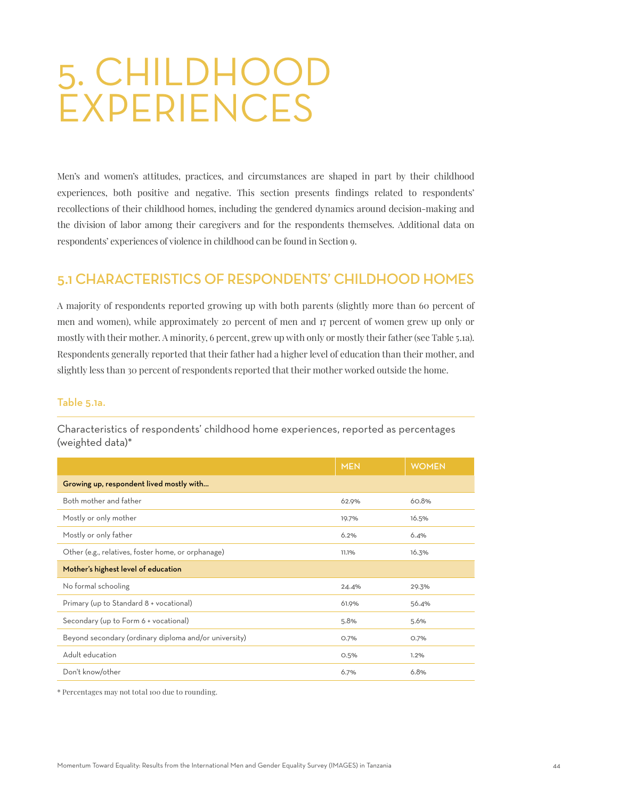# 5. CHILDHOOD EXPERIENCES

Men's and women's attitudes, practices, and circumstances are shaped in part by their childhood experiences, both positive and negative. This section presents findings related to respondents' recollections of their childhood homes, including the gendered dynamics around decision-making and the division of labor among their caregivers and for the respondents themselves. Additional data on respondents' experiences of violence in childhood can be found in Section 9.

# 5.1 CHARACTERISTICS OF RESPONDENTS' CHILDHOOD HOMES

A majority of respondents reported growing up with both parents (slightly more than 60 percent of men and women), while approximately 20 percent of men and 17 percent of women grew up only or mostly with their mother. A minority, 6 percent, grew up with only or mostly their father (see Table 5.1a). Respondents generally reported that their father had a higher level of education than their mother, and slightly less than 30 percent of respondents reported that their mother worked outside the home.

#### Table 5.1a.

|                                                       | <b>MEN</b> | <b>WOMEN</b> |  |  |
|-------------------------------------------------------|------------|--------------|--|--|
| Growing up, respondent lived mostly with              |            |              |  |  |
| Both mother and father                                | 62.9%      | 60.8%        |  |  |
| Mostly or only mother                                 | 19.7%      | 16.5%        |  |  |
| Mostly or only father                                 | 6.2%       | 6.4%         |  |  |
| Other (e.g., relatives, foster home, or orphanage)    | 11.1%      | 16.3%        |  |  |
| Mother's highest level of education                   |            |              |  |  |
| No formal schooling                                   | 24.4%      | 29.3%        |  |  |
| Primary (up to Standard 8 + vocational)               | 61.9%      | 56.4%        |  |  |
| Secondary (up to Form 6 + vocational)                 | 5.8%       | 5.6%         |  |  |
| Beyond secondary (ordinary diploma and/or university) | O.7%       | O.7%         |  |  |
| Adult education                                       | 0.5%       | 1.2%         |  |  |
| Don't know/other                                      | 6.7%       | 6.8%         |  |  |

Characteristics of respondents' childhood home experiences, reported as percentages (weighted data)\*

\* Percentages may not total 100 due to rounding.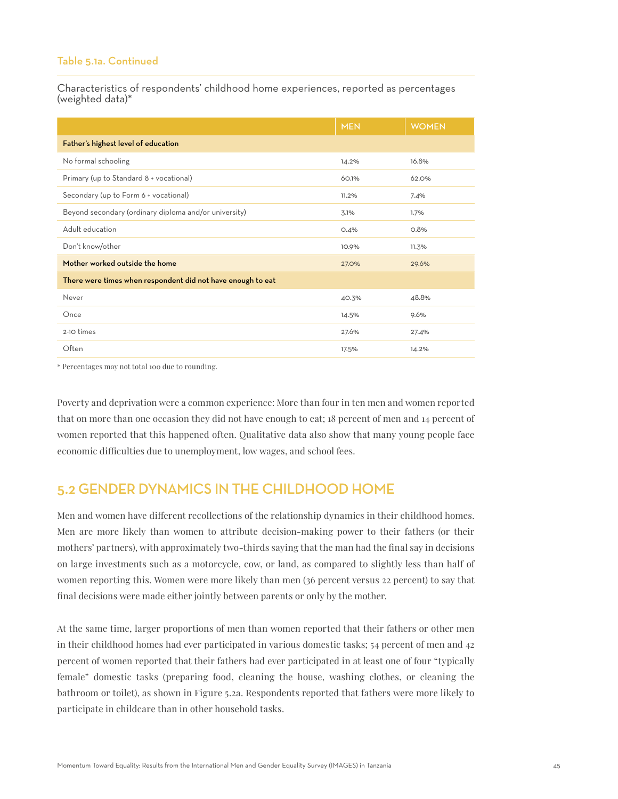#### Table 5.1a. Continued

Characteristics of respondents' childhood home experiences, reported as percentages (weighted data)\*

|                                                             | <b>MEN</b> | <b>WOMEN</b> |  |
|-------------------------------------------------------------|------------|--------------|--|
| Father's highest level of education                         |            |              |  |
| No formal schooling                                         | 14.2%      | 16.8%        |  |
| Primary (up to Standard 8 + vocational)                     | 60.1%      | 62.0%        |  |
| Secondary (up to Form 6 + vocational)                       | 11.2%      | 7.4%         |  |
| Beyond secondary (ordinary diploma and/or university)       | 3.1%       | 1.7%         |  |
| Adult education                                             | O.4%       | 0.8%         |  |
| Don't know/other                                            | 10.9%      | 11.3%        |  |
| Mother worked outside the home                              | 27.0%      | 29.6%        |  |
| There were times when respondent did not have enough to eat |            |              |  |
| Never                                                       | 40.3%      | 48.8%        |  |
| Once                                                        | 14.5%      | 9.6%         |  |
| 2-10 times                                                  | 27.6%      | 27.4%        |  |
| Often                                                       | 17.5%      | 14.2%        |  |

\* Percentages may not total 100 due to rounding.

Poverty and deprivation were a common experience: More than four in ten men and women reported that on more than one occasion they did not have enough to eat; 18 percent of men and 14 percent of women reported that this happened often. Qualitative data also show that many young people face economic difficulties due to unemployment, low wages, and school fees.

# 5.2 GENDER DYNAMICS IN THE CHILDHOOD HOME

Men and women have different recollections of the relationship dynamics in their childhood homes. Men are more likely than women to attribute decision-making power to their fathers (or their mothers' partners), with approximately two-thirds saying that the man had the final say in decisions on large investments such as a motorcycle, cow, or land, as compared to slightly less than half of women reporting this. Women were more likely than men (36 percent versus 22 percent) to say that final decisions were made either jointly between parents or only by the mother.

At the same time, larger proportions of men than women reported that their fathers or other men in their childhood homes had ever participated in various domestic tasks; 54 percent of men and 42 percent of women reported that their fathers had ever participated in at least one of four "typically female" domestic tasks (preparing food, cleaning the house, washing clothes, or cleaning the bathroom or toilet), as shown in Figure 5.2a. Respondents reported that fathers were more likely to participate in childcare than in other household tasks.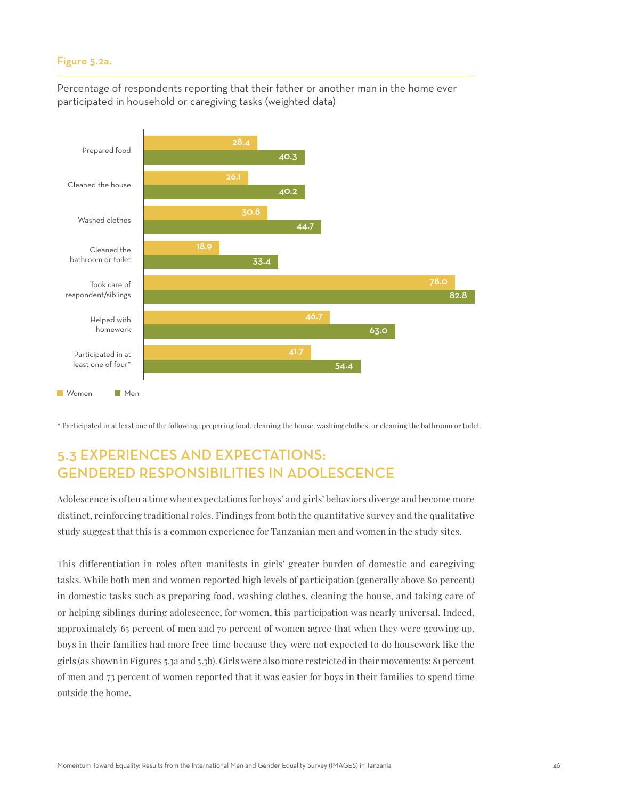#### Figure 5.2a.

Percentage of respondents reporting that their father or another man in the home ever participated in household or caregiving tasks (weighted data)



\* Participated in at least one of the following: preparing food, cleaning the house, washing clothes, or cleaning the bathroom or toilet.

# 5.3 EXPERIENCES AND EXPECTATIONS: GENDERED RESPONSIBILITIES IN ADOLESCENCE

Adolescence is often a time when expectations for boys' and girls' behaviors diverge and become more distinct, reinforcing traditional roles. Findings from both the quantitative survey and the qualitative study suggest that this is a common experience for Tanzanian men and women in the study sites.

This differentiation in roles often manifests in girls' greater burden of domestic and caregiving tasks. While both men and women reported high levels of participation (generally above 80 percent) in domestic tasks such as preparing food, washing clothes, cleaning the house, and taking care of or helping siblings during adolescence, for women, this participation was nearly universal. Indeed, approximately 65 percent of men and 70 percent of women agree that when they were growing up, boys in their families had more free time because they were not expected to do housework like the girls (as shown in Figures 5.3a and 5.3b). Girls were also more restricted in their movements: 81 percent of men and 73 percent of women reported that it was easier for boys in their families to spend time outside the home.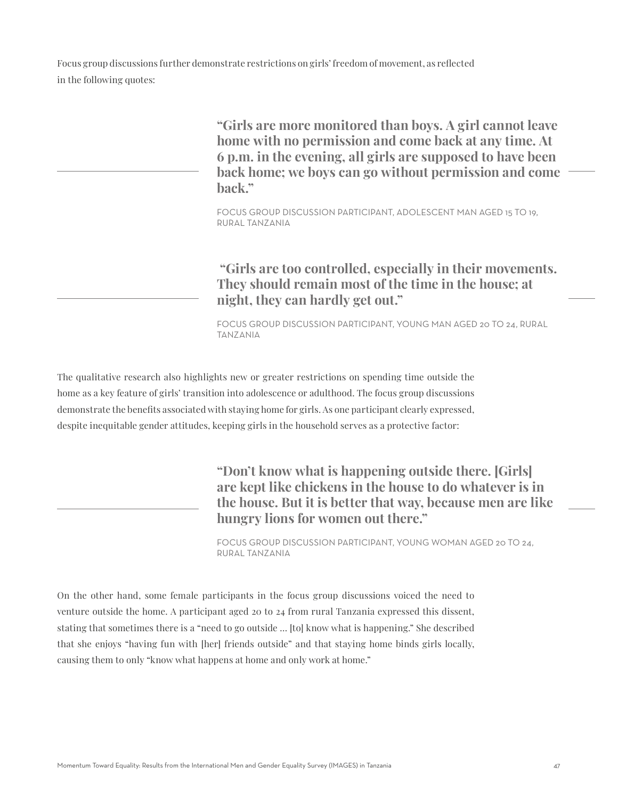Focus group discussions further demonstrate restrictions on girls' freedom of movement, as reflected in the following quotes:

> **"Girls are more monitored than boys. A girl cannot leave home with no permission and come back at any time. At 6 p.m. in the evening, all girls are supposed to have been back home; we boys can go without permission and come back."**

FOCUS GROUP DISCUSSION PARTICIPANT, ADOLESCENT MAN AGED 15 TO 19, RURAL TANZANIA

 **"Girls are too controlled, especially in their movements. They should remain most of the time in the house; at night, they can hardly get out."**

FOCUS GROUP DISCUSSION PARTICIPANT, YOUNG MAN AGED 20 TO 24, RURAL TANZANIA

The qualitative research also highlights new or greater restrictions on spending time outside the home as a key feature of girls' transition into adolescence or adulthood. The focus group discussions demonstrate the benefits associated with staying home for girls. As one participant clearly expressed, despite inequitable gender attitudes, keeping girls in the household serves as a protective factor:

> **"Don't know what is happening outside there. [Girls] are kept like chickens in the house to do whatever is in the house. But it is better that way, because men are like hungry lions for women out there."**

FOCUS GROUP DISCUSSION PARTICIPANT, YOUNG WOMAN AGED 20 TO 24, RURAL TANZANIA

On the other hand, some female participants in the focus group discussions voiced the need to venture outside the home. A participant aged 20 to 24 from rural Tanzania expressed this dissent, stating that sometimes there is a "need to go outside … [to] know what is happening." She described that she enjoys "having fun with [her] friends outside" and that staying home binds girls locally, causing them to only "know what happens at home and only work at home."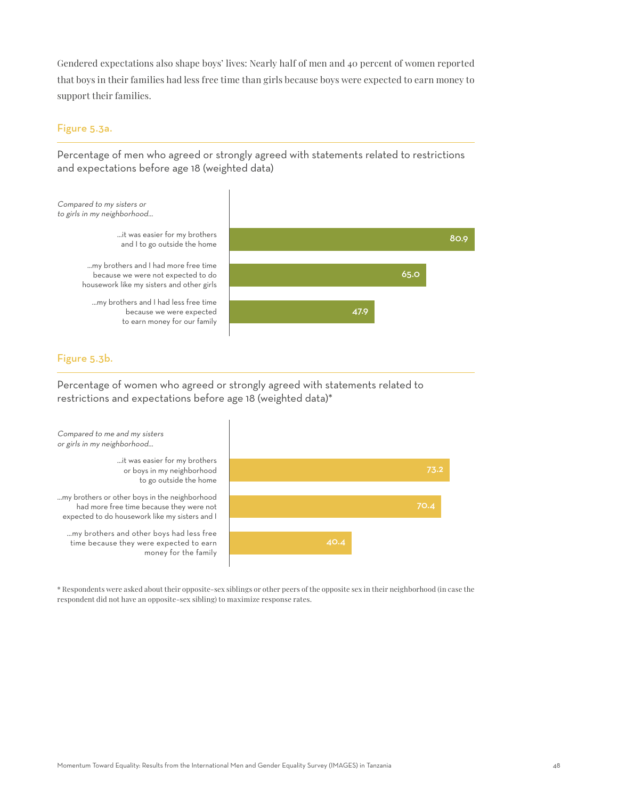Gendered expectations also shape boys' lives: Nearly half of men and 40 percent of women reported that boys in their families had less free time than girls because boys were expected to earn money to support their families.

#### Figure 5.3a.

Percentage of men who agreed or strongly agreed with statements related to restrictions and expectations before age 18 (weighted data)



## Figure 5.3b.

Percentage of women who agreed or strongly agreed with statements related to restrictions and expectations before age 18 (weighted data)\*



\* Respondents were asked about their opposite-sex siblings or other peers of the opposite sex in their neighborhood (in case the respondent did not have an opposite-sex sibling) to maximize response rates.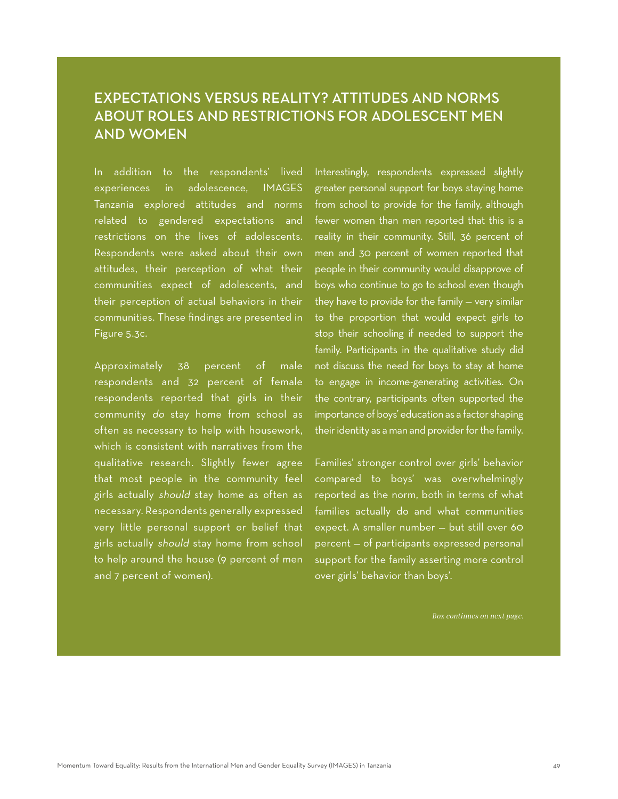# EXPECTATIONS VERSUS REALITY? ATTITUDES AND NORMS ABOUT ROLES AND RESTRICTIONS FOR ADOLESCENT MEN AND WOMEN

In addition to the respondents' lived experiences in adolescence, IMAGES Tanzania explored attitudes and norms related to gendered expectations and restrictions on the lives of adolescents. Respondents were asked about their own attitudes, their perception of what their communities expect of adolescents, and their perception of actual behaviors in their communities. These findings are presented in Figure 5.3c.

Approximately 38 percent of male respondents and 32 percent of female respondents reported that girls in their community do stay home from school as often as necessary to help with housework, which is consistent with narratives from the qualitative research. Slightly fewer agree that most people in the community feel girls actually should stay home as often as necessary. Respondents generally expressed very little personal support or belief that girls actually should stay home from school to help around the house (9 percent of men and 7 percent of women).

Interestingly, respondents expressed slightly greater personal support for boys staying home from school to provide for the family, although fewer women than men reported that this is a reality in their community. Still, 36 percent of men and 30 percent of women reported that people in their community would disapprove of boys who continue to go to school even though they have to provide for the family — very similar to the proportion that would expect girls to stop their schooling if needed to support the family. Participants in the qualitative study did not discuss the need for boys to stay at home to engage in income-generating activities. On the contrary, participants often supported the importance of boys' education as a factor shaping their identity as a man and provider for the family.

Families' stronger control over girls' behavior compared to boys' was overwhelmingly reported as the norm, both in terms of what families actually do and what communities expect. A smaller number — but still over 60 percent — of participants expressed personal support for the family asserting more control over girls' behavior than boys'.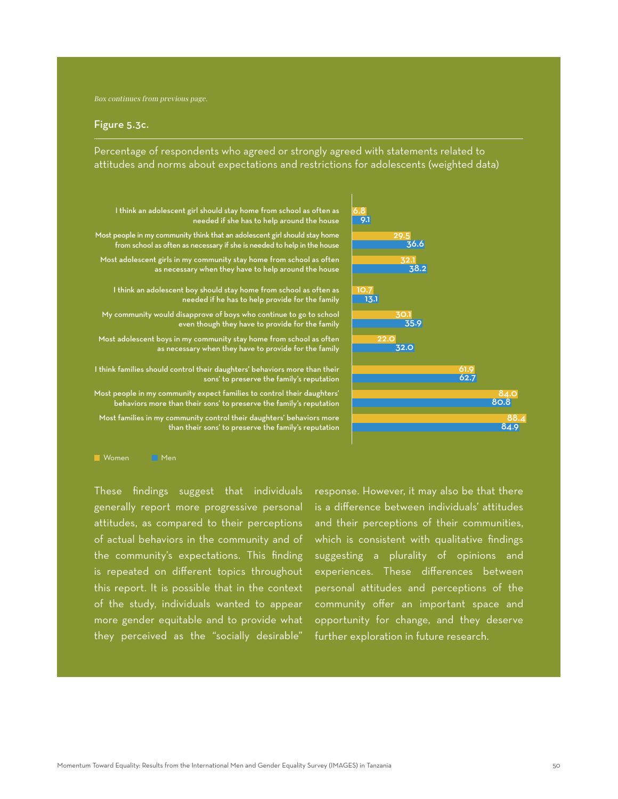#### Figure 5.3c.

Percentage of respondents who agreed or strongly agreed with statements related to attitudes and norms about expectations and restrictions for adolescents (weighted data)



I think an adolescent girl should stay home from school as often as needed if she has to help around the house Most people in my community think that an adolescent girl should stay home

from school as often as necessary if she is needed to help in the house

Most adolescent girls in my community stay home from school as often as necessary when they have to help around the house

I think an adolescent boy should stay home from school as often as needed if he has to help provide for the family

My community would disapprove of boys who continue to go to school even though they have to provide for the family

Most adolescent boys in my community stay home from school as often as necessary when they have to provide for the family

I think families should control their daughters' behaviors more than their sons' to preserve the family's reputation

Most people in my community expect families to control their daughters' behaviors more than their sons' to preserve the family's reputation

Most families in my community control their daughters' behaviors more than their sons' to preserve the family's reputation

**Momen** Men

These findings suggest that individuals generally report more progressive personal attitudes, as compared to their perceptions of actual behaviors in the community and of the community's expectations. This finding is repeated on different topics throughout this report. It is possible that in the context of the study, individuals wanted to appear more gender equitable and to provide what they perceived as the "socially desirable"

response. However, it may also be that there is a difference between individuals' attitudes and their perceptions of their communities, which is consistent with qualitative findings suggesting a plurality of opinions and experiences. These differences between personal attitudes and perceptions of the community offer an important space and opportunity for change, and they deserve further exploration in future research.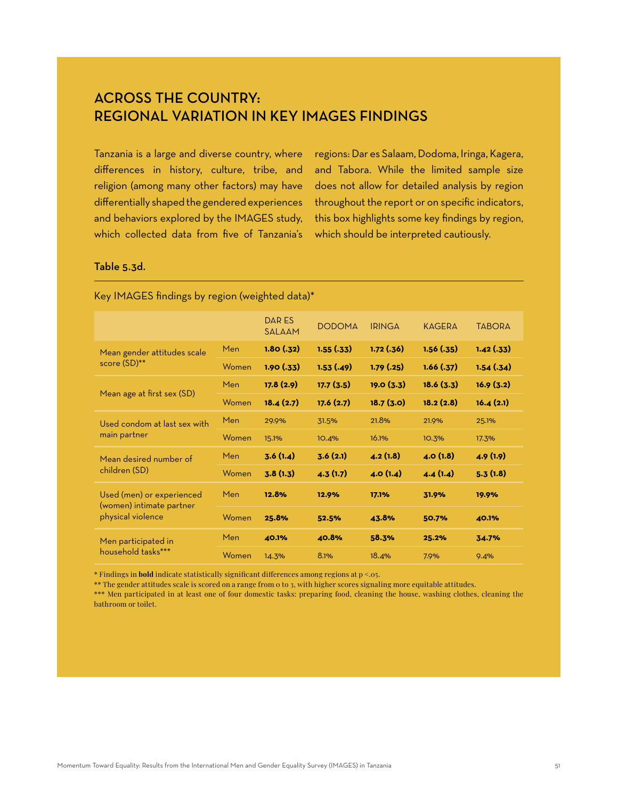# ACROSS THE COUNTRY: REGIONAL VARIATION IN KEY IMAGES FINDINGS

Tanzania is a large and diverse country, where differences in history, culture, tribe, and religion (among many other factors) may have differentially shaped the gendered experiences and behaviors explored by the IMAGES study, which collected data from five of Tanzania's

regions: Dar es Salaam, Dodoma, Iringa, Kagera, and Tabora. While the limited sample size does not allow for detailed analysis by region throughout the report or on specific indicators, this box highlights some key findings by region, which should be interpreted cautiously.

## Table 5.3d.

|                                                                            |       | <b>DARES</b><br><b>SALAAM</b> | <b>DODOMA</b> | <b>IRINGA</b> | <b>KAGERA</b> | <b>TABORA</b> |
|----------------------------------------------------------------------------|-------|-------------------------------|---------------|---------------|---------------|---------------|
| Mean gender attitudes scale<br>score (SD)**                                | Men   | 1.80(.32)                     | 1.55(.33)     | 1.72(.36)     | 1.56(.35)     | 1.42(.33)     |
|                                                                            | Women | 1.90(.33)                     | 1.53(.49)     | 1.79(0.25)    | 1.66(.37)     | 1.54(.34)     |
| Mean age at first sex (SD)                                                 | Men   | 17.8(2.9)                     | 17.7(3.5)     | 19.0(3.3)     | 18.6(3.3)     | 16.9(3.2)     |
|                                                                            | Women | 18.4(2.7)                     | 17.6(2.7)     | 18.7(3.0)     | 18.2(2.8)     | 16.4(2.1)     |
| Used condom at last sex with<br>main partner                               | Men   | 29.9%                         | 31.5%         | 21.8%         | 21.9%         | 25.1%         |
|                                                                            | Women | 15.1%                         | 10.4%         | 16.1%         | 10.3%         | 17.3%         |
| Mean desired number of<br>children (SD)                                    | Men   | 3.6(1.4)                      | 3.6(2.1)      | 4.2(1.8)      | 4.0(1.8)      | 4.9(1.9)      |
|                                                                            | Women | 3.8(1.3)                      | 4.3(1.7)      | 4.0(1.4)      | 4.4(1.4)      | 5.3(1.8)      |
| Used (men) or experienced<br>(women) intimate partner<br>physical violence | Men   | 12.8%                         | 12.9%         | 17.1%         | 31.9%         | 19.9%         |
|                                                                            | Women | 25.8%                         | 52.5%         | 43.8%         | 50.7%         | 40.1%         |
| Men participated in<br>household tasks***                                  | Men   | 40.1%                         | 40.8%         | 58.3%         | 25.2%         | 34.7%         |
|                                                                            | Women | 14.3%                         | 8.1%          | 18.4%         | 7.9%          | 9.4%          |

#### Key IMAGES findings by region (weighted data)\*

\* Findings in **bold** indicate statistically significant differences among regions at p <.05.

\*\* The gender attitudes scale is scored on a range from 0 to 3, with higher scores signaling more equitable attitudes.

\*\*\* Men participated in at least one of four domestic tasks: preparing food, cleaning the house, washing clothes, cleaning the bathroom or toilet.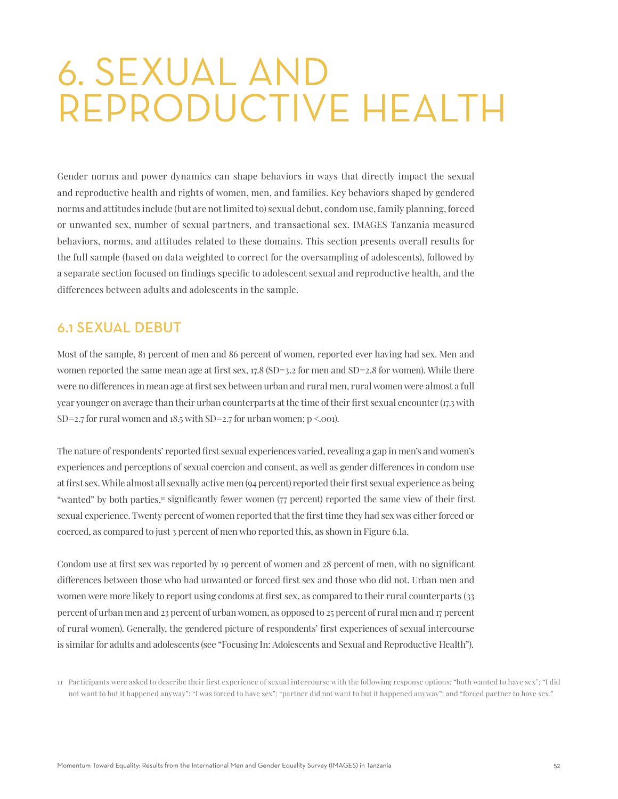# 6. SEXUAL AND REPRODUCTIVE HEALTH

Gender norms and power dynamics can shape behaviors in ways that directly impact the sexual and reproductive health and rights of women, men, and families. Key behaviors shaped by gendered norms and attitudes include (but are not limited to) sexual debut, condom use, family planning, forced or unwanted sex, number of sexual partners, and transactional sex. IMAGES Tanzania measured behaviors, norms, and attitudes related to these domains. This section presents overall results for the full sample (based on data weighted to correct for the oversampling of adolescents), followed by a separate section focused on findings specific to adolescent sexual and reproductive health, and the differences between adults and adolescents in the sample.

# 6.1 SEXUAL DEBUT

Most of the sample, 81 percent of men and 86 percent of women, reported ever having had sex. Men and women reported the same mean age at first sex,  $17.8$  (SD=3.2 for men and SD=2.8 for women). While there were no differences in mean age at first sex between urban and rural men, rural women were almost a full year younger on average than their urban counterparts at the time of their first sexual encounter (17.3 with SD=2.7 for rural women and  $18.5$  with SD=2.7 for urban women;  $p < .001$ .

The nature of respondents' reported first sexual experiences varied, revealing a gap in men's and women's experiences and perceptions of sexual coercion and consent, as well as gender differences in condom use at first sex. While almost all sexually active men (94 percent) reported their first sexual experience as being "wanted" by both parties," significantly fewer women (77 percent) reported the same view of their first sexual experience. Twenty percent of women reported that the first time they had sex was either forced or coerced, as compared to just 3 percent of men who reported this, as shown in Figure 6.1a.

Condom use at first sex was reported by 19 percent of women and 28 percent of men, with no significant differences between those who had unwanted or forced first sex and those who did not. Urban men and women were more likely to report using condoms at first sex, as compared to their rural counterparts (33 percent of urban men and 23 percent of urban women, as opposed to 25 percent of rural men and 17 percent of rural women). Generally, the gendered picture of respondents' first experiences of sexual intercourse is similar for adults and adolescents (see "Focusing In: Adolescents and Sexual and Reproductive Health").

<sup>11</sup> Participants were asked to describe their first experience of sexual intercourse with the following response options: "both wanted to have sex"; "I did not want to but it happened anyway"; "I was forced to have sex"; "partner did not want to but it happened anyway"; and "forced partner to have sex."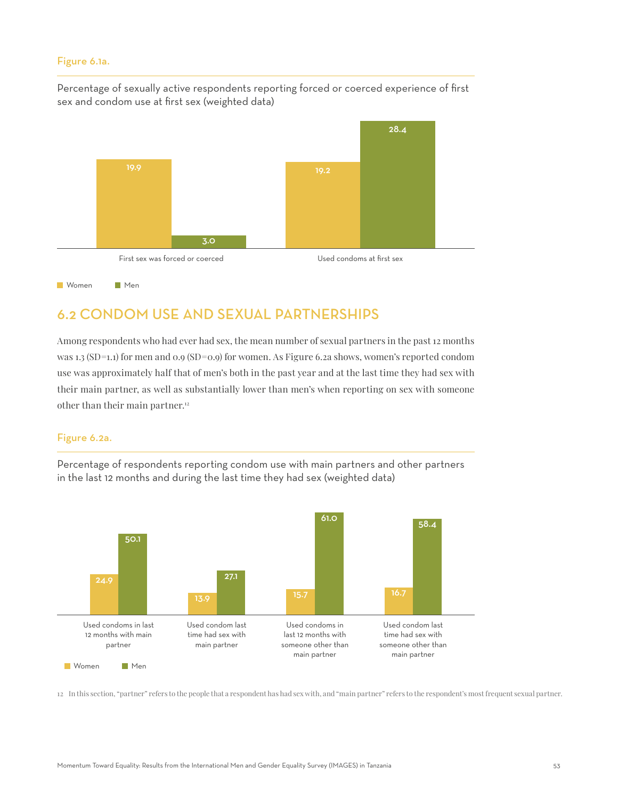#### Figure 6.1a.

Percentage of sexually active respondents reporting forced or coerced experience of first sex and condom use at first sex (weighted data)



# 6.2 CONDOM USE AND SEXUAL PARTNERSHIPS

Among respondents who had ever had sex, the mean number of sexual partners in the past 12 months was 1.3 (SD=1.1) for men and 0.9 (SD=0.9) for women. As Figure 6.2a shows, women's reported condom use was approximately half that of men's both in the past year and at the last time they had sex with their main partner, as well as substantially lower than men's when reporting on sex with someone other than their main partner.<sup>12</sup>

#### Figure 6.2a.

Percentage of respondents reporting condom use with main partners and other partners in the last 12 months and during the last time they had sex (weighted data)



12 In this section, "partner" refers to the people that a respondent has had sex with, and "main partner" refers to the respondent's most frequent sexual partner.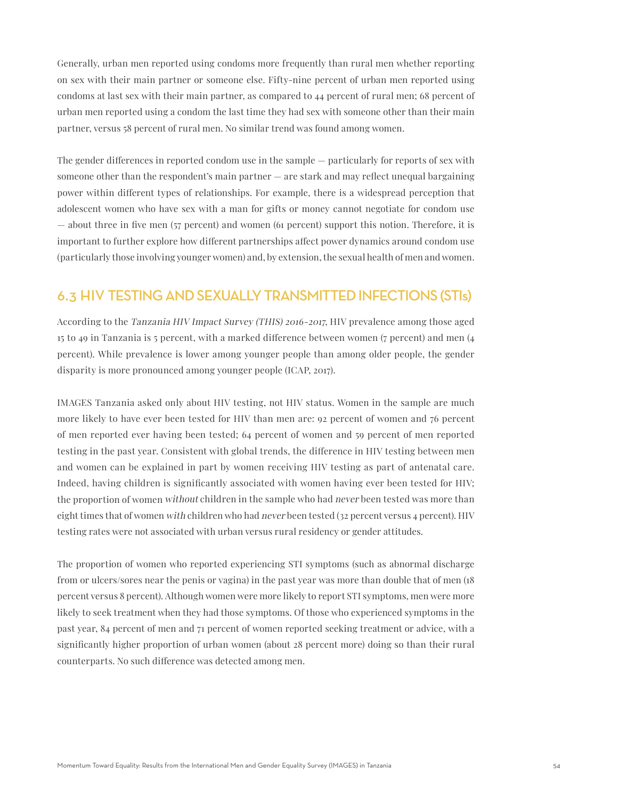Generally, urban men reported using condoms more frequently than rural men whether reporting on sex with their main partner or someone else. Fifty-nine percent of urban men reported using condoms at last sex with their main partner, as compared to 44 percent of rural men; 68 percent of urban men reported using a condom the last time they had sex with someone other than their main partner, versus 58 percent of rural men. No similar trend was found among women.

The gender differences in reported condom use in the sample — particularly for reports of sex with someone other than the respondent's main partner — are stark and may reflect unequal bargaining power within different types of relationships. For example, there is a widespread perception that adolescent women who have sex with a man for gifts or money cannot negotiate for condom use — about three in five men (57 percent) and women (61 percent) support this notion. Therefore, it is important to further explore how different partnerships affect power dynamics around condom use (particularly those involving younger women) and, by extension, the sexual health of men and women.

# 6.3 HIV TESTING AND SEXUALLY TRANSMITTED INFECTIONS (STIs)

According to the Tanzania HIV Impact Survey (THIS) 2016-2017, HIV prevalence among those aged 15 to 49 in Tanzania is 5 percent, with a marked difference between women (7 percent) and men (4 percent). While prevalence is lower among younger people than among older people, the gender disparity is more pronounced among younger people (ICAP, 2017).

IMAGES Tanzania asked only about HIV testing, not HIV status. Women in the sample are much more likely to have ever been tested for HIV than men are: 92 percent of women and 76 percent of men reported ever having been tested; 64 percent of women and 59 percent of men reported testing in the past year. Consistent with global trends, the difference in HIV testing between men and women can be explained in part by women receiving HIV testing as part of antenatal care. Indeed, having children is significantly associated with women having ever been tested for HIV; the proportion of women without children in the sample who had never been tested was more than eight times that of women with children who had never been tested (32 percent versus 4 percent). HIV testing rates were not associated with urban versus rural residency or gender attitudes.

The proportion of women who reported experiencing STI symptoms (such as abnormal discharge from or ulcers/sores near the penis or vagina) in the past year was more than double that of men (18 percent versus 8 percent). Although women were more likely to report STI symptoms, men were more likely to seek treatment when they had those symptoms. Of those who experienced symptoms in the past year, 84 percent of men and 71 percent of women reported seeking treatment or advice, with a significantly higher proportion of urban women (about 28 percent more) doing so than their rural counterparts. No such difference was detected among men.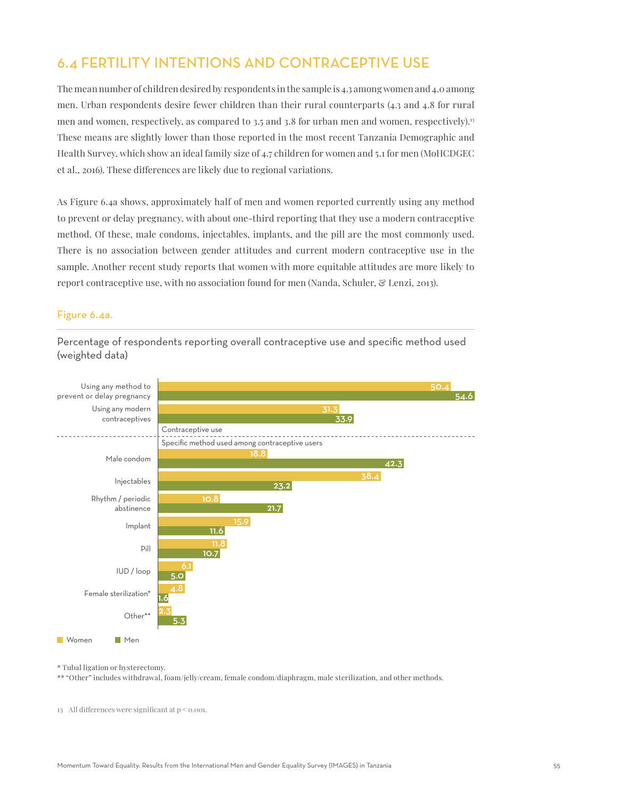# 6.4 FERTILITY INTENTIONS AND CONTRACEPTIVE USE

The mean number of children desired by respondents in the sample is 4.3 among women and 4.0 among men. Urban respondents desire fewer children than their rural counterparts (4.3 and 4.8 for rural men and women, respectively, as compared to 3.5 and 3.8 for urban men and women, respectively).<sup>13</sup> These means are slightly lower than those reported in the most recent Tanzania Demographic and Health Survey, which show an ideal family size of 4.7 children for women and 5.1 for men (MoHCDGEC et al., 2016). These differences are likely due to regional variations.

As Figure 6.4a shows, approximately half of men and women reported currently using any method to prevent or delay pregnancy, with about one-third reporting that they use a modern contraceptive method. Of these, male condoms, injectables, implants, and the pill are the most commonly used. There is no association between gender attitudes and current modern contraceptive use in the sample. Another recent study reports that women with more equitable attitudes are more likely to report contraceptive use, with no association found for men (Nanda, Schuler, & Lenzi, 2013).

#### Figure 6.4a.



Percentage of respondents reporting overall contraceptive use and specific method used (weighted data)

\* Tubal ligation or hysterectomy.

\*\* "Other" includes withdrawal, foam/jelly/cream, female condom/diaphragm, male sterilization, and other methods.

13 All differences were significant at p < 0.001.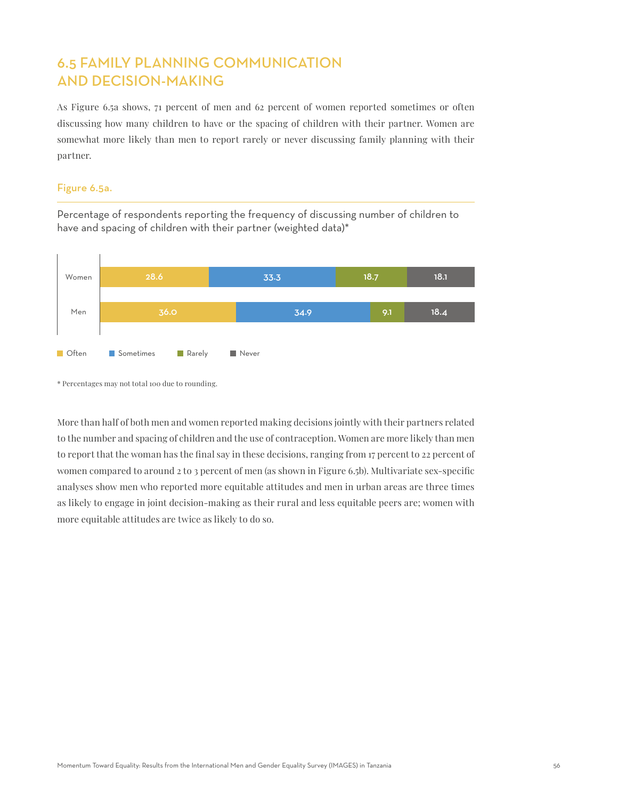# 6.5 FAMILY PLANNING COMMUNICATION AND DECISION-MAKING

As Figure 6.5a shows, 71 percent of men and 62 percent of women reported sometimes or often discussing how many children to have or the spacing of children with their partner. Women are somewhat more likely than men to report rarely or never discussing family planning with their partner.

#### Figure 6.5a.

Percentage of respondents reporting the frequency of discussing number of children to have and spacing of children with their partner (weighted data)\*



<sup>\*</sup> Percentages may not total 100 due to rounding.

More than half of both men and women reported making decisions jointly with their partners related to the number and spacing of children and the use of contraception. Women are more likely than men to report that the woman has the final say in these decisions, ranging from 17 percent to 22 percent of women compared to around 2 to 3 percent of men (as shown in Figure 6.5b). Multivariate sex-specific analyses show men who reported more equitable attitudes and men in urban areas are three times as likely to engage in joint decision-making as their rural and less equitable peers are; women with more equitable attitudes are twice as likely to do so.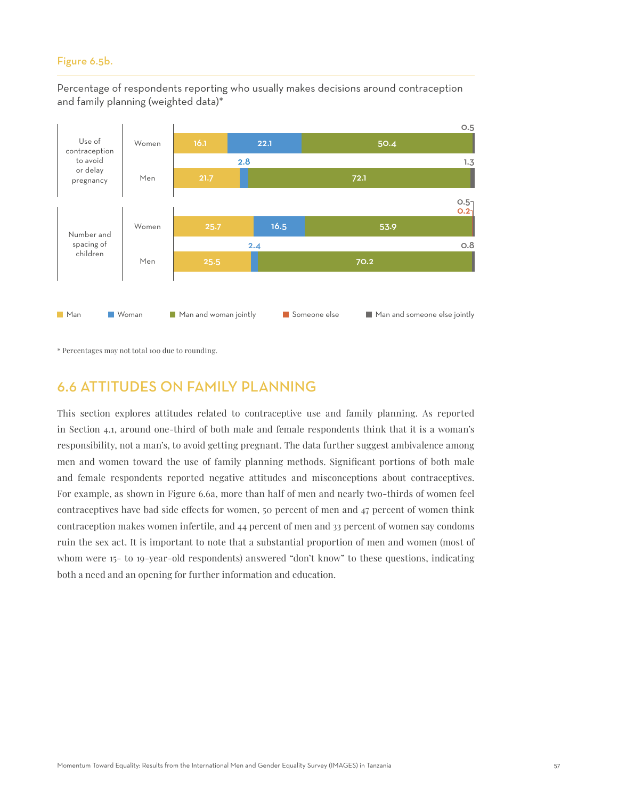#### Figure 6.5b.

Percentage of respondents reporting who usually makes decisions around contraception and family planning (weighted data)\*



\* Percentages may not total 100 due to rounding.

# 6.6 ATTITUDES ON FAMILY PLANNING

This section explores attitudes related to contraceptive use and family planning. As reported in Section 4.1, around one-third of both male and female respondents think that it is a woman's responsibility, not a man's, to avoid getting pregnant. The data further suggest ambivalence among men and women toward the use of family planning methods. Significant portions of both male and female respondents reported negative attitudes and misconceptions about contraceptives. For example, as shown in Figure 6.6a, more than half of men and nearly two-thirds of women feel contraceptives have bad side effects for women, 50 percent of men and 47 percent of women think contraception makes women infertile, and 44 percent of men and 33 percent of women say condoms ruin the sex act. It is important to note that a substantial proportion of men and women (most of whom were 15- to 19-year-old respondents) answered "don't know" to these questions, indicating both a need and an opening for further information and education.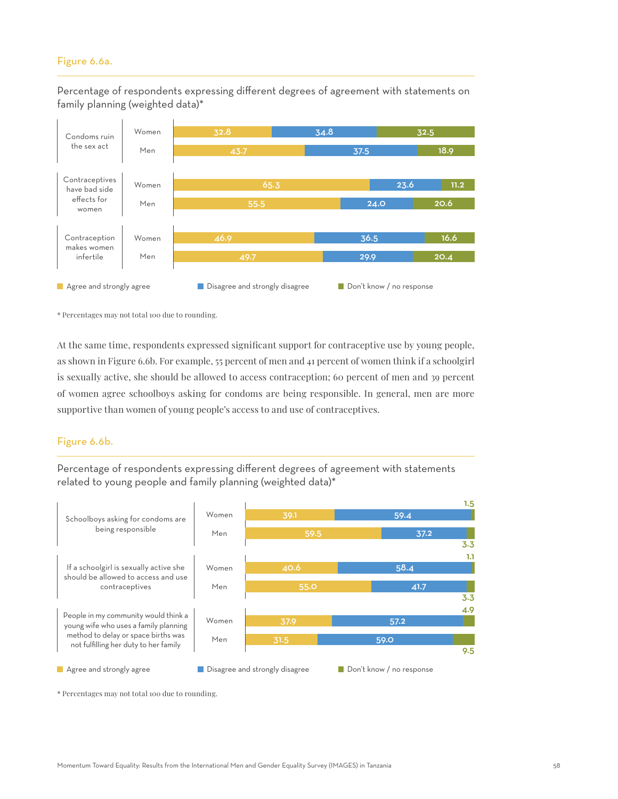#### Figure 6.6a.

Percentage of respondents expressing different degrees of agreement with statements on family planning (weighted data)\*



\* Percentages may not total 100 due to rounding.

At the same time, respondents expressed significant support for contraceptive use by young people, as shown in Figure 6.6b. For example, 55 percent of men and 41 percent of women think if a schoolgirl is sexually active, she should be allowed to access contraception; 60 percent of men and 39 percent of women agree schoolboys asking for condoms are being responsible. In general, men are more supportive than women of young people's access to and use of contraceptives.

#### Figure 6.6b.

Percentage of respondents expressing different degrees of agreement with statements related to young people and family planning (weighted data)\*



\* Percentages may not total 100 due to rounding.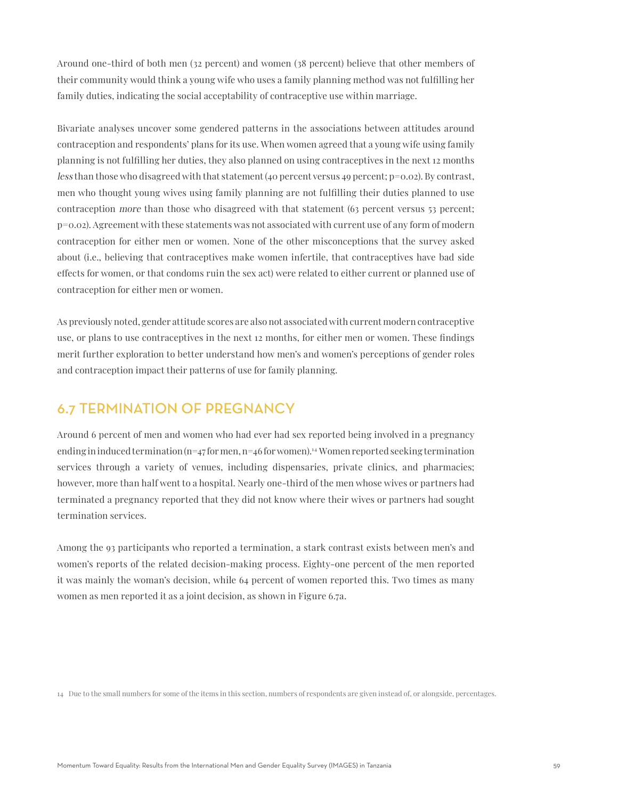Around one-third of both men (32 percent) and women (38 percent) believe that other members of their community would think a young wife who uses a family planning method was not fulfilling her family duties, indicating the social acceptability of contraceptive use within marriage.

Bivariate analyses uncover some gendered patterns in the associations between attitudes around contraception and respondents' plans for its use. When women agreed that a young wife using family planning is not fulfilling her duties, they also planned on using contraceptives in the next 12 months less than those who disagreed with that statement (40 percent versus 49 percent; p=0.02). By contrast, men who thought young wives using family planning are not fulfilling their duties planned to use contraception more than those who disagreed with that statement (63 percent versus 53 percent; p=0.02). Agreement with these statements was not associated with current use of any form of modern contraception for either men or women. None of the other misconceptions that the survey asked about (i.e., believing that contraceptives make women infertile, that contraceptives have bad side effects for women, or that condoms ruin the sex act) were related to either current or planned use of contraception for either men or women.

As previously noted, gender attitude scores are also not associated with current modern contraceptive use, or plans to use contraceptives in the next 12 months, for either men or women. These findings merit further exploration to better understand how men's and women's perceptions of gender roles and contraception impact their patterns of use for family planning.

# 6.7 TERMINATION OF PREGNANCY

Around 6 percent of men and women who had ever had sex reported being involved in a pregnancy ending in induced termination  $(n=47$  for men,  $n=46$  for women).<sup>14</sup> Women reported seeking termination services through a variety of venues, including dispensaries, private clinics, and pharmacies; however, more than half went to a hospital. Nearly one-third of the men whose wives or partners had terminated a pregnancy reported that they did not know where their wives or partners had sought termination services.

Among the 93 participants who reported a termination, a stark contrast exists between men's and women's reports of the related decision-making process. Eighty-one percent of the men reported it was mainly the woman's decision, while 64 percent of women reported this. Two times as many women as men reported it as a joint decision, as shown in Figure 6.7a.

<sup>14</sup> Due to the small numbers for some of the items in this section, numbers of respondents are given instead of, or alongside, percentages.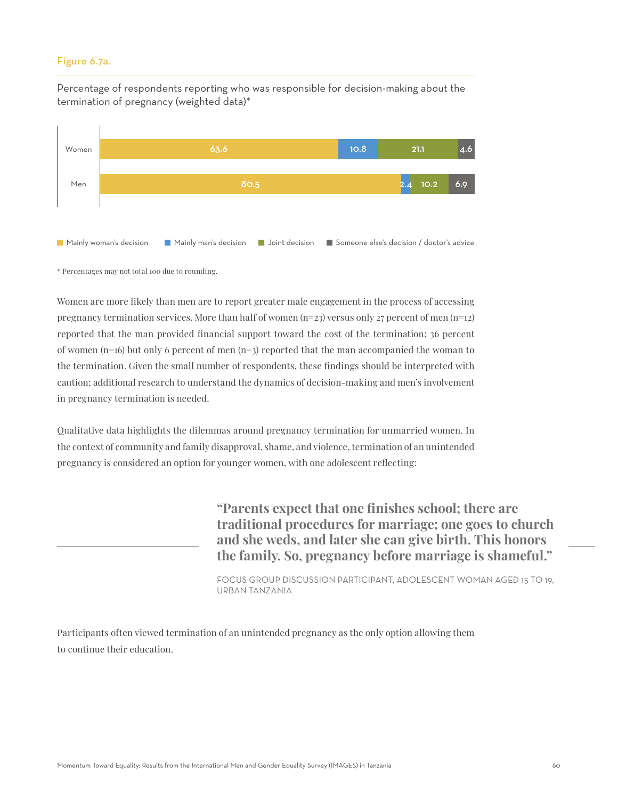#### Figure 6.7a.

Percentage of respondents reporting who was responsible for decision-making about the termination of pregnancy (weighted data)\*



\* Percentages may not total 100 due to rounding.

Women are more likely than men are to report greater male engagement in the process of accessing pregnancy termination services. More than half of women (n=23) versus only 27 percent of men (n=12) reported that the man provided financial support toward the cost of the termination; 36 percent of women (n=16) but only 6 percent of men (n=3) reported that the man accompanied the woman to the termination. Given the small number of respondents, these findings should be interpreted with caution; additional research to understand the dynamics of decision-making and men's involvement in pregnancy termination is needed.

Qualitative data highlights the dilemmas around pregnancy termination for unmarried women. In the context of community and family disapproval, shame, and violence, termination of an unintended pregnancy is considered an option for younger women, with one adolescent reflecting:

> **"Parents expect that one finishes school; there are traditional procedures for marriage; one goes to church and she weds, and later she can give birth. This honors the family. So, pregnancy before marriage is shameful."**

> FOCUS GROUP DISCUSSION PARTICIPANT, ADOLESCENT WOMAN AGED 15 TO 19, URBAN TANZANIA

Participants often viewed termination of an unintended pregnancy as the only option allowing them to continue their education.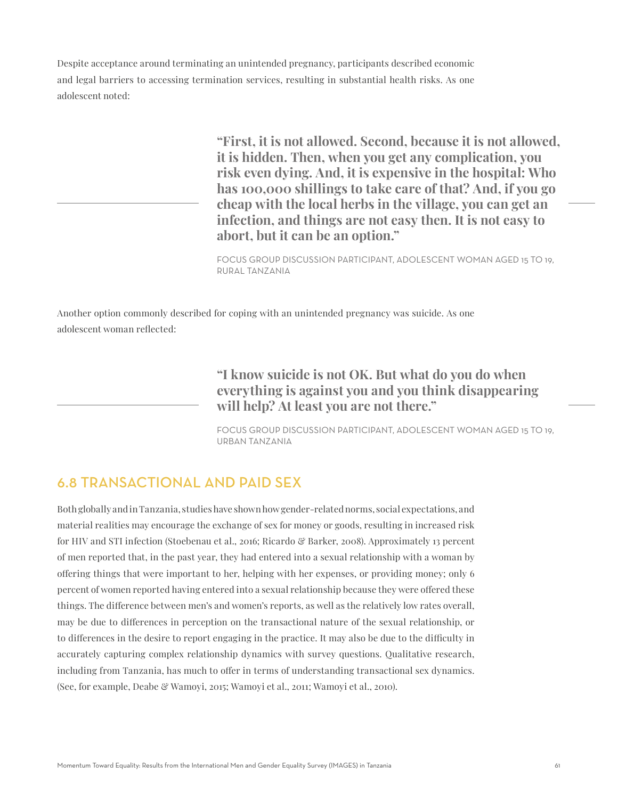Despite acceptance around terminating an unintended pregnancy, participants described economic and legal barriers to accessing termination services, resulting in substantial health risks. As one adolescent noted:

> **"First, it is not allowed. Second, because it is not allowed, it is hidden. Then, when you get any complication, you risk even dying. And, it is expensive in the hospital: Who has 100,000 shillings to take care of that? And, if you go cheap with the local herbs in the village, you can get an infection, and things are not easy then. It is not easy to abort, but it can be an option."**

FOCUS GROUP DISCUSSION PARTICIPANT, ADOLESCENT WOMAN AGED 15 TO 19, RURAL TANZANIA

Another option commonly described for coping with an unintended pregnancy was suicide. As one adolescent woman reflected:

> **"I know suicide is not OK. But what do you do when everything is against you and you think disappearing will help? At least you are not there."**

FOCUS GROUP DISCUSSION PARTICIPANT, ADOLESCENT WOMAN AGED 15 TO 19, URBAN TANZANIA

# 6.8 TRANSACTIONAL AND PAID SEX

Both globally and in Tanzania, studies have shown how gender-related norms, social expectations, and material realities may encourage the exchange of sex for money or goods, resulting in increased risk for HIV and STI infection (Stoebenau et al., 2016; Ricardo & Barker, 2008). Approximately 13 percent of men reported that, in the past year, they had entered into a sexual relationship with a woman by offering things that were important to her, helping with her expenses, or providing money; only 6 percent of women reported having entered into a sexual relationship because they were offered these things. The difference between men's and women's reports, as well as the relatively low rates overall, may be due to differences in perception on the transactional nature of the sexual relationship, or to differences in the desire to report engaging in the practice. It may also be due to the difficulty in accurately capturing complex relationship dynamics with survey questions. Qualitative research, including from Tanzania, has much to offer in terms of understanding transactional sex dynamics. (See, for example, Deabe & Wamoyi, 2015; Wamoyi et al., 2011; Wamoyi et al., 2010).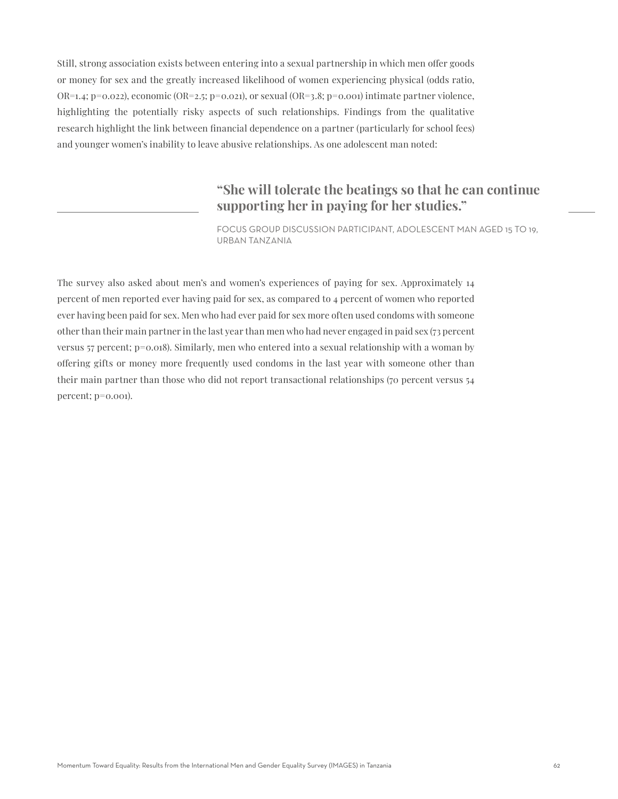Still, strong association exists between entering into a sexual partnership in which men offer goods or money for sex and the greatly increased likelihood of women experiencing physical (odds ratio, OR=1.4; p=0.022), economic (OR=2.5; p=0.021), or sexual (OR=3.8; p=0.001) intimate partner violence, highlighting the potentially risky aspects of such relationships. Findings from the qualitative research highlight the link between financial dependence on a partner (particularly for school fees) and younger women's inability to leave abusive relationships. As one adolescent man noted:

# **"She will tolerate the beatings so that he can continue supporting her in paying for her studies."**

FOCUS GROUP DISCUSSION PARTICIPANT, ADOLESCENT MAN AGED 15 TO 19, URBAN TANZANIA

The survey also asked about men's and women's experiences of paying for sex. Approximately 14 percent of men reported ever having paid for sex, as compared to 4 percent of women who reported ever having been paid for sex. Men who had ever paid for sex more often used condoms with someone other than their main partner in the last year than men who had never engaged in paid sex (73 percent versus 57 percent; p=0.018). Similarly, men who entered into a sexual relationship with a woman by offering gifts or money more frequently used condoms in the last year with someone other than their main partner than those who did not report transactional relationships (70 percent versus 54 percent; p=0.001).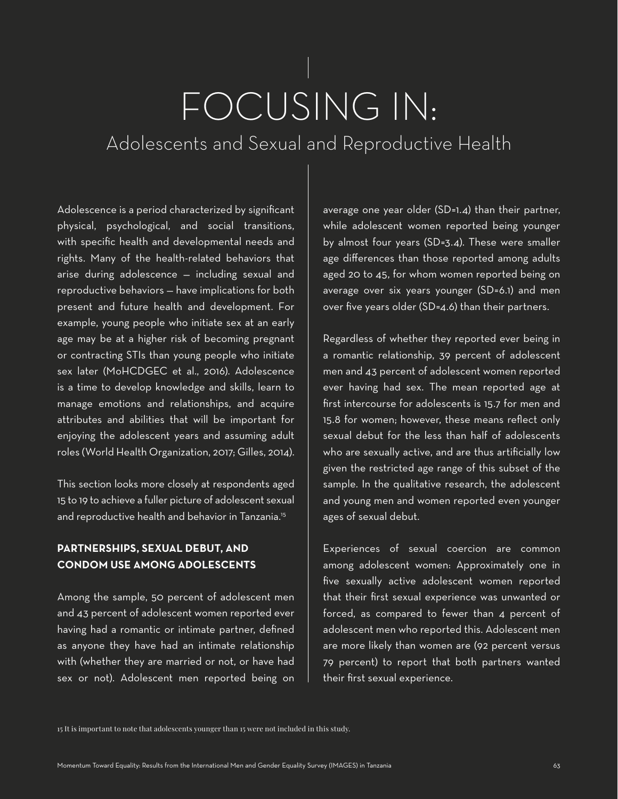# FOCUSING IN:

Adolescents and Sexual and Reproductive Health

Adolescence is a period characterized by significant physical, psychological, and social transitions, with specific health and developmental needs and rights. Many of the health-related behaviors that arise during adolescence — including sexual and reproductive behaviors — have implications for both present and future health and development. For example, young people who initiate sex at an early age may be at a higher risk of becoming pregnant or contracting STIs than young people who initiate sex later (MoHCDGEC et al., 2016). Adolescence is a time to develop knowledge and skills, learn to manage emotions and relationships, and acquire attributes and abilities that will be important for enjoying the adolescent years and assuming adult roles (World Health Organization, 2017; Gilles, 2014).

This section looks more closely at respondents aged 15 to 19 to achieve a fuller picture of adolescent sexual and reproductive health and behavior in Tanzania.<sup>15</sup>

# **PARTNERSHIPS, SEXUAL DEBUT, AND CONDOM USE AMONG ADOLESCENTS**

Among the sample, 50 percent of adolescent men and 43 percent of adolescent women reported ever having had a romantic or intimate partner, defined as anyone they have had an intimate relationship with (whether they are married or not, or have had sex or not). Adolescent men reported being on

average one year older (SD=1.4) than their partner, while adolescent women reported being younger by almost four years (SD=3.4). These were smaller age differences than those reported among adults aged 20 to 45, for whom women reported being on average over six years younger (SD=6.1) and men over five years older (SD=4.6) than their partners.

Regardless of whether they reported ever being in a romantic relationship, 39 percent of adolescent men and 43 percent of adolescent women reported ever having had sex. The mean reported age at first intercourse for adolescents is 15.7 for men and 15.8 for women; however, these means reflect only sexual debut for the less than half of adolescents who are sexually active, and are thus artificially low given the restricted age range of this subset of the sample. In the qualitative research, the adolescent and young men and women reported even younger ages of sexual debut.

Experiences of sexual coercion are common among adolescent women: Approximately one in five sexually active adolescent women reported that their first sexual experience was unwanted or forced, as compared to fewer than 4 percent of adolescent men who reported this. Adolescent men are more likely than women are (92 percent versus 79 percent) to report that both partners wanted their first sexual experience.

15 It is important to note that adolescents younger than 15 were not included in this study.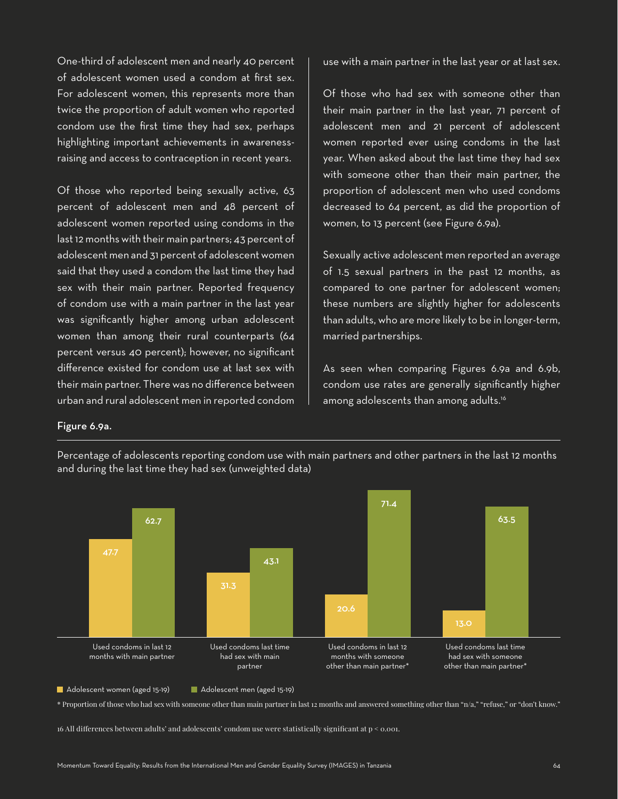One-third of adolescent men and nearly 40 percent of adolescent women used a condom at first sex. For adolescent women, this represents more than twice the proportion of adult women who reported condom use the first time they had sex, perhaps highlighting important achievements in awarenessraising and access to contraception in recent years.

Of those who reported being sexually active, 63 percent of adolescent men and 48 percent of adolescent women reported using condoms in the last 12 months with their main partners; 43 percent of adolescent men and 31 percent of adolescent women said that they used a condom the last time they had sex with their main partner. Reported frequency of condom use with a main partner in the last year was significantly higher among urban adolescent women than among their rural counterparts (64 percent versus 40 percent); however, no significant difference existed for condom use at last sex with their main partner. There was no difference between urban and rural adolescent men in reported condom

use with a main partner in the last year or at last sex.

Of those who had sex with someone other than their main partner in the last year, 71 percent of adolescent men and 21 percent of adolescent women reported ever using condoms in the last year. When asked about the last time they had sex with someone other than their main partner, the proportion of adolescent men who used condoms decreased to 64 percent, as did the proportion of women, to 13 percent (see Figure 6.9a).

Sexually active adolescent men reported an average of 1.5 sexual partners in the past 12 months, as compared to one partner for adolescent women; these numbers are slightly higher for adolescents than adults, who are more likely to be in longer-term, married partnerships.

As seen when comparing Figures 6.9a and 6.9b, condom use rates are generally significantly higher among adolescents than among adults.<sup>16</sup>

#### Figure 6.9a.





Adolescent women (aged 15-19) Adolescent men (aged 15-19)

\* Proportion of those who had sex with someone other than main partner in last 12 months and answered something other than "n/a," "refuse," or "don't know."

16 All differences between adults' and adolescents' condom use were statistically significant at p < 0.001.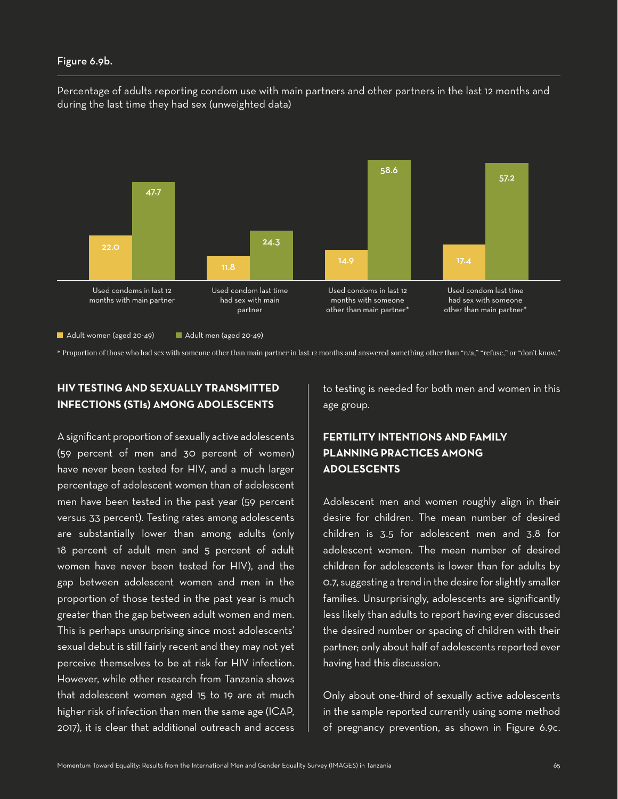#### Figure 6.9b.

Percentage of adults reporting condom use with main partners and other partners in the last 12 months and during the last time they had sex (unweighted data)



Adult women (aged 20-49) Adult men (aged 20-49)

\* Proportion of those who had sex with someone other than main partner in last 12 months and answered something other than "n/a," "refuse," or "don't know."

# **HIV TESTING AND SEXUALLY TRANSMITTED INFECTIONS (STIs) AMONG ADOLESCENTS**

A significant proportion of sexually active adolescents (59 percent of men and 30 percent of women) have never been tested for HIV, and a much larger percentage of adolescent women than of adolescent men have been tested in the past year (59 percent versus 33 percent). Testing rates among adolescents are substantially lower than among adults (only 18 percent of adult men and 5 percent of adult women have never been tested for HIV), and the gap between adolescent women and men in the proportion of those tested in the past year is much greater than the gap between adult women and men. This is perhaps unsurprising since most adolescents' sexual debut is still fairly recent and they may not yet perceive themselves to be at risk for HIV infection. However, while other research from Tanzania shows that adolescent women aged 15 to 19 are at much higher risk of infection than men the same age (ICAP, 2017), it is clear that additional outreach and access

to testing is needed for both men and women in this age group.

# **FERTILITY INTENTIONS AND FAMILY PLANNING PRACTICES AMONG ADOLESCENTS**

Adolescent men and women roughly align in their desire for children. The mean number of desired children is 3.5 for adolescent men and 3.8 for adolescent women. The mean number of desired children for adolescents is lower than for adults by 0.7, suggesting a trend in the desire for slightly smaller families. Unsurprisingly, adolescents are significantly less likely than adults to report having ever discussed the desired number or spacing of children with their partner; only about half of adolescents reported ever having had this discussion.

Only about one-third of sexually active adolescents in the sample reported currently using some method of pregnancy prevention, as shown in Figure 6.9c.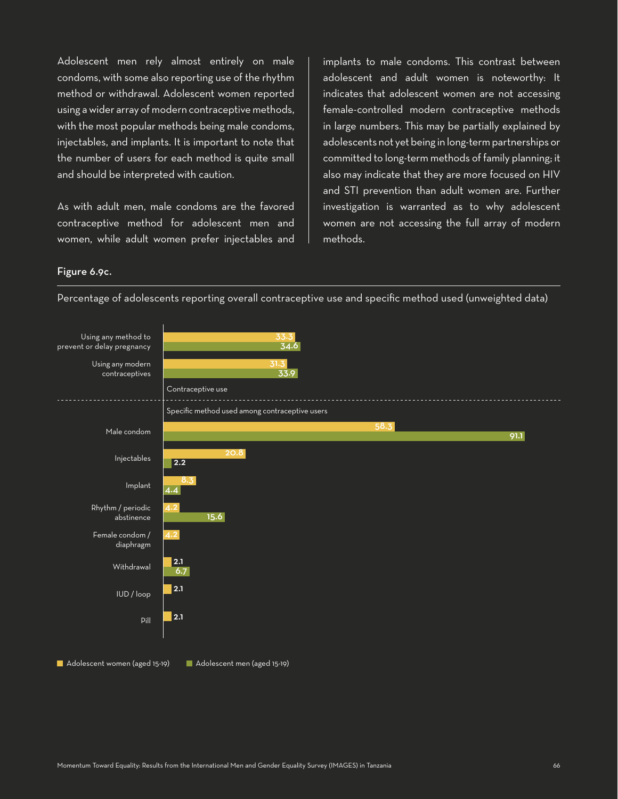Adolescent men rely almost entirely on male condoms, with some also reporting use of the rhythm method or withdrawal. Adolescent women reported using a wider array of modern contraceptive methods, with the most popular methods being male condoms, injectables, and implants. It is important to note that the number of users for each method is quite small and should be interpreted with caution.

As with adult men, male condoms are the favored contraceptive method for adolescent men and women, while adult women prefer injectables and implants to male condoms. This contrast between adolescent and adult women is noteworthy: It indicates that adolescent women are not accessing female-controlled modern contraceptive methods in large numbers. This may be partially explained by adolescents not yet being in long-term partnerships or committed to long-term methods of family planning; it also may indicate that they are more focused on HIV and STI prevention than adult women are. Further investigation is warranted as to why adolescent women are not accessing the full array of modern methods.

#### Figure 6.9c.

Percentage of adolescents reporting overall contraceptive use and specific method used (unweighted data)

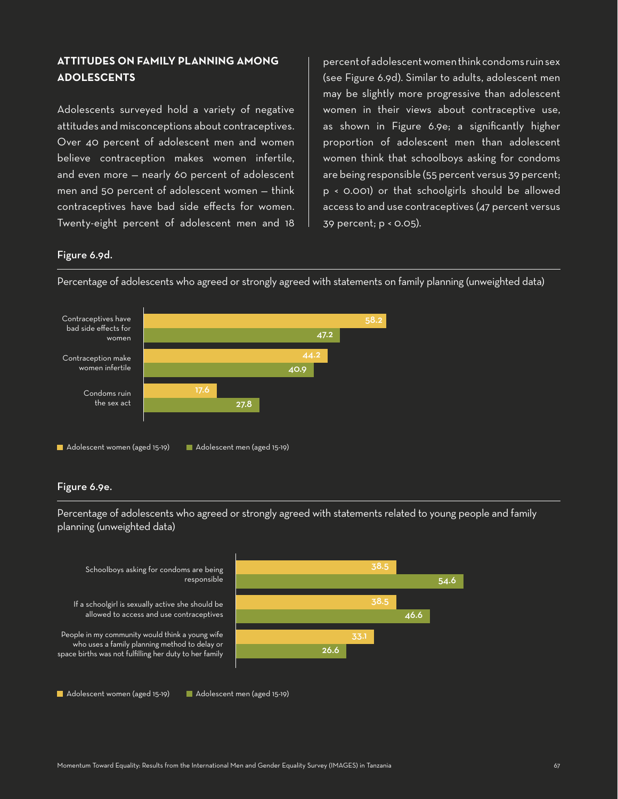## **ATTITUDES ON FAMILY PLANNING AMONG ADOLESCENTS**

Adolescents surveyed hold a variety of negative attitudes and misconceptions about contraceptives. Over 40 percent of adolescent men and women believe contraception makes women infertile, and even more — nearly 60 percent of adolescent men and 50 percent of adolescent women — think contraceptives have bad side effects for women. Twenty-eight percent of adolescent men and 18

percent of adolescent women think condoms ruin sex (see Figure 6.9d). Similar to adults, adolescent men may be slightly more progressive than adolescent women in their views about contraceptive use, as shown in Figure 6.9e; a significantly higher proportion of adolescent men than adolescent women think that schoolboys asking for condoms are being responsible (55 percent versus 39 percent; p < 0.001) or that schoolgirls should be allowed access to and use contraceptives (47 percent versus 39 percent; p < 0.05).

#### Figure 6.9d.



Percentage of adolescents who agreed or strongly agreed with statements on family planning (unweighted data)

#### Figure 6.9e.

Percentage of adolescents who agreed or strongly agreed with statements related to young people and family planning (unweighted data)



Adolescent women (aged 15-19) Adolescent men (aged 15-19)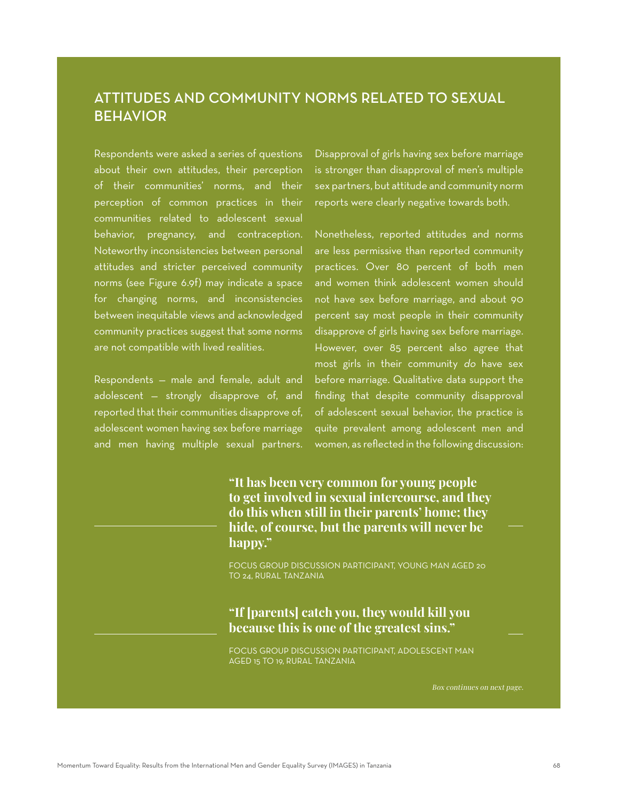# ATTITUDES AND COMMUNITY NORMS RELATED TO SEXUAL BEHAVIOR

Respondents were asked a series of questions about their own attitudes, their perception of their communities' norms, and their perception of common practices in their communities related to adolescent sexual behavior, pregnancy, and contraception. Noteworthy inconsistencies between personal attitudes and stricter perceived community norms (see Figure 6.9f) may indicate a space for changing norms, and inconsistencies between inequitable views and acknowledged community practices suggest that some norms are not compatible with lived realities.

Respondents — male and female, adult and adolescent — strongly disapprove of, and reported that their communities disapprove of, adolescent women having sex before marriage and men having multiple sexual partners.

Disapproval of girls having sex before marriage is stronger than disapproval of men's multiple sex partners, but attitude and community norm reports were clearly negative towards both.

Nonetheless, reported attitudes and norms are less permissive than reported community practices. Over 80 percent of both men and women think adolescent women should not have sex before marriage, and about 90 percent say most people in their community disapprove of girls having sex before marriage. However, over 85 percent also agree that most girls in their community do have sex before marriage. Qualitative data support the finding that despite community disapproval of adolescent sexual behavior, the practice is quite prevalent among adolescent men and women, as reflected in the following discussion:

**"It has been very common for young people to get involved in sexual intercourse, and they do this when still in their parents' home; they hide, of course, but the parents will never be happy."**

FOCUS GROUP DISCUSSION PARTICIPANT, YOUNG MAN AGED 20 TO 24, RURAL TANZANIA

# **"If [parents] catch you, they would kill you because this is one of the greatest sins."**

FOCUS GROUP DISCUSSION PARTICIPANT, ADOLESCENT MAN AGED 15 TO 19, RURAL TANZANIA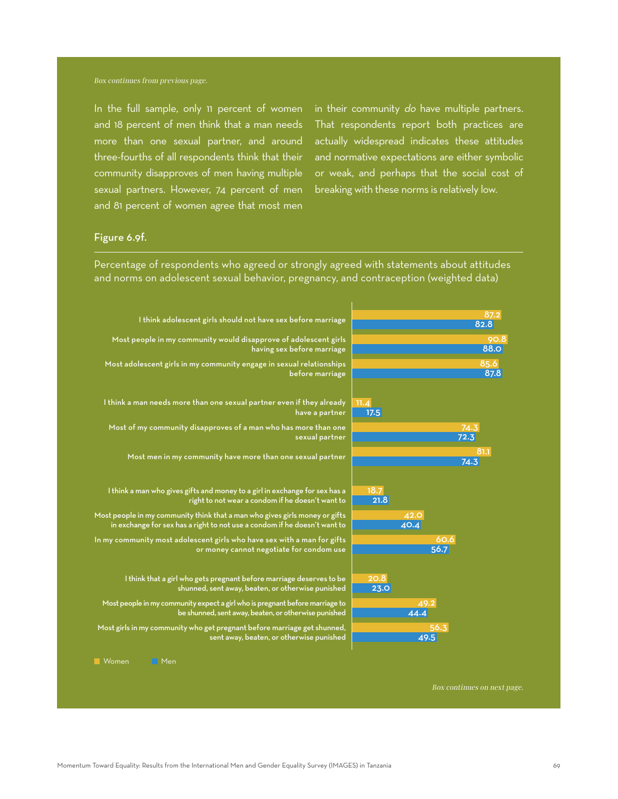In the full sample, only 11 percent of women and 18 percent of men think that a man needs more than one sexual partner, and around three-fourths of all respondents think that their community disapproves of men having multiple sexual partners. However, 74 percent of men and 81 percent of women agree that most men

in their community do have multiple partners. That respondents report both practices are actually widespread indicates these attitudes and normative expectations are either symbolic or weak, and perhaps that the social cost of breaking with these norms is relatively low.

#### Figure 6.9f.

Percentage of respondents who agreed or strongly agreed with statements about attitudes and norms on adolescent sexual behavior, pregnancy, and contraception (weighted data)

| I think adolescent girls should not have sex before marriage                            | 87.2<br>82.8 |  |
|-----------------------------------------------------------------------------------------|--------------|--|
| Most people in my community would disapprove of adolescent girls                        | 90.8         |  |
| having sex before marriage                                                              | <b>88.0</b>  |  |
| Most adolescent girls in my community engage in sexual relationships                    | 85.6         |  |
| before marriage                                                                         | 87.8         |  |
|                                                                                         |              |  |
| I think a man needs more than one sexual partner even if they already<br>have a partner | 11.4<br>17.5 |  |
| Most of my community disapproves of a man who has more than one                         | 74.3         |  |
| sexual partner                                                                          | 72.3         |  |
|                                                                                         | 81.1         |  |
| Most men in my community have more than one sexual partner                              | 74.3         |  |
|                                                                                         |              |  |
| I think a man who gives gifts and money to a girl in exchange for sex has a             | 18.7         |  |
| right to not wear a condom if he doesn't want to                                        | 21.8         |  |
| Most people in my community think that a man who gives girls money or gifts             | 42.0         |  |
| in exchange for sex has a right to not use a condom if he doesn't want to               | 40.4         |  |
| In my community most adolescent girls who have sex with a man for gifts                 | 60.6<br>56.7 |  |
| or money cannot negotiate for condom use                                                |              |  |
|                                                                                         |              |  |
| I think that a girl who gets pregnant before marriage deserves to be                    | 20.8         |  |
| shunned, sent away, beaten, or otherwise punished                                       | <b>23.0</b>  |  |
| Most people in my community expect a girl who is pregnant before marriage to            | 49.2         |  |
| be shunned, sent away, beaten, or otherwise punished                                    | 44.4         |  |
| Most girls in my community who get pregnant before marriage get shunned,                | 56.3         |  |
| sent away, beaten, or otherwise punished                                                | 49.5         |  |
| Men<br>Women                                                                            |              |  |
|                                                                                         |              |  |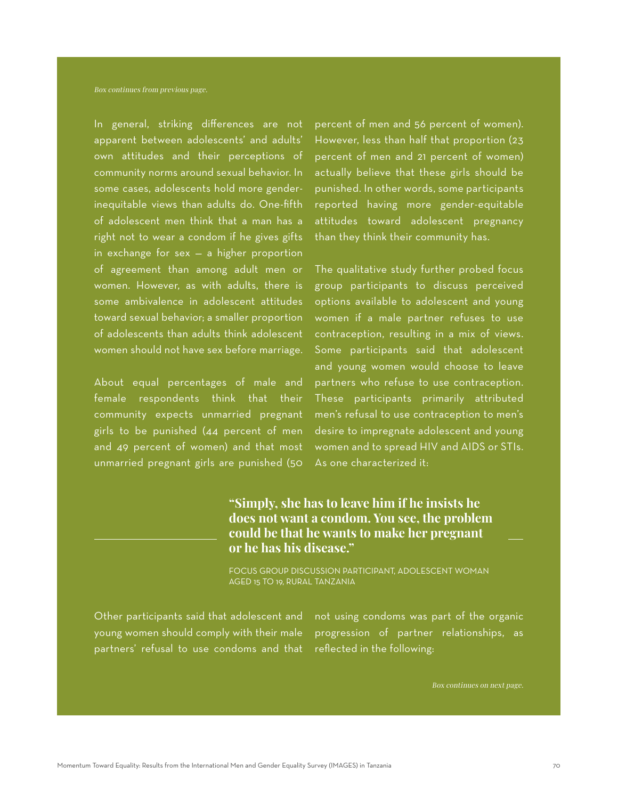In general, striking differences are not apparent between adolescents' and adults' own attitudes and their perceptions of community norms around sexual behavior. In some cases, adolescents hold more genderinequitable views than adults do. One-fifth of adolescent men think that a man has a right not to wear a condom if he gives gifts in exchange for sex — a higher proportion of agreement than among adult men or women. However, as with adults, there is some ambivalence in adolescent attitudes toward sexual behavior; a smaller proportion of adolescents than adults think adolescent women should not have sex before marriage.

About equal percentages of male and female respondents think that their community expects unmarried pregnant girls to be punished (44 percent of men and 49 percent of women) and that most unmarried pregnant girls are punished (50

percent of men and 56 percent of women). However, less than half that proportion (23 percent of men and 21 percent of women) actually believe that these girls should be punished. In other words, some participants reported having more gender-equitable attitudes toward adolescent pregnancy than they think their community has.

The qualitative study further probed focus group participants to discuss perceived options available to adolescent and young women if a male partner refuses to use contraception, resulting in a mix of views. Some participants said that adolescent and young women would choose to leave partners who refuse to use contraception. These participants primarily attributed men's refusal to use contraception to men's desire to impregnate adolescent and young women and to spread HIV and AIDS or STIs. As one characterized it:

# **"Simply, she has to leave him if he insists he does not want a condom. You see, the problem could be that he wants to make her pregnant or he has his disease."**

FOCUS GROUP DISCUSSION PARTICIPANT, ADOLESCENT WOMAN AGED 15 TO 19, RURAL TANZANIA

Other participants said that adolescent and young women should comply with their male partners' refusal to use condoms and that

not using condoms was part of the organic progression of partner relationships, as reflected in the following: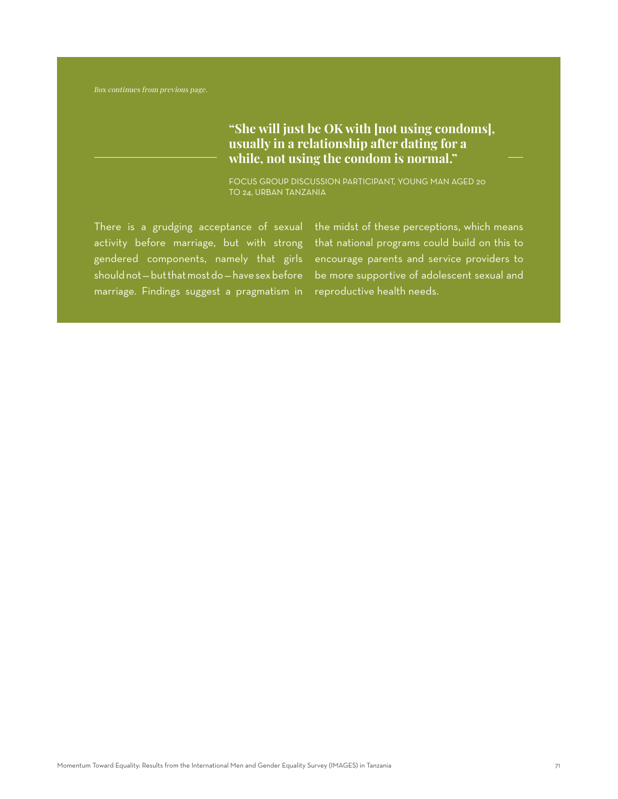# **"She will just be OK with [not using condoms], usually in a relationship after dating for a while, not using the condom is normal."**

FOCUS GROUP DISCUSSION PARTICIPANT, YOUNG MAN AGED 20 TO 24, URBAN TANZANIA

There is a grudging acceptance of sexual activity before marriage, but with strong gendered components, namely that girls should not — but that most do — have sex before marriage. Findings suggest a pragmatism in

the midst of these perceptions, which means that national programs could build on this to encourage parents and service providers to be more supportive of adolescent sexual and reproductive health needs.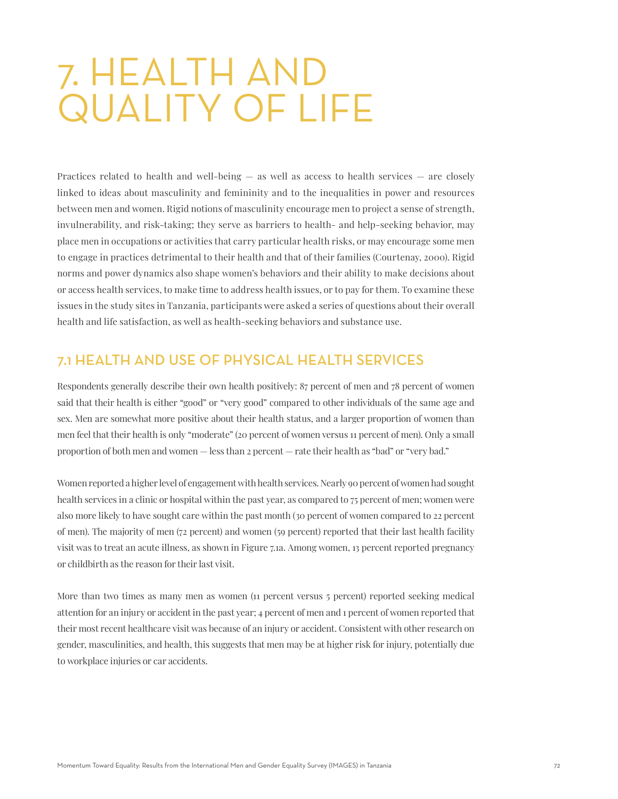# 7. HEALTH AND QUALITY OF LIFE

Practices related to health and well-being — as well as access to health services — are closely linked to ideas about masculinity and femininity and to the inequalities in power and resources between men and women. Rigid notions of masculinity encourage men to project a sense of strength, invulnerability, and risk-taking; they serve as barriers to health- and help-seeking behavior, may place men in occupations or activities that carry particular health risks, or may encourage some men to engage in practices detrimental to their health and that of their families (Courtenay, 2000). Rigid norms and power dynamics also shape women's behaviors and their ability to make decisions about or access health services, to make time to address health issues, or to pay for them. To examine these issues in the study sites in Tanzania, participants were asked a series of questions about their overall health and life satisfaction, as well as health-seeking behaviors and substance use.

# 7.1 HEALTH AND USE OF PHYSICAL HEALTH SERVICES

Respondents generally describe their own health positively: 87 percent of men and 78 percent of women said that their health is either "good" or "very good" compared to other individuals of the same age and sex. Men are somewhat more positive about their health status, and a larger proportion of women than men feel that their health is only "moderate" (20 percent of women versus 11 percent of men). Only a small proportion of both men and women — less than 2 percent — rate their health as "bad" or "very bad."

Women reported a higher level of engagement with health services. Nearly 90 percent of women had sought health services in a clinic or hospital within the past year, as compared to 75 percent of men; women were also more likely to have sought care within the past month (30 percent of women compared to 22 percent of men). The majority of men (72 percent) and women (59 percent) reported that their last health facility visit was to treat an acute illness, as shown in Figure 7.1a. Among women, 13 percent reported pregnancy or childbirth as the reason for their last visit.

More than two times as many men as women (11 percent versus 5 percent) reported seeking medical attention for an injury or accident in the past year; 4 percent of men and 1 percent of women reported that their most recent healthcare visit was because of an injury or accident. Consistent with other research on gender, masculinities, and health, this suggests that men may be at higher risk for injury, potentially due to workplace injuries or car accidents.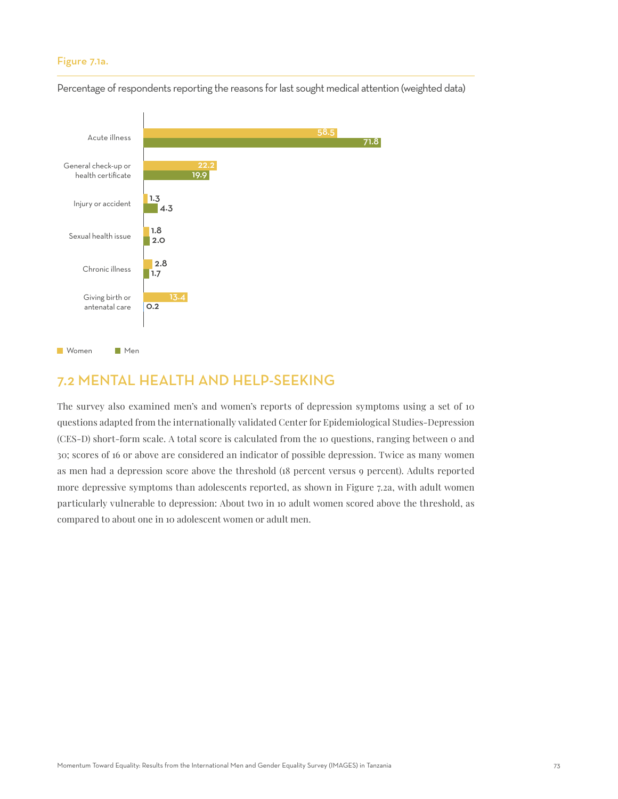## Figure 7.1a.



Percentage of respondents reporting the reasons for last sought medical attention (weighted data)

## 7.2 MENTAL HEALTH AND HELP-SEEKING

The survey also examined men's and women's reports of depression symptoms using a set of 10 questions adapted from the internationally validated Center for Epidemiological Studies-Depression (CES-D) short-form scale. A total score is calculated from the 10 questions, ranging between 0 and 30; scores of 16 or above are considered an indicator of possible depression. Twice as many women as men had a depression score above the threshold (18 percent versus 9 percent). Adults reported more depressive symptoms than adolescents reported, as shown in Figure 7.2a, with adult women particularly vulnerable to depression: About two in 10 adult women scored above the threshold, as compared to about one in 10 adolescent women or adult men.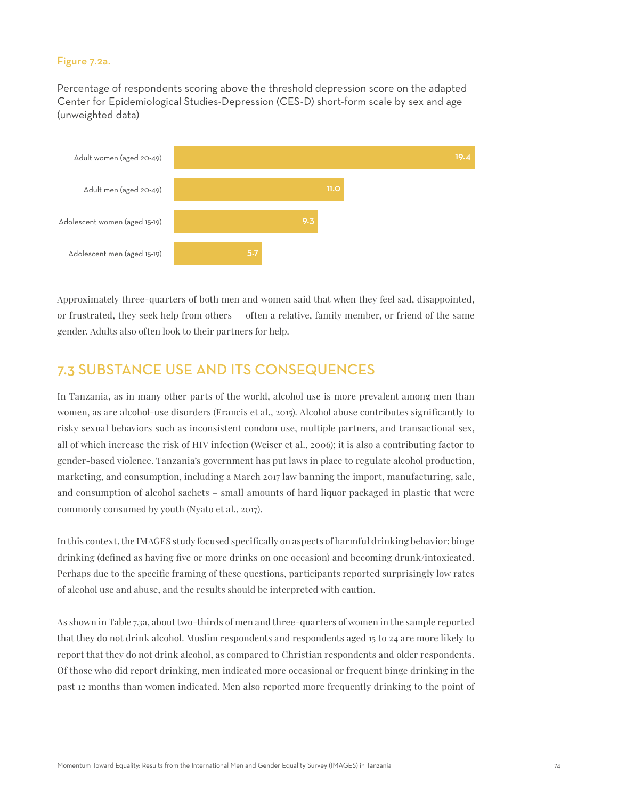## Figure 7.2a.

Percentage of respondents scoring above the threshold depression score on the adapted Center for Epidemiological Studies-Depression (CES-D) short-form scale by sex and age (unweighted data)



Approximately three-quarters of both men and women said that when they feel sad, disappointed, or frustrated, they seek help from others — often a relative, family member, or friend of the same gender. Adults also often look to their partners for help.

## 7.3 SUBSTANCE USE AND ITS CONSEQUENCES

In Tanzania, as in many other parts of the world, alcohol use is more prevalent among men than women, as are alcohol-use disorders (Francis et al., 2015). Alcohol abuse contributes significantly to risky sexual behaviors such as inconsistent condom use, multiple partners, and transactional sex, all of which increase the risk of HIV infection (Weiser et al., 2006); it is also a contributing factor to gender-based violence. Tanzania's government has put laws in place to regulate alcohol production, marketing, and consumption, including a March 2017 law banning the import, manufacturing, sale, and consumption of alcohol sachets – small amounts of hard liquor packaged in plastic that were commonly consumed by youth (Nyato et al., 2017).

In this context, the IMAGES study focused specifically on aspects of harmful drinking behavior: binge drinking (defined as having five or more drinks on one occasion) and becoming drunk/intoxicated. Perhaps due to the specific framing of these questions, participants reported surprisingly low rates of alcohol use and abuse, and the results should be interpreted with caution.

As shown in Table 7.3a, about two-thirds of men and three-quarters of women in the sample reported that they do not drink alcohol. Muslim respondents and respondents aged 15 to 24 are more likely to report that they do not drink alcohol, as compared to Christian respondents and older respondents. Of those who did report drinking, men indicated more occasional or frequent binge drinking in the past 12 months than women indicated. Men also reported more frequently drinking to the point of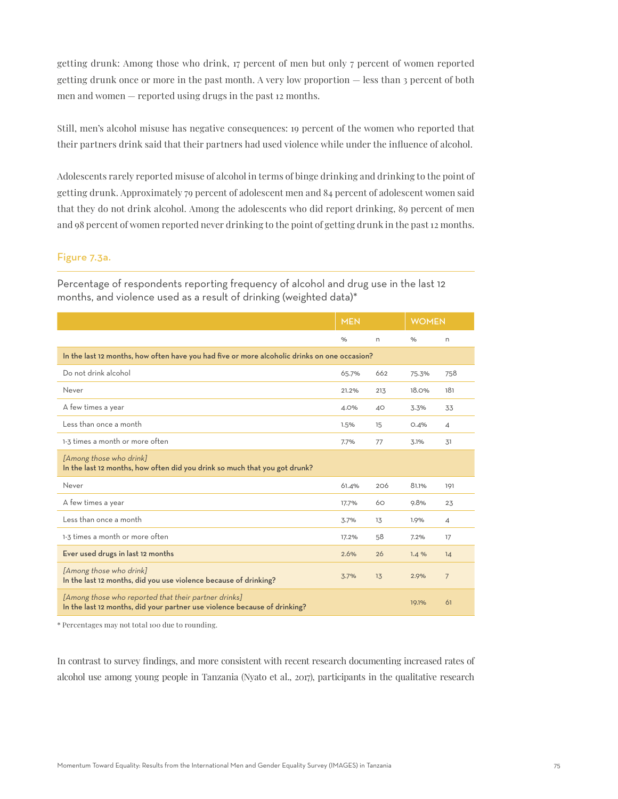getting drunk: Among those who drink, 17 percent of men but only 7 percent of women reported getting drunk once or more in the past month. A very low proportion — less than 3 percent of both men and women — reported using drugs in the past 12 months.

Still, men's alcohol misuse has negative consequences: 19 percent of the women who reported that their partners drink said that their partners had used violence while under the influence of alcohol.

Adolescents rarely reported misuse of alcohol in terms of binge drinking and drinking to the point of getting drunk. Approximately 79 percent of adolescent men and 84 percent of adolescent women said that they do not drink alcohol. Among the adolescents who did report drinking, 89 percent of men and 98 percent of women reported never drinking to the point of getting drunk in the past 12 months.

## Figure 7.3a.

Percentage of respondents reporting frequency of alcohol and drug use in the last 12 months, and violence used as a result of drinking (weighted data)\*

|                                                                                                                                   | <b>MEN</b> |     | <b>WOMEN</b> |                |  |  |
|-----------------------------------------------------------------------------------------------------------------------------------|------------|-----|--------------|----------------|--|--|
|                                                                                                                                   | $\%$       | n   | %            | n              |  |  |
| In the last 12 months, how often have you had five or more alcoholic drinks on one occasion?                                      |            |     |              |                |  |  |
| Do not drink alcohol                                                                                                              | 65.7%      | 662 | 75.3%        | 758            |  |  |
| Never                                                                                                                             | 21.2%      | 213 | 18.0%        | 181            |  |  |
| A few times a year                                                                                                                | 4.0%       | 40  | 3.3%         | 33             |  |  |
| Less than once a month                                                                                                            | 1.5%       | 15  | 0.4%         | $\overline{4}$ |  |  |
| 1-3 times a month or more often                                                                                                   | 7.7%       | 77  | 3.1%         | 31             |  |  |
| [Among those who drink]<br>In the last 12 months, how often did you drink so much that you got drunk?                             |            |     |              |                |  |  |
| Never                                                                                                                             | 61.4%      | 206 | 81.1%        | 191            |  |  |
| A few times a year                                                                                                                | 17.7%      | 60  | 9.8%         | 23             |  |  |
| Less than once a month                                                                                                            | 3.7%       | 13  | 1.9%         | $\overline{4}$ |  |  |
| 1-3 times a month or more often                                                                                                   | 17.2%      | 58  | 7.2%         | 17             |  |  |
| Ever used drugs in last 12 months                                                                                                 | 2.6%       | 26  | 1.4%         | 14             |  |  |
| [Among those who drink]<br>In the last 12 months, did you use violence because of drinking?                                       | 3.7%       | 13  | 2.9%         | $\overline{7}$ |  |  |
| [Among those who reported that their partner drinks]<br>In the last 12 months, did your partner use violence because of drinking? |            |     | 19.1%        | 61             |  |  |

\* Percentages may not total 100 due to rounding.

In contrast to survey findings, and more consistent with recent research documenting increased rates of alcohol use among young people in Tanzania (Nyato et al., 2017), participants in the qualitative research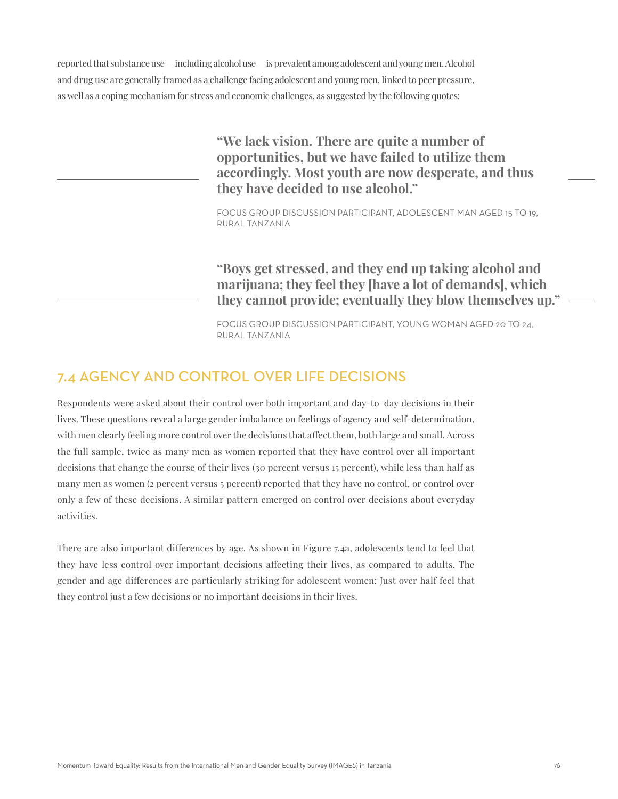reported that substance use — including alcohol use — is prevalent among adolescent and young men. Alcohol and drug use are generally framed as a challenge facing adolescent and young men, linked to peer pressure, as well as a coping mechanism for stress and economic challenges, as suggested by the following quotes:

> **"We lack vision. There are quite a number of opportunities, but we have failed to utilize them accordingly. Most youth are now desperate, and thus they have decided to use alcohol."**

FOCUS GROUP DISCUSSION PARTICIPANT, ADOLESCENT MAN AGED 15 TO 19, RURAL TANZANIA

**"Boys get stressed, and they end up taking alcohol and marijuana; they feel they [have a lot of demands], which they cannot provide; eventually they blow themselves up."**

FOCUS GROUP DISCUSSION PARTICIPANT, YOUNG WOMAN AGED 20 TO 24, RURAL TANZANIA

## 7.4 AGENCY AND CONTROL OVER LIFE DECISIONS

Respondents were asked about their control over both important and day-to-day decisions in their lives. These questions reveal a large gender imbalance on feelings of agency and self-determination, with men clearly feeling more control over the decisions that affect them, both large and small. Across the full sample, twice as many men as women reported that they have control over all important decisions that change the course of their lives (30 percent versus 15 percent), while less than half as many men as women (2 percent versus 5 percent) reported that they have no control, or control over only a few of these decisions. A similar pattern emerged on control over decisions about everyday activities.

There are also important differences by age. As shown in Figure 7.4a, adolescents tend to feel that they have less control over important decisions affecting their lives, as compared to adults. The gender and age differences are particularly striking for adolescent women: Just over half feel that they control just a few decisions or no important decisions in their lives.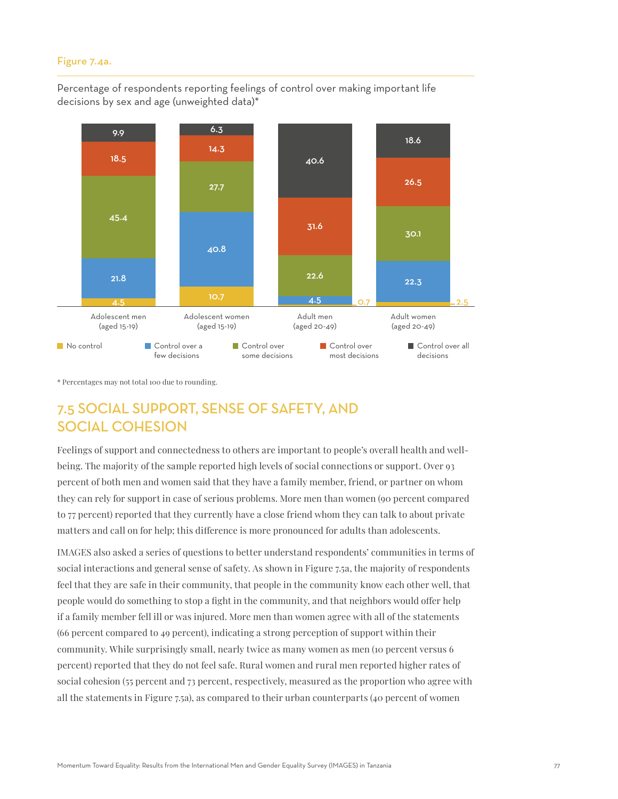#### Figure 7.4a.

Percentage of respondents reporting feelings of control over making important life decisions by sex and age (unweighted data)\*



\* Percentages may not total 100 due to rounding.

# 7.5 SOCIAL SUPPORT, SENSE OF SAFETY, AND SOCIAL COHESION

Feelings of support and connectedness to others are important to people's overall health and wellbeing. The majority of the sample reported high levels of social connections or support. Over 93 percent of both men and women said that they have a family member, friend, or partner on whom they can rely for support in case of serious problems. More men than women (90 percent compared to 77 percent) reported that they currently have a close friend whom they can talk to about private matters and call on for help; this difference is more pronounced for adults than adolescents.

IMAGES also asked a series of questions to better understand respondents' communities in terms of social interactions and general sense of safety. As shown in Figure 7.5a, the majority of respondents feel that they are safe in their community, that people in the community know each other well, that people would do something to stop a fight in the community, and that neighbors would offer help if a family member fell ill or was injured. More men than women agree with all of the statements (66 percent compared to 49 percent), indicating a strong perception of support within their community. While surprisingly small, nearly twice as many women as men (10 percent versus 6 percent) reported that they do not feel safe. Rural women and rural men reported higher rates of social cohesion (55 percent and 73 percent, respectively, measured as the proportion who agree with all the statements in Figure 7.5a), as compared to their urban counterparts (40 percent of women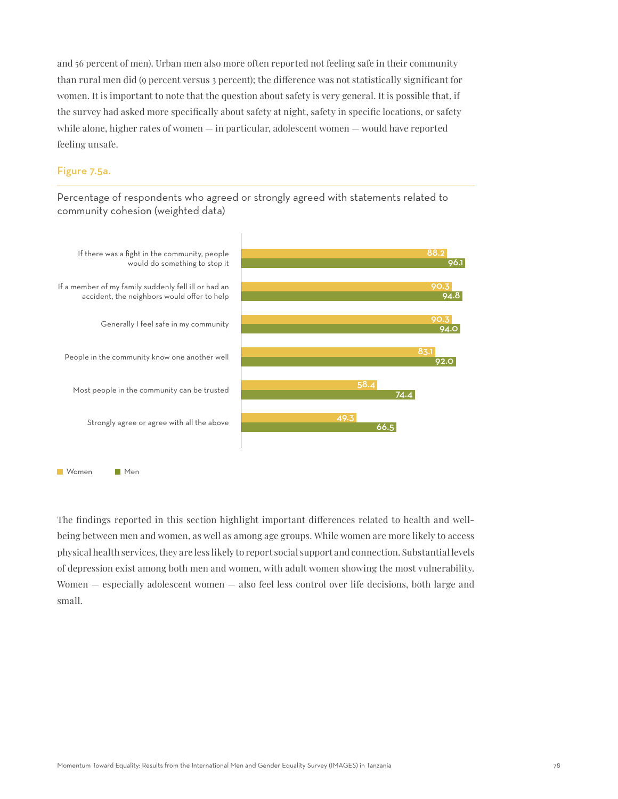and 56 percent of men). Urban men also more often reported not feeling safe in their community than rural men did (9 percent versus 3 percent); the difference was not statistically significant for women. It is important to note that the question about safety is very general. It is possible that, if the survey had asked more specifically about safety at night, safety in specific locations, or safety while alone, higher rates of women — in particular, adolescent women — would have reported feeling unsafe.

## Figure 7.5a.

Percentage of respondents who agreed or strongly agreed with statements related to community cohesion (weighted data)



The findings reported in this section highlight important differences related to health and wellbeing between men and women, as well as among age groups. While women are more likely to access physical health services, they are less likely to report social support and connection. Substantial levels of depression exist among both men and women, with adult women showing the most vulnerability. Women — especially adolescent women — also feel less control over life decisions, both large and small.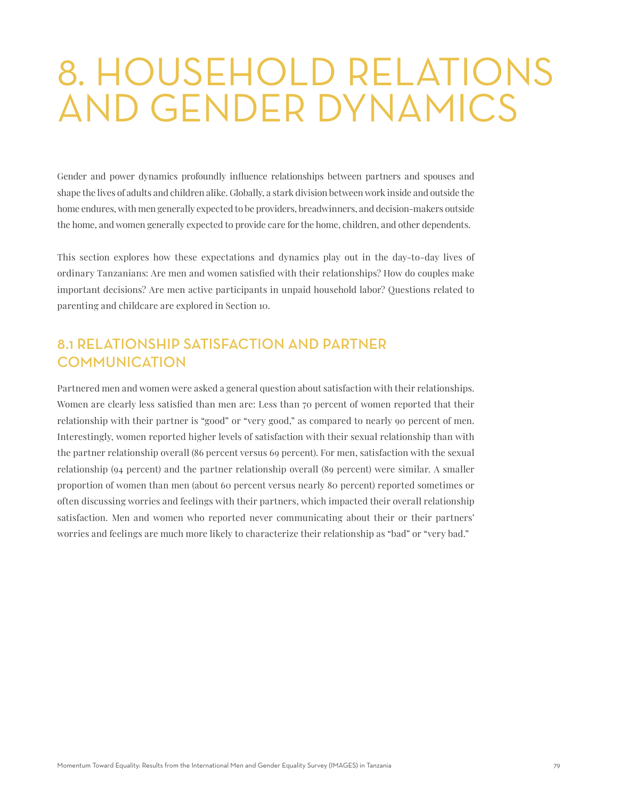# 8. HOUSEHOLD RELATIONS AND GENDER DYNAMICS

Gender and power dynamics profoundly influence relationships between partners and spouses and shape the lives of adults and children alike. Globally, a stark division between work inside and outside the home endures, with men generally expected to be providers, breadwinners, and decision-makers outside the home, and women generally expected to provide care for the home, children, and other dependents.

This section explores how these expectations and dynamics play out in the day-to-day lives of ordinary Tanzanians: Are men and women satisfied with their relationships? How do couples make important decisions? Are men active participants in unpaid household labor? Questions related to parenting and childcare are explored in Section 10.

# 8.1 RELATIONSHIP SATISFACTION AND PARTNER **COMMUNICATION**

Partnered men and women were asked a general question about satisfaction with their relationships. Women are clearly less satisfied than men are: Less than 70 percent of women reported that their relationship with their partner is "good" or "very good," as compared to nearly 90 percent of men. Interestingly, women reported higher levels of satisfaction with their sexual relationship than with the partner relationship overall (86 percent versus 69 percent). For men, satisfaction with the sexual relationship (94 percent) and the partner relationship overall (89 percent) were similar. A smaller proportion of women than men (about 60 percent versus nearly 80 percent) reported sometimes or often discussing worries and feelings with their partners, which impacted their overall relationship satisfaction. Men and women who reported never communicating about their or their partners' worries and feelings are much more likely to characterize their relationship as "bad" or "very bad."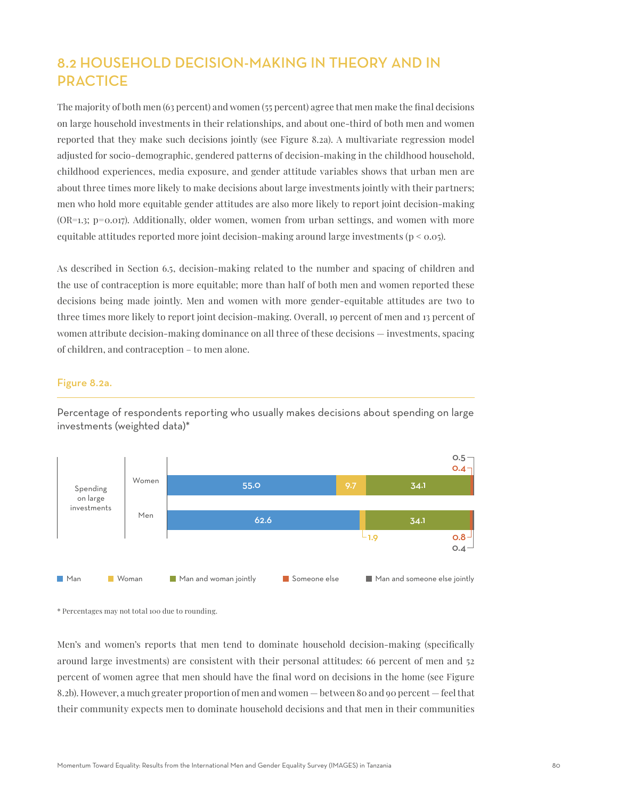# 8.2 HOUSEHOLD DECISION-MAKING IN THEORY AND IN **PRACTICE**

The majority of both men (63 percent) and women (55 percent) agree that men make the final decisions on large household investments in their relationships, and about one-third of both men and women reported that they make such decisions jointly (see Figure 8.2a). A multivariate regression model adjusted for socio-demographic, gendered patterns of decision-making in the childhood household, childhood experiences, media exposure, and gender attitude variables shows that urban men are about three times more likely to make decisions about large investments jointly with their partners; men who hold more equitable gender attitudes are also more likely to report joint decision-making  $(OR=1.3; p=0.017)$ . Additionally, older women, women from urban settings, and women with more equitable attitudes reported more joint decision-making around large investments ( $p < 0.05$ ).

As described in Section 6.5, decision-making related to the number and spacing of children and the use of contraception is more equitable; more than half of both men and women reported these decisions being made jointly. Men and women with more gender-equitable attitudes are two to three times more likely to report joint decision-making. Overall, 19 percent of men and 13 percent of women attribute decision-making dominance on all three of these decisions — investments, spacing of children, and contraception – to men alone.

## Figure 8.2a.



Percentage of respondents reporting who usually makes decisions about spending on large investments (weighted data)\*

\* Percentages may not total 100 due to rounding.

Men's and women's reports that men tend to dominate household decision-making (specifically around large investments) are consistent with their personal attitudes: 66 percent of men and 52 percent of women agree that men should have the final word on decisions in the home (see Figure 8.2b). However, a much greater proportion of men and women — between 80 and 90 percent — feel that their community expects men to dominate household decisions and that men in their communities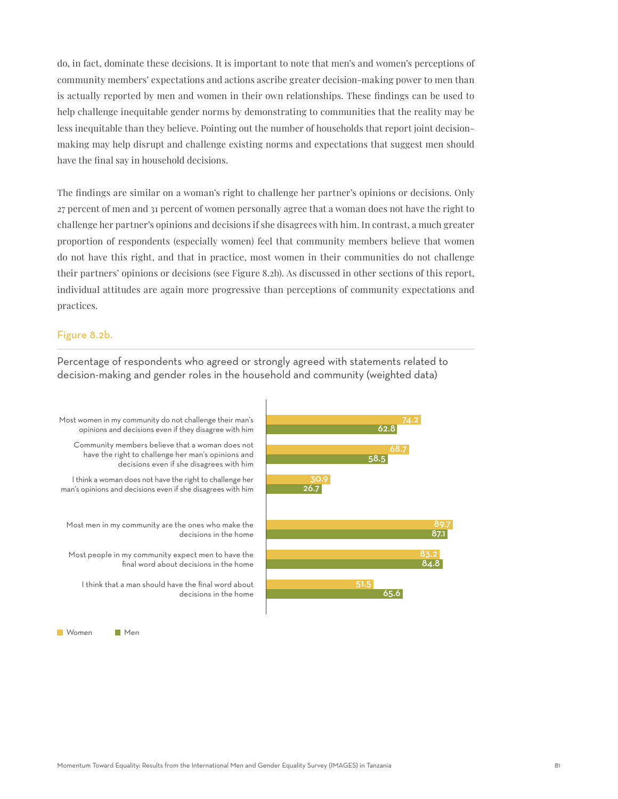do, in fact, dominate these decisions. It is important to note that men's and women's perceptions of community members' expectations and actions ascribe greater decision-making power to men than is actually reported by men and women in their own relationships. These findings can be used to help challenge inequitable gender norms by demonstrating to communities that the reality may be less inequitable than they believe. Pointing out the number of households that report joint decisionmaking may help disrupt and challenge existing norms and expectations that suggest men should have the final say in household decisions.

The findings are similar on a woman's right to challenge her partner's opinions or decisions. Only 27 percent of men and 31 percent of women personally agree that a woman does not have the right to challenge her partner's opinions and decisions if she disagrees with him. In contrast, a much greater proportion of respondents (especially women) feel that community members believe that women do not have this right, and that in practice, most women in their communities do not challenge their partners' opinions or decisions (see Figure 8.2b). As discussed in other sections of this report, individual attitudes are again more progressive than perceptions of community expectations and practices.

#### Figure 8.2b.

Percentage of respondents who agreed or strongly agreed with statements related to decision-making and gender roles in the household and community (weighted data)

62.8

58.5

51.5

65.6

68.7

84.8

89.7 87.1



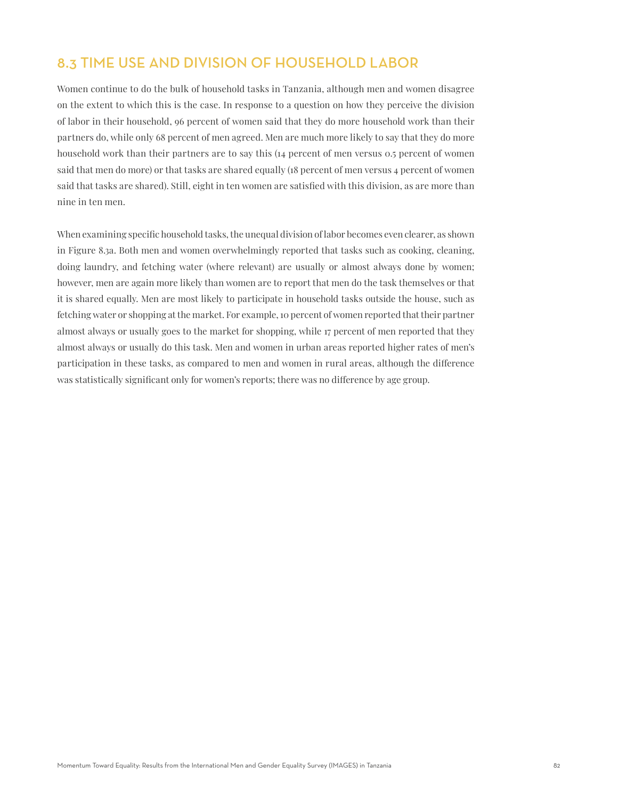## 8.3 TIME USE AND DIVISION OF HOUSEHOLD LABOR

Women continue to do the bulk of household tasks in Tanzania, although men and women disagree on the extent to which this is the case. In response to a question on how they perceive the division of labor in their household, 96 percent of women said that they do more household work than their partners do, while only 68 percent of men agreed. Men are much more likely to say that they do more household work than their partners are to say this (14 percent of men versus 0.5 percent of women said that men do more) or that tasks are shared equally (18 percent of men versus 4 percent of women said that tasks are shared). Still, eight in ten women are satisfied with this division, as are more than nine in ten men.

When examining specific household tasks, the unequal division of labor becomes even clearer, as shown in Figure 8.3a. Both men and women overwhelmingly reported that tasks such as cooking, cleaning, doing laundry, and fetching water (where relevant) are usually or almost always done by women; however, men are again more likely than women are to report that men do the task themselves or that it is shared equally. Men are most likely to participate in household tasks outside the house, such as fetching water or shopping at the market. For example, 10 percent of women reported that their partner almost always or usually goes to the market for shopping, while 17 percent of men reported that they almost always or usually do this task. Men and women in urban areas reported higher rates of men's participation in these tasks, as compared to men and women in rural areas, although the difference was statistically significant only for women's reports; there was no difference by age group.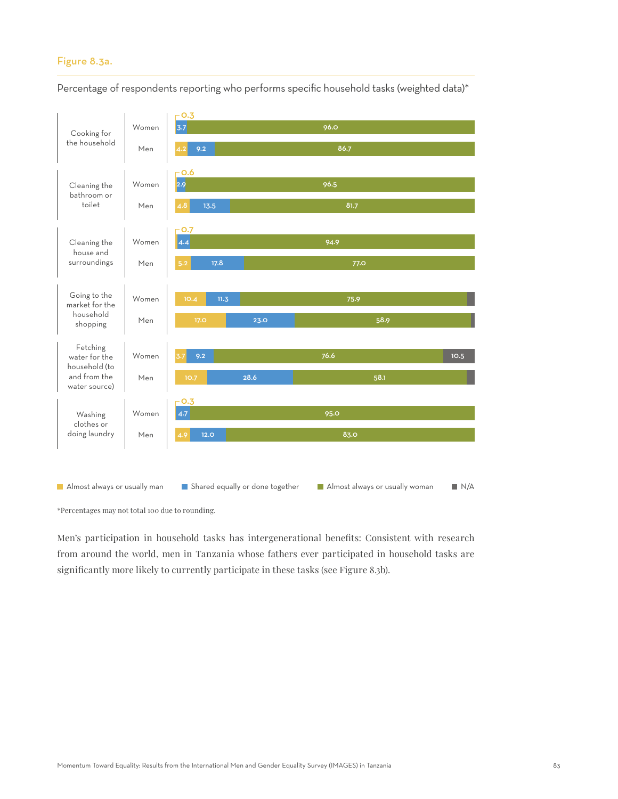### Figure 8.3a.



Percentage of respondents reporting who performs specific household tasks (weighted data)\*

\*Percentages may not total 100 due to rounding.

Men's participation in household tasks has intergenerational benefits: Consistent with research from around the world, men in Tanzania whose fathers ever participated in household tasks are significantly more likely to currently participate in these tasks (see Figure 8.3b).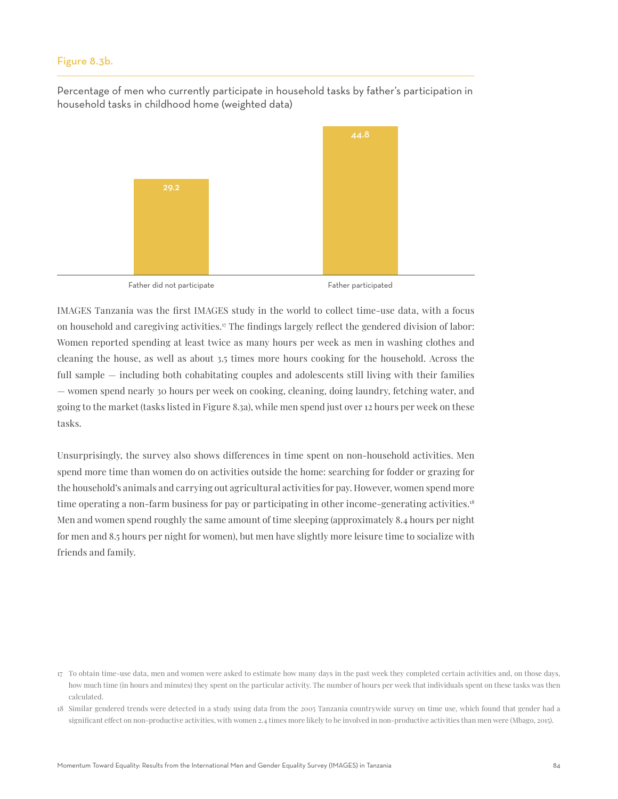### Figure 8.3b.

Percentage of men who currently participate in household tasks by father's participation in household tasks in childhood home (weighted data)



Father did not participate Father participated

IMAGES Tanzania was the first IMAGES study in the world to collect time-use data, with a focus on household and caregiving activities. $\pi$  The findings largely reflect the gendered division of labor: Women reported spending at least twice as many hours per week as men in washing clothes and cleaning the house, as well as about 3.5 times more hours cooking for the household. Across the full sample — including both cohabitating couples and adolescents still living with their families — women spend nearly 30 hours per week on cooking, cleaning, doing laundry, fetching water, and going to the market (tasks listed in Figure 8.3a), while men spend just over 12 hours per week on these tasks.

Unsurprisingly, the survey also shows differences in time spent on non-household activities. Men spend more time than women do on activities outside the home: searching for fodder or grazing for the household's animals and carrying out agricultural activities for pay. However, women spend more time operating a non-farm business for pay or participating in other income-generating activities.<sup>18</sup> Men and women spend roughly the same amount of time sleeping (approximately 8.4 hours per night for men and 8.5 hours per night for women), but men have slightly more leisure time to socialize with friends and family.

<sup>17</sup> To obtain time-use data, men and women were asked to estimate how many days in the past week they completed certain activities and, on those days, how much time (in hours and minutes) they spent on the particular activity. The number of hours per week that individuals spent on these tasks was then calculated.

<sup>18</sup> Similar gendered trends were detected in a study using data from the 2005 Tanzania countrywide survey on time use, which found that gender had a significant effect on non-productive activities, with women 2.4 times more likely to be involved in non-productive activities than men were (Mbago, 2015).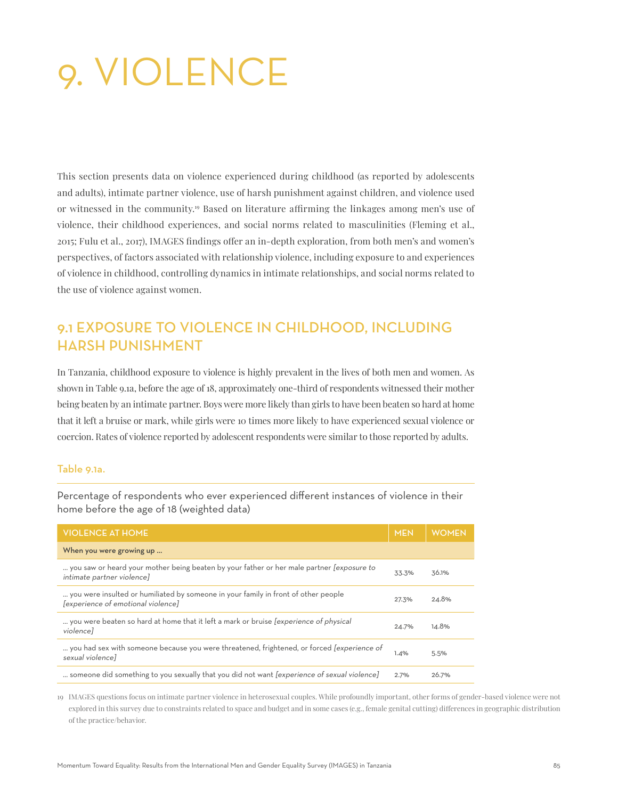# 9. VIOLENCE

This section presents data on violence experienced during childhood (as reported by adolescents and adults), intimate partner violence, use of harsh punishment against children, and violence used or witnessed in the community.19 Based on literature affirming the linkages among men's use of violence, their childhood experiences, and social norms related to masculinities (Fleming et al., 2015; Fulu et al., 2017), IMAGES findings offer an in-depth exploration, from both men's and women's perspectives, of factors associated with relationship violence, including exposure to and experiences of violence in childhood, controlling dynamics in intimate relationships, and social norms related to the use of violence against women.

# 9.1 EXPOSURE TO VIOLENCE IN CHILDHOOD, INCLUDING HARSH PUNISHMENT

In Tanzania, childhood exposure to violence is highly prevalent in the lives of both men and women. As shown in Table 9.1a, before the age of 18, approximately one-third of respondents witnessed their mother being beaten by an intimate partner. Boys were more likely than girls to have been beaten so hard at home that it left a bruise or mark, while girls were 10 times more likely to have experienced sexual violence or coercion. Rates of violence reported by adolescent respondents were similar to those reported by adults.

## Table 9.1a.

Percentage of respondents who ever experienced different instances of violence in their home before the age of 18 (weighted data)

| <b>VIOLENCE AT HOME</b>                                                                                                  | <b>MEN</b> | <b>WOMEN</b> |
|--------------------------------------------------------------------------------------------------------------------------|------------|--------------|
| When you were growing up                                                                                                 |            |              |
| you saw or heard your mother being beaten by your father or her male partner [exposure to<br>intimate partner violence]  | 33.3%      | 36.1%        |
| you were insulted or humiliated by someone in your family in front of other people<br>[experience of emotional violence] | 27.3%      | 24.8%        |
| you were beaten so hard at home that it left a mark or bruise <i>(experience of physical</i> )<br>violencel              | 24.7%      | 14.8%        |
| you had sex with someone because you were threatened, frightened, or forced <i>[experience of</i><br>sexual violencel    | 1.4%       | 5.5%         |
| someone did something to you sexually that you did not want [experience of sexual violence]                              | 2.7%       | 26.7%        |

19 IMAGES questions focus on intimate partner violence in heterosexual couples. While profoundly important, other forms of gender-based violence were not explored in this survey due to constraints related to space and budget and in some cases (e.g., female genital cutting) differences in geographic distribution of the practice/behavior.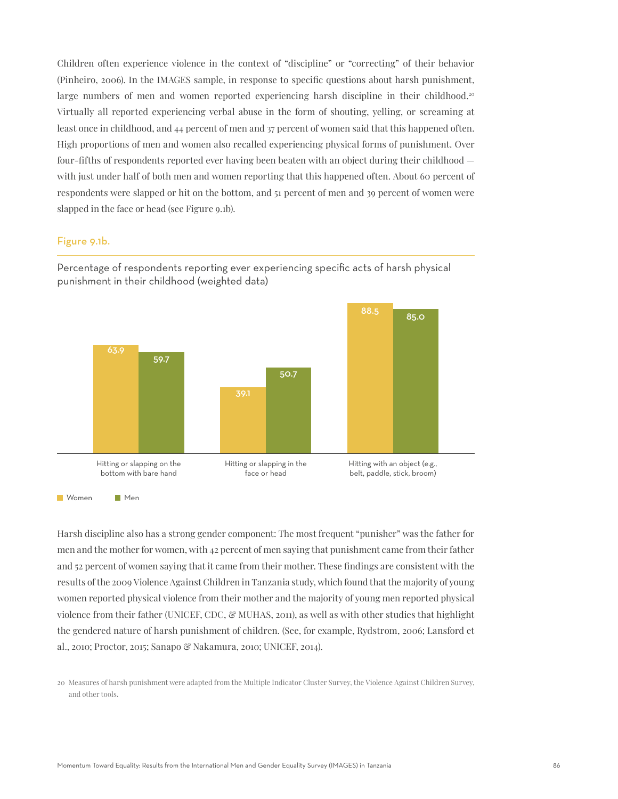Children often experience violence in the context of "discipline" or "correcting" of their behavior (Pinheiro, 2006). In the IMAGES sample, in response to specific questions about harsh punishment, large numbers of men and women reported experiencing harsh discipline in their childhood.<sup>20</sup> Virtually all reported experiencing verbal abuse in the form of shouting, yelling, or screaming at least once in childhood, and 44 percent of men and 37 percent of women said that this happened often. High proportions of men and women also recalled experiencing physical forms of punishment. Over four-fifths of respondents reported ever having been beaten with an object during their childhood with just under half of both men and women reporting that this happened often. About 60 percent of respondents were slapped or hit on the bottom, and 51 percent of men and 39 percent of women were slapped in the face or head (see Figure 9.1b).

#### Figure 9.1b.



Percentage of respondents reporting ever experiencing specific acts of harsh physical punishment in their childhood (weighted data)

Harsh discipline also has a strong gender component: The most frequent "punisher" was the father for men and the mother for women, with 42 percent of men saying that punishment came from their father and 52 percent of women saying that it came from their mother. These findings are consistent with the results of the 2009 Violence Against Children in Tanzania study, which found that the majority of young women reported physical violence from their mother and the majority of young men reported physical violence from their father (UNICEF, CDC, & MUHAS, 2011), as well as with other studies that highlight the gendered nature of harsh punishment of children. (See, for example, Rydstrom, 2006; Lansford et al., 2010; Proctor, 2015; Sanapo & Nakamura, 2010; UNICEF, 2014).

<sup>20</sup> Measures of harsh punishment were adapted from the Multiple Indicator Cluster Survey, the Violence Against Children Survey, and other tools.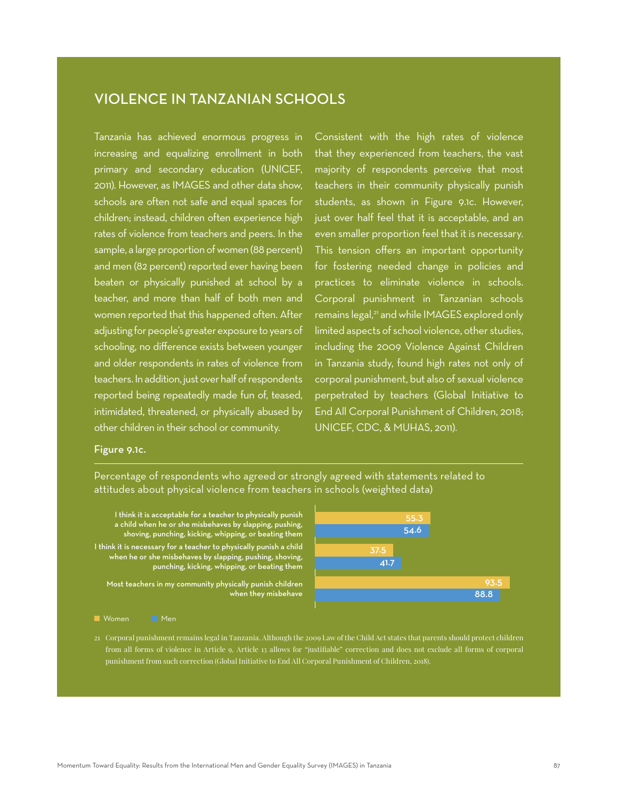## VIOLENCE IN TANZANIAN SCHOOLS

Tanzania has achieved enormous progress in increasing and equalizing enrollment in both primary and secondary education (UNICEF, 2011). However, as IMAGES and other data show, schools are often not safe and equal spaces for children; instead, children often experience high rates of violence from teachers and peers. In the sample, a large proportion of women (88 percent) and men (82 percent) reported ever having been beaten or physically punished at school by a teacher, and more than half of both men and women reported that this happened often. After adjusting for people's greater exposure to years of schooling, no difference exists between younger and older respondents in rates of violence from teachers. In addition, just over half of respondents reported being repeatedly made fun of, teased, intimidated, threatened, or physically abused by other children in their school or community.

Consistent with the high rates of violence that they experienced from teachers, the vast majority of respondents perceive that most teachers in their community physically punish students, as shown in Figure 9.1c. However, just over half feel that it is acceptable, and an even smaller proportion feel that it is necessary. This tension offers an important opportunity for fostering needed change in policies and practices to eliminate violence in schools. Corporal punishment in Tanzanian schools remains legal,<sup>21</sup> and while IMAGES explored only limited aspects of school violence, other studies, including the 2009 Violence Against Children in Tanzania study, found high rates not only of corporal punishment, but also of sexual violence perpetrated by teachers (Global Initiative to End All Corporal Punishment of Children, 2018; UNICEF, CDC, & MUHAS, 2011).

## Figure 9.1c.

Percentage of respondents who agreed or strongly agreed with statements related to attitudes about physical violence from teachers in schools (weighted data)

I think it is acceptable for a teacher to physically punish a child when he or she misbehaves by slapping, pushing, shoving, punching, kicking, whipping, or beating them I think it is necessary for a teacher to physically punish a child when he or she misbehaves by slapping, pushing, shoving, punching, kicking, whipping, or beating them

Most teachers in my community physically punish children when they misbehave



**Momen** Men

21 Corporal punishment remains legal in Tanzania. Although the 2009 Law of the Child Act states that parents should protect children from all forms of violence in Article 9, Article 13 allows for "justifiable" correction and does not exclude all forms of corporal punishment from such correction (Global Initiative to End All Corporal Punishment of Children, 2018).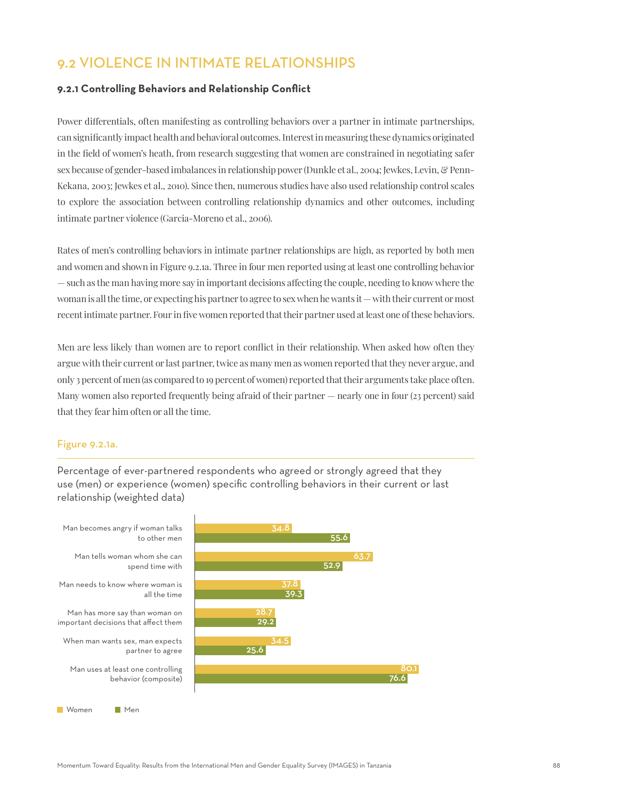## 9.2 VIOLENCE IN INTIMATE RELATIONSHIPS

## **9.2.1 Controlling Behaviors and Relationship Conflict**

Power differentials, often manifesting as controlling behaviors over a partner in intimate partnerships, can significantly impact health and behavioral outcomes. Interest in measuring these dynamics originated in the field of women's heath, from research suggesting that women are constrained in negotiating safer sex because of gender-based imbalances in relationship power (Dunkle et al., 2004; Jewkes, Levin, & Penn-Kekana, 2003; Jewkes et al., 2010). Since then, numerous studies have also used relationship control scales to explore the association between controlling relationship dynamics and other outcomes, including intimate partner violence (Garcia-Moreno et al., 2006).

Rates of men's controlling behaviors in intimate partner relationships are high, as reported by both men and women and shown in Figure 9.2.1a. Three in four men reported using at least one controlling behavior — such as the man having more say in important decisions affecting the couple, needing to know where the woman is all the time, or expecting his partner to agree to sex when he wants it — with their current or most recent intimate partner. Four in five women reported that their partner used at least one of these behaviors.

Men are less likely than women are to report conflict in their relationship. When asked how often they argue with their current or last partner, twice as many men as women reported that they never argue, and only 3 percent of men (as compared to 19 percent of women) reported that their arguments take place often. Many women also reported frequently being afraid of their partner — nearly one in four (23 percent) said that they fear him often or all the time.

#### Figure 9.2.1a.

Percentage of ever-partnered respondents who agreed or strongly agreed that they use (men) or experience (women) specific controlling behaviors in their current or last relationship (weighted data)

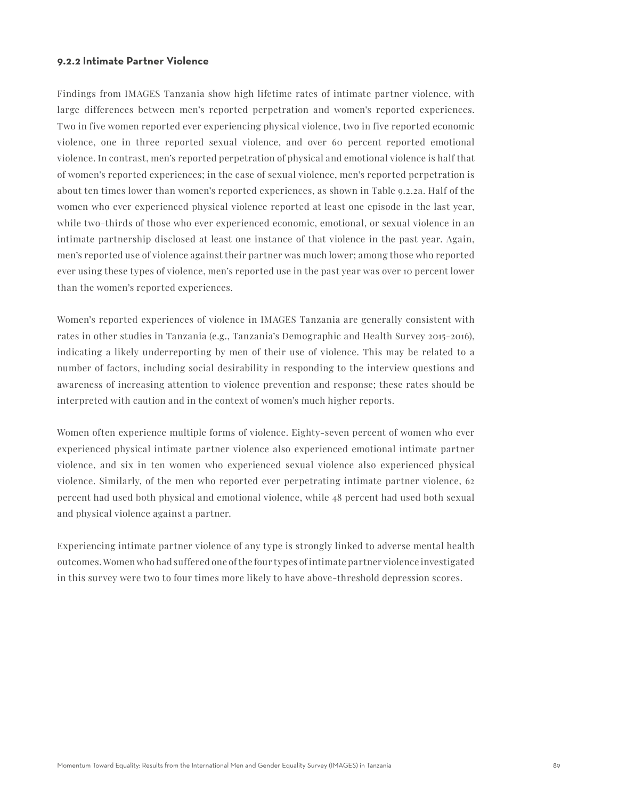#### **9.2.2 Intimate Partner Violence**

Findings from IMAGES Tanzania show high lifetime rates of intimate partner violence, with large differences between men's reported perpetration and women's reported experiences. Two in five women reported ever experiencing physical violence, two in five reported economic violence, one in three reported sexual violence, and over 60 percent reported emotional violence. In contrast, men's reported perpetration of physical and emotional violence is half that of women's reported experiences; in the case of sexual violence, men's reported perpetration is about ten times lower than women's reported experiences, as shown in Table 9.2.2a. Half of the women who ever experienced physical violence reported at least one episode in the last year, while two-thirds of those who ever experienced economic, emotional, or sexual violence in an intimate partnership disclosed at least one instance of that violence in the past year. Again, men's reported use of violence against their partner was much lower; among those who reported ever using these types of violence, men's reported use in the past year was over 10 percent lower than the women's reported experiences.

Women's reported experiences of violence in IMAGES Tanzania are generally consistent with rates in other studies in Tanzania (e.g., Tanzania's Demographic and Health Survey 2015-2016), indicating a likely underreporting by men of their use of violence. This may be related to a number of factors, including social desirability in responding to the interview questions and awareness of increasing attention to violence prevention and response; these rates should be interpreted with caution and in the context of women's much higher reports.

Women often experience multiple forms of violence. Eighty-seven percent of women who ever experienced physical intimate partner violence also experienced emotional intimate partner violence, and six in ten women who experienced sexual violence also experienced physical violence. Similarly, of the men who reported ever perpetrating intimate partner violence, 62 percent had used both physical and emotional violence, while 48 percent had used both sexual and physical violence against a partner.

Experiencing intimate partner violence of any type is strongly linked to adverse mental health outcomes. Women who had suffered one of the four types of intimate partner violence investigated in this survey were two to four times more likely to have above-threshold depression scores.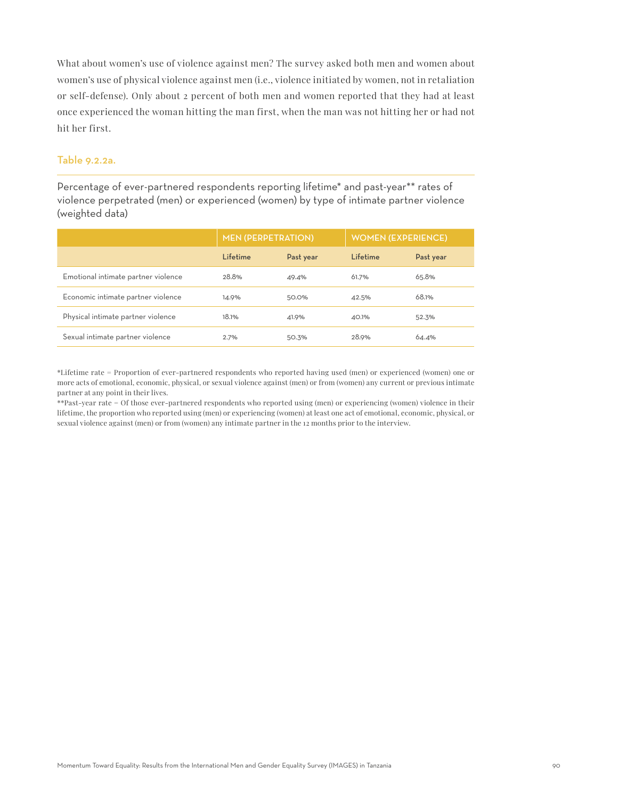What about women's use of violence against men? The survey asked both men and women about women's use of physical violence against men (i.e., violence initiated by women, not in retaliation or self-defense). Only about 2 percent of both men and women reported that they had at least once experienced the woman hitting the man first, when the man was not hitting her or had not hit her first.

## Table 9.2.2a.

Percentage of ever-partnered respondents reporting lifetime\* and past-year\*\* rates of violence perpetrated (men) or experienced (women) by type of intimate partner violence (weighted data)

|                                     | <b>MEN (PERPETRATION)</b> |           | <b>WOMEN (EXPERIENCE)</b> |           |
|-------------------------------------|---------------------------|-----------|---------------------------|-----------|
|                                     | Lifetime                  | Past year | Lifetime                  | Past year |
| Emotional intimate partner violence | 28.8%                     | 49.4%     | 61.7%                     | 65.8%     |
| Economic intimate partner violence  | 14.9%                     | 50.0%     | 42.5%                     | 68.1%     |
| Physical intimate partner violence  | 18.1%                     | 41.9%     | 40.1%                     | 52.3%     |
| Sexual intimate partner violence    | 2.7%                      | 50.3%     | 28.9%                     | 64.4%     |

\*Lifetime rate = Proportion of ever-partnered respondents who reported having used (men) or experienced (women) one or more acts of emotional, economic, physical, or sexual violence against (men) or from (women) any current or previous intimate partner at any point in their lives.

\*\*Past-year rate = Of those ever-partnered respondents who reported using (men) or experiencing (women) violence in their lifetime, the proportion who reported using (men) or experiencing (women) at least one act of emotional, economic, physical, or sexual violence against (men) or from (women) any intimate partner in the 12 months prior to the interview.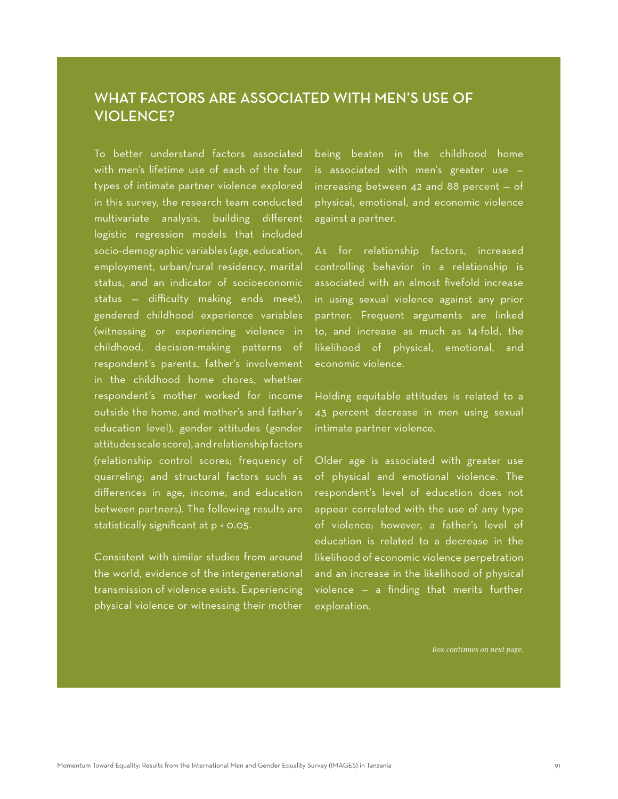## WHAT FACTORS ARE ASSOCIATED WITH MEN'S USE OF VIOLENCE?

To better understand factors associated with men's lifetime use of each of the four types of intimate partner violence explored in this survey, the research team conducted multivariate analysis, building different logistic regression models that included socio-demographic variables (age, education, employment, urban/rural residency, marital status, and an indicator of socioeconomic status — difficulty making ends meet), gendered childhood experience variables (witnessing or experiencing violence in childhood, decision-making patterns of respondent's parents, father's involvement in the childhood home chores, whether respondent's mother worked for income outside the home, and mother's and father's education level), gender attitudes (gender attitudes scale score), and relationship factors (relationship control scores; frequency of quarreling; and structural factors such as differences in age, income, and education between partners). The following results are statistically significant at p < 0.05.

Consistent with similar studies from around the world, evidence of the intergenerational transmission of violence exists. Experiencing physical violence or witnessing their mother being beaten in the childhood home is associated with men's greater use increasing between 42 and 88 percent — of physical, emotional, and economic violence against a partner.

As for relationship factors, increased controlling behavior in a relationship is associated with an almost fivefold increase in using sexual violence against any prior partner. Frequent arguments are linked to, and increase as much as 14-fold, the likelihood of physical, emotional, and economic violence.

Holding equitable attitudes is related to a 43 percent decrease in men using sexual intimate partner violence.

Older age is associated with greater use of physical and emotional violence. The respondent's level of education does not appear correlated with the use of any type of violence; however, a father's level of education is related to a decrease in the likelihood of economic violence perpetration and an increase in the likelihood of physical violence — a finding that merits further exploration.

Box continues on next page.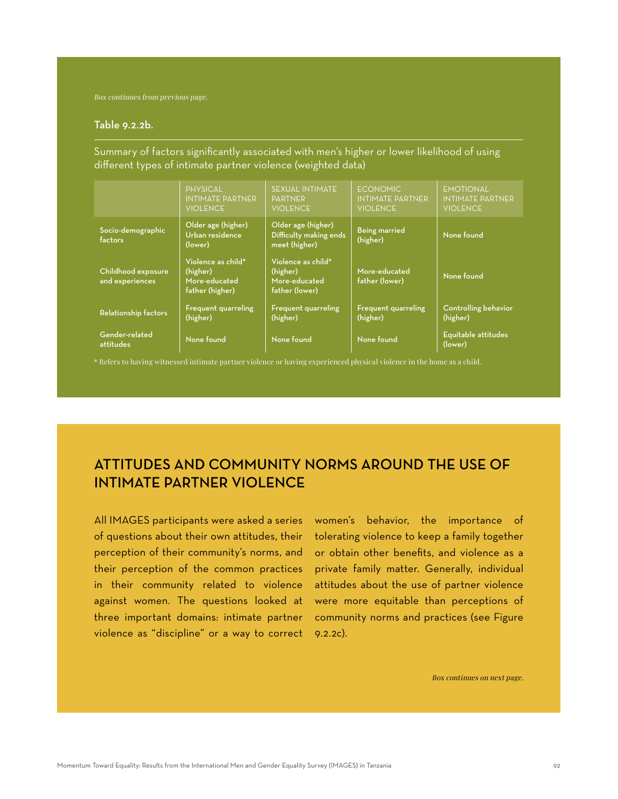Box continues from previous page.

#### Table 9.2.2b.

Summary of factors significantly associated with men's higher or lower likelihood of using different types of intimate partner violence (weighted data)

|                                       | <b>PHYSICAL</b><br><b>INTIMATE PARTNER</b><br><b>VIOLENCE</b>      | <b>SEXUAL INTIMATE</b><br><b>PARTNER</b><br><b>VIOLENCE</b>       | <b>ECONOMIC</b><br><b>INTIMATE PARTNER</b><br><b>VIOLENCE</b> | <b>EMOTIONAL</b><br><b>INTIMATE PARTNER</b><br><b>VIOLENCE</b> |
|---------------------------------------|--------------------------------------------------------------------|-------------------------------------------------------------------|---------------------------------------------------------------|----------------------------------------------------------------|
| Socio-demographic<br>factors          | Older age (higher)<br>Urban residence<br>(lower)                   | Older age (higher)<br>Difficulty making ends<br>meet (higher)     | <b>Being married</b><br>(higher)                              | None found                                                     |
| Childhood exposure<br>and experiences | Violence as child*<br>(higher)<br>More-educated<br>father (higher) | Violence as child*<br>(higher)<br>More-educated<br>father (lower) | More-educated<br>father (lower)                               | None found                                                     |
| Relationship factors                  | <b>Frequent quarreling</b><br>(higher)                             | <b>Frequent quarreling</b><br>(higher)                            | <b>Frequent quarreling</b><br>(higher)                        | <b>Controlling behavior</b><br>(higher)                        |
| Gender-related<br>attitudes           | None found                                                         | None found                                                        | None found                                                    | Equitable attitudes<br>(lower)                                 |

\* Refers to having witnessed intimate partner violence or having experienced physical violence in the home as a child.

# ATTITUDES AND COMMUNITY NORMS AROUND THE USE OF INTIMATE PARTNER VIOLENCE

All IMAGES participants were asked a series of questions about their own attitudes, their perception of their community's norms, and their perception of the common practices in their community related to violence against women. The questions looked at three important domains: intimate partner violence as "discipline" or a way to correct

women's behavior, the importance of tolerating violence to keep a family together or obtain other benefits, and violence as a private family matter. Generally, individual attitudes about the use of partner violence were more equitable than perceptions of community norms and practices (see Figure 9.2.2c).

Box continues on next page.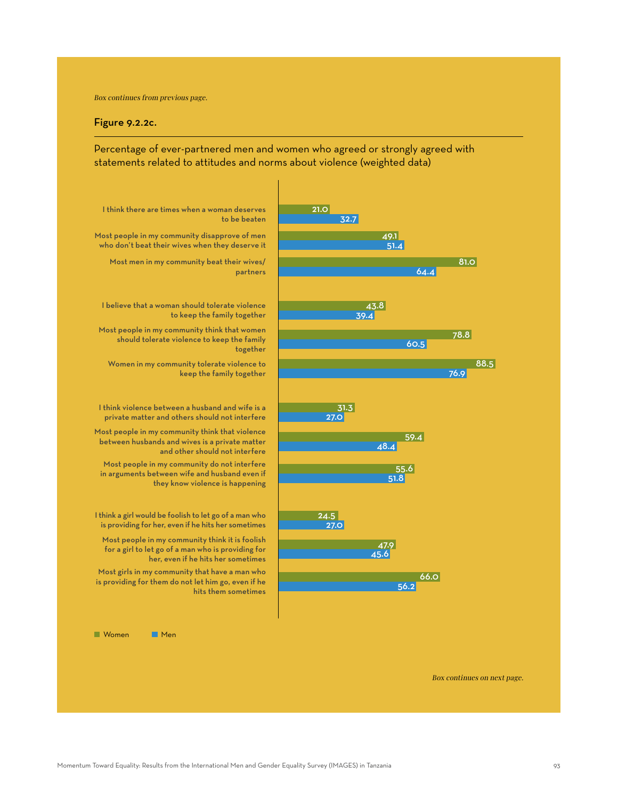Box continues from previous page.

#### Figure 9.2.2c.

Percentage of ever-partnered men and women who agreed or strongly agreed with statements related to attitudes and norms about violence (weighted data)



Box continues on next page.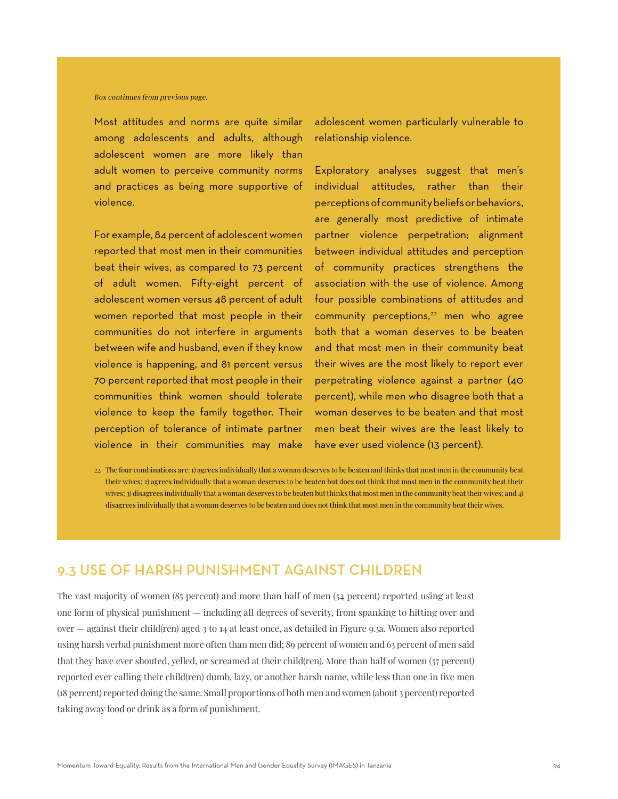#### Box continues from previous page.

Most attitudes and norms are quite similar among adolescents and adults, although adolescent women are more likely than adult women to perceive community norms and practices as being more supportive of violence.

For example, 84 percent of adolescent women reported that most men in their communities beat their wives, as compared to 73 percent of adult women. Fifty-eight percent of adolescent women versus 48 percent of adult women reported that most people in their communities do not interfere in arguments between wife and husband, even if they know violence is happening, and 81 percent versus 70 percent reported that most people in their communities think women should tolerate violence to keep the family together. Their perception of tolerance of intimate partner violence in their communities may make

adolescent women particularly vulnerable to relationship violence.

Exploratory analyses suggest that men's individual attitudes, rather than their perceptions of community beliefs or behaviors, are generally most predictive of intimate partner violence perpetration; alignment between individual attitudes and perception of community practices strengthens the association with the use of violence. Among four possible combinations of attitudes and community perceptions, $22$  men who agree both that a woman deserves to be beaten and that most men in their community beat their wives are the most likely to report ever perpetrating violence against a partner (40 percent), while men who disagree both that a woman deserves to be beaten and that most men beat their wives are the least likely to have ever used violence (13 percent).

22 The four combinations are: 1) agrees individually that a woman deserves to be beaten and thinks that most men in the community beat their wives; 2) agrees individually that a woman deserves to be beaten but does not think that most men in the community beat their wives; 3) disagrees individually that a woman deserves to be beaten but thinks that most men in the community beat their wives; and 4) disagrees individually that a woman deserves to be beaten and does not think that most men in the community beat their wives.

## 9.3 USE OF HARSH PUNISHMENT AGAINST CHILDREN

The vast majority of women (85 percent) and more than half of men (54 percent) reported using at least one form of physical punishment — including all degrees of severity, from spanking to hitting over and over — against their child(ren) aged 3 to 14 at least once, as detailed in Figure 9.3a. Women also reported using harsh verbal punishment more often than men did; 89 percent of women and 63 percent of men said that they have ever shouted, yelled, or screamed at their child(ren). More than half of women (57 percent) reported ever calling their child(ren) dumb, lazy, or another harsh name, while less than one in five men (18 percent) reported doing the same. Small proportions of both men and women (about 3 percent) reported taking away food or drink as a form of punishment.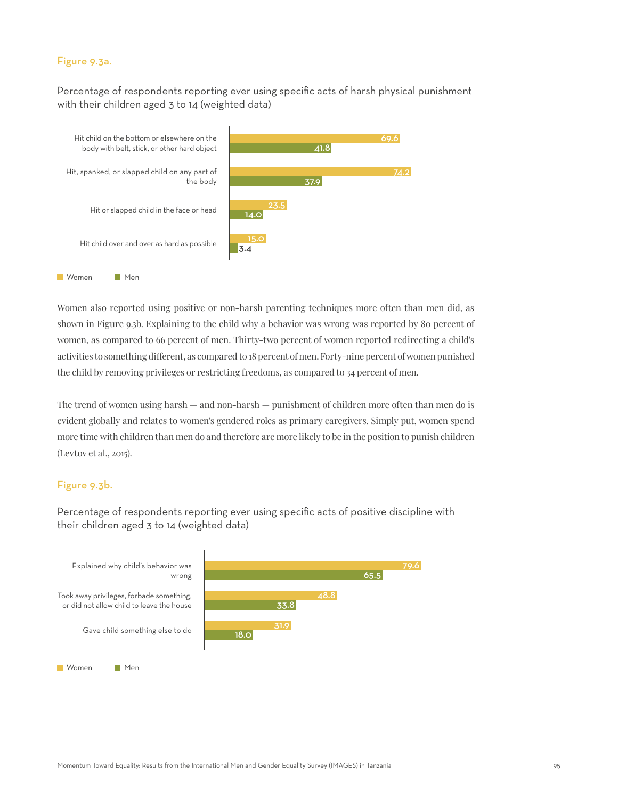#### Figure 9.3a.

Percentage of respondents reporting ever using specific acts of harsh physical punishment with their children aged 3 to 14 (weighted data)



Women also reported using positive or non-harsh parenting techniques more often than men did, as shown in Figure 9.3b. Explaining to the child why a behavior was wrong was reported by 80 percent of women, as compared to 66 percent of men. Thirty-two percent of women reported redirecting a child's activities to something different, as compared to 18 percent of men. Forty-nine percent of women punished the child by removing privileges or restricting freedoms, as compared to 34 percent of men.

The trend of women using harsh — and non-harsh — punishment of children more often than men do is evident globally and relates to women's gendered roles as primary caregivers. Simply put, women spend more time with children than men do and therefore are more likely to be in the position to punish children (Levtov et al., 2015).

## Figure 9.3b.



Percentage of respondents reporting ever using specific acts of positive discipline with their children aged 3 to 14 (weighted data)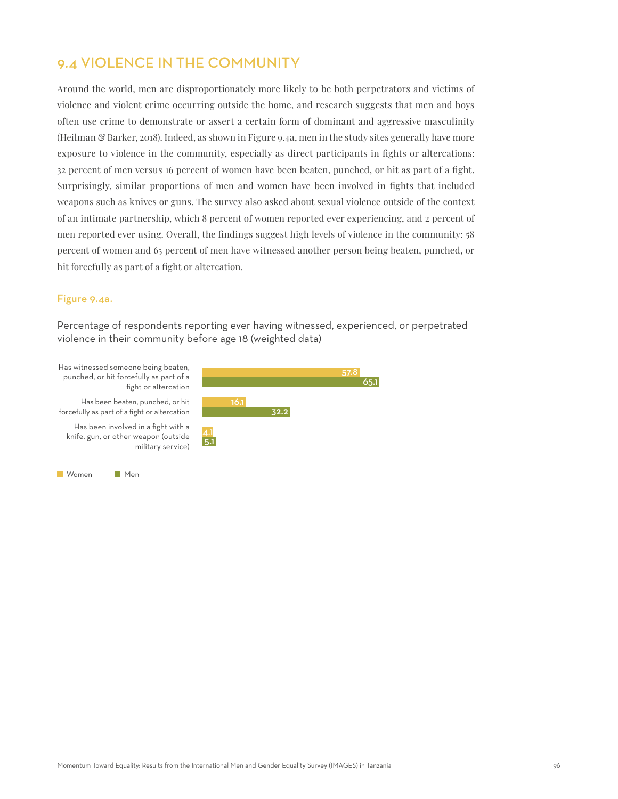# 9.4 VIOLENCE IN THE COMMUNITY

Around the world, men are disproportionately more likely to be both perpetrators and victims of violence and violent crime occurring outside the home, and research suggests that men and boys often use crime to demonstrate or assert a certain form of dominant and aggressive masculinity (Heilman & Barker, 2018). Indeed, as shown in Figure 9.4a, men in the study sites generally have more exposure to violence in the community, especially as direct participants in fights or altercations: 32 percent of men versus 16 percent of women have been beaten, punched, or hit as part of a fight. Surprisingly, similar proportions of men and women have been involved in fights that included weapons such as knives or guns. The survey also asked about sexual violence outside of the context of an intimate partnership, which 8 percent of women reported ever experiencing, and 2 percent of men reported ever using. Overall, the findings suggest high levels of violence in the community: 58 percent of women and 65 percent of men have witnessed another person being beaten, punched, or hit forcefully as part of a fight or altercation.

## Figure 9.4a.

Percentage of respondents reporting ever having witnessed, experienced, or perpetrated violence in their community before age 18 (weighted data)

Has witnessed someone being beaten, punched, or hit forcefully as part of a fight or altercation

Has been beaten, punched, or hit forcefully as part of a fight or altercation

Has been involved in a fight with a knife, gun, or other weapon (outside military service)



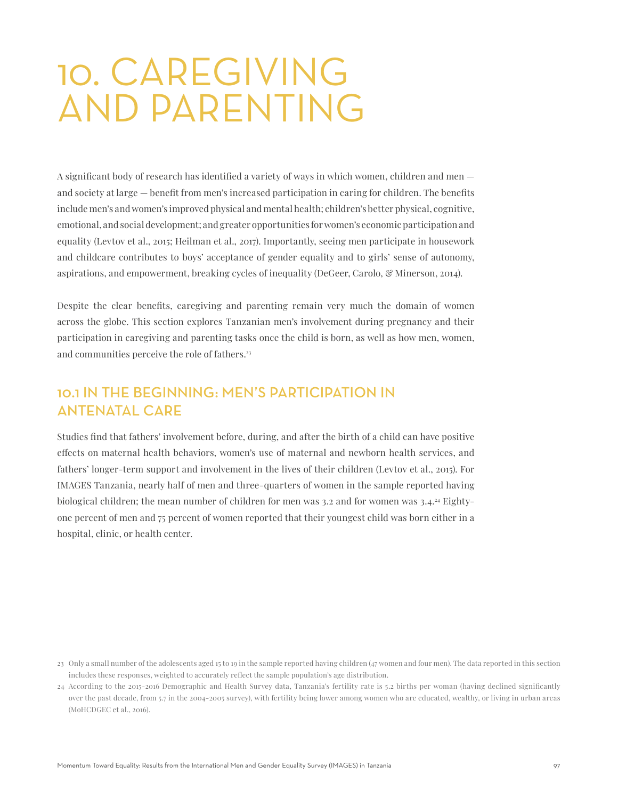# 10. CAREGIVING AND PARENTING

A significant body of research has identified a variety of ways in which women, children and men and society at large — benefit from men's increased participation in caring for children. The benefits include men's and women's improved physical and mental health; children's better physical, cognitive, emotional, and social development; and greater opportunities for women's economic participation and equality (Levtov et al., 2015; Heilman et al., 2017). Importantly, seeing men participate in housework and childcare contributes to boys' acceptance of gender equality and to girls' sense of autonomy, aspirations, and empowerment, breaking cycles of inequality (DeGeer, Carolo, & Minerson, 2014).

Despite the clear benefits, caregiving and parenting remain very much the domain of women across the globe. This section explores Tanzanian men's involvement during pregnancy and their participation in caregiving and parenting tasks once the child is born, as well as how men, women, and communities perceive the role of fathers.<sup>23</sup>

## 10.1 IN THE BEGINNING: MEN'S PARTICIPATION IN ANTENATAL CARE

Studies find that fathers' involvement before, during, and after the birth of a child can have positive effects on maternal health behaviors, women's use of maternal and newborn health services, and fathers' longer-term support and involvement in the lives of their children (Levtov et al., 2015). For IMAGES Tanzania, nearly half of men and three-quarters of women in the sample reported having biological children; the mean number of children for men was 3.2 and for women was 3.4.24 Eightyone percent of men and 75 percent of women reported that their youngest child was born either in a hospital, clinic, or health center.

<sup>23</sup> Only a small number of the adolescents aged 15 to 19 in the sample reported having children (47 women and four men). The data reported in this section includes these responses, weighted to accurately reflect the sample population's age distribution.

<sup>24</sup> According to the 2015-2016 Demographic and Health Survey data, Tanzania's fertility rate is 5.2 births per woman (having declined significantly over the past decade, from 5.7 in the 2004-2005 survey), with fertility being lower among women who are educated, wealthy, or living in urban areas (MoHCDGEC et al., 2016).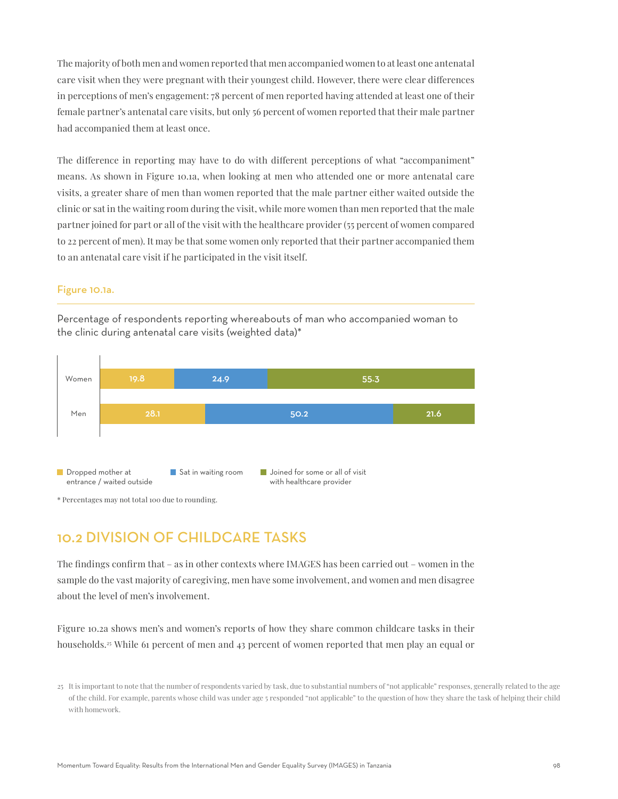The majority of both men and women reported that men accompanied women to at least one antenatal care visit when they were pregnant with their youngest child. However, there were clear differences in perceptions of men's engagement: 78 percent of men reported having attended at least one of their female partner's antenatal care visits, but only 56 percent of women reported that their male partner had accompanied them at least once.

The difference in reporting may have to do with different perceptions of what "accompaniment" means. As shown in Figure 10.1a, when looking at men who attended one or more antenatal care visits, a greater share of men than women reported that the male partner either waited outside the clinic or sat in the waiting room during the visit, while more women than men reported that the male partner joined for part or all of the visit with the healthcare provider (55 percent of women compared to 22 percent of men). It may be that some women only reported that their partner accompanied them to an antenatal care visit if he participated in the visit itself.

## Figure 10.1a.

Percentage of respondents reporting whereabouts of man who accompanied woman to the clinic during antenatal care visits (weighted data)\*



\* Percentages may not total 100 due to rounding.

## 10.2 DIVISION OF CHILDCARE TASKS

The findings confirm that – as in other contexts where IMAGES has been carried out – women in the sample do the vast majority of caregiving, men have some involvement, and women and men disagree about the level of men's involvement.

Figure 10.2a shows men's and women's reports of how they share common childcare tasks in their households.<sup>25</sup> While 61 percent of men and 43 percent of women reported that men play an equal or

<sup>25</sup> It is important to note that the number of respondents varied by task, due to substantial numbers of "not applicable" responses, generally related to the age of the child. For example, parents whose child was under age 5 responded "not applicable" to the question of how they share the task of helping their child with homework.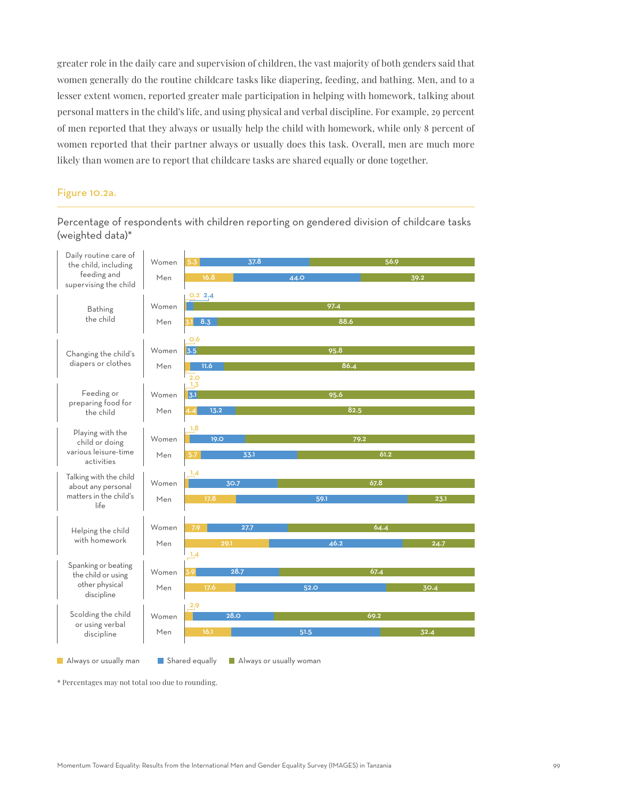greater role in the daily care and supervision of children, the vast majority of both genders said that women generally do the routine childcare tasks like diapering, feeding, and bathing. Men, and to a lesser extent women, reported greater male participation in helping with homework, talking about personal matters in the child's life, and using physical and verbal discipline. For example, 29 percent of men reported that they always or usually help the child with homework, while only 8 percent of women reported that their partner always or usually does this task. Overall, men are much more likely than women are to report that childcare tasks are shared equally or done together.

#### Figure 10.2a.

Percentage of respondents with children reporting on gendered division of childcare tasks (weighted data)\*



\* Percentages may not total 100 due to rounding.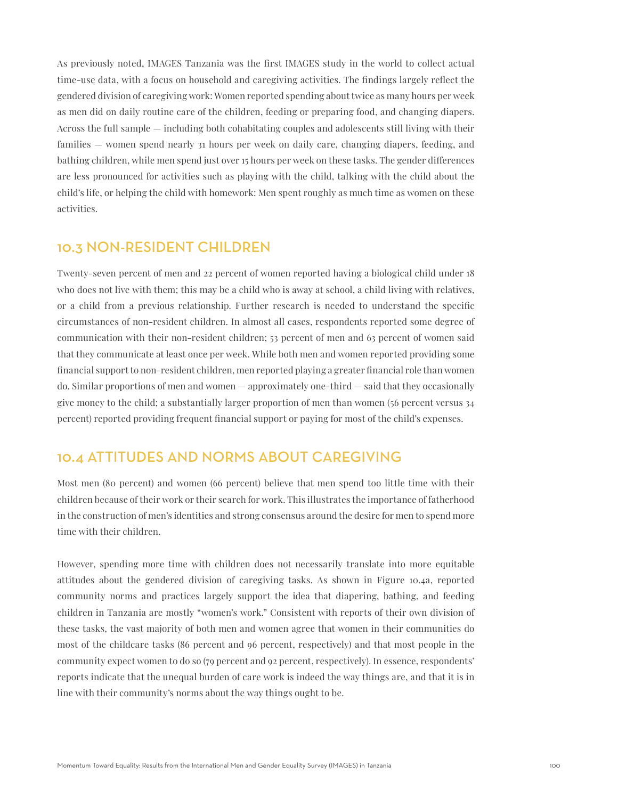As previously noted, IMAGES Tanzania was the first IMAGES study in the world to collect actual time-use data, with a focus on household and caregiving activities. The findings largely reflect the gendered division of caregiving work: Women reported spending about twice as many hours per week as men did on daily routine care of the children, feeding or preparing food, and changing diapers. Across the full sample — including both cohabitating couples and adolescents still living with their families — women spend nearly 31 hours per week on daily care, changing diapers, feeding, and bathing children, while men spend just over 15 hours per week on these tasks. The gender differences are less pronounced for activities such as playing with the child, talking with the child about the child's life, or helping the child with homework: Men spent roughly as much time as women on these activities.

## 10.3 NON-RESIDENT CHILDREN

Twenty-seven percent of men and 22 percent of women reported having a biological child under 18 who does not live with them; this may be a child who is away at school, a child living with relatives, or a child from a previous relationship. Further research is needed to understand the specific circumstances of non-resident children. In almost all cases, respondents reported some degree of communication with their non-resident children; 53 percent of men and 63 percent of women said that they communicate at least once per week. While both men and women reported providing some financial support to non-resident children, men reported playing a greater financial role than women do. Similar proportions of men and women — approximately one-third — said that they occasionally give money to the child; a substantially larger proportion of men than women (56 percent versus 34 percent) reported providing frequent financial support or paying for most of the child's expenses.

## 10.4 ATTITUDES AND NORMS ABOUT CAREGIVING

Most men (80 percent) and women (66 percent) believe that men spend too little time with their children because of their work or their search for work. This illustrates the importance of fatherhood in the construction of men's identities and strong consensus around the desire for men to spend more time with their children.

However, spending more time with children does not necessarily translate into more equitable attitudes about the gendered division of caregiving tasks. As shown in Figure 10.4a, reported community norms and practices largely support the idea that diapering, bathing, and feeding children in Tanzania are mostly "women's work." Consistent with reports of their own division of these tasks, the vast majority of both men and women agree that women in their communities do most of the childcare tasks (86 percent and 96 percent, respectively) and that most people in the community expect women to do so (79 percent and 92 percent, respectively). In essence, respondents' reports indicate that the unequal burden of care work is indeed the way things are, and that it is in line with their community's norms about the way things ought to be.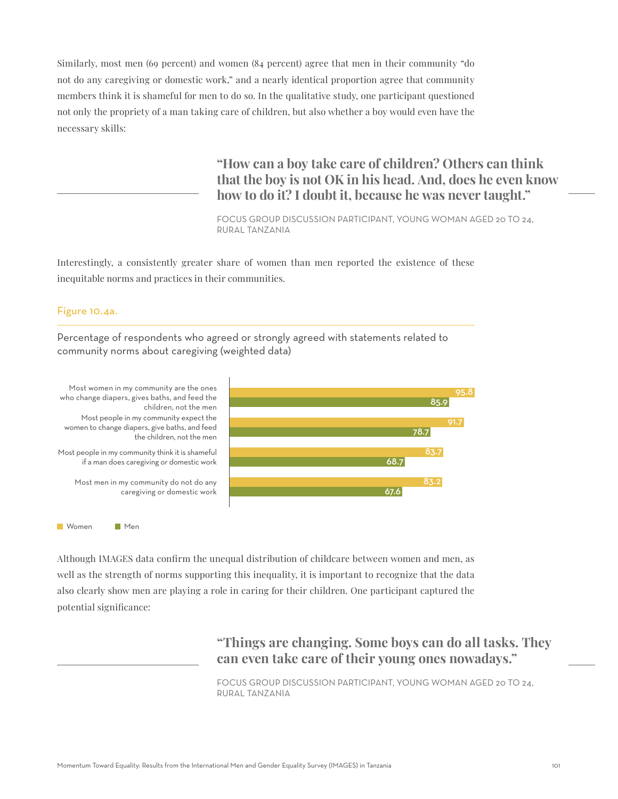Similarly, most men (69 percent) and women (84 percent) agree that men in their community "do not do any caregiving or domestic work," and a nearly identical proportion agree that community members think it is shameful for men to do so. In the qualitative study, one participant questioned not only the propriety of a man taking care of children, but also whether a boy would even have the necessary skills:

> **"How can a boy take care of children? Others can think that the boy is not OK in his head. And, does he even know how to do it? I doubt it, because he was never taught."**

FOCUS GROUP DISCUSSION PARTICIPANT, YOUNG WOMAN AGED 20 TO 24, RURAL TANZANIA

Interestingly, a consistently greater share of women than men reported the existence of these inequitable norms and practices in their communities.

#### Figure 10.4a.

Percentage of respondents who agreed or strongly agreed with statements related to community norms about caregiving (weighted data)



Although IMAGES data confirm the unequal distribution of childcare between women and men, as well as the strength of norms supporting this inequality, it is important to recognize that the data also clearly show men are playing a role in caring for their children. One participant captured the potential significance:

> **"Things are changing. Some boys can do all tasks. They can even take care of their young ones nowadays."**

FOCUS GROUP DISCUSSION PARTICIPANT, YOUNG WOMAN AGED 20 TO 24, RURAL TANZANIA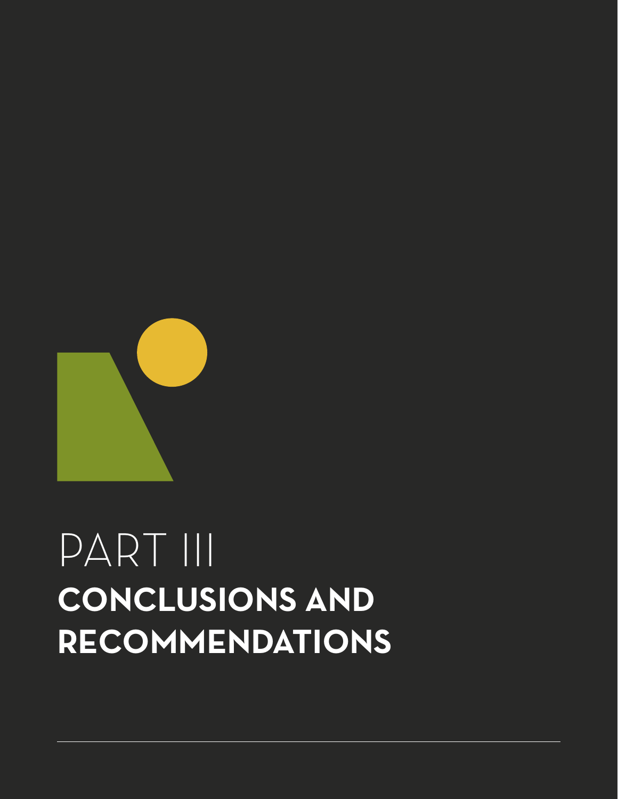

# PART III **CONCLUSIONS AND RECOMMENDATIONS**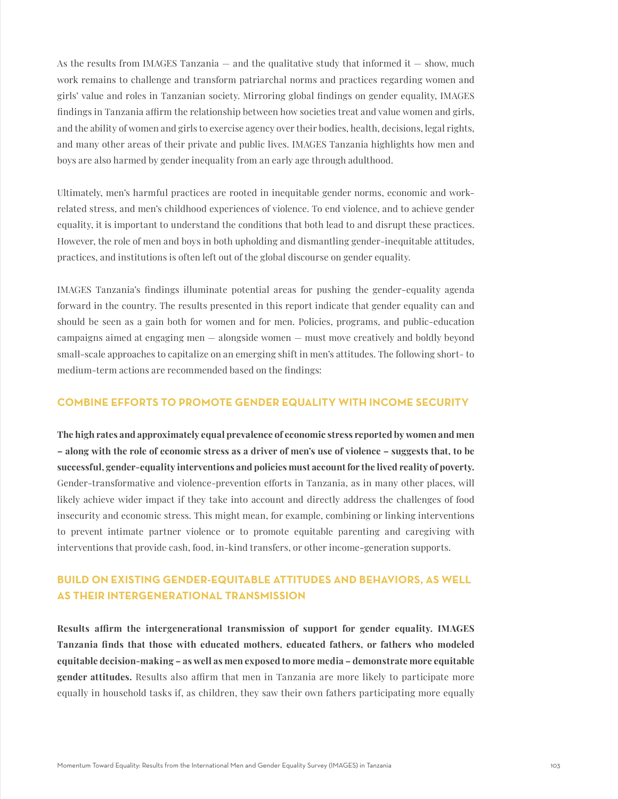As the results from IMAGES Tanzania  $-$  and the qualitative study that informed it  $-$  show, much work remains to challenge and transform patriarchal norms and practices regarding women and girls' value and roles in Tanzanian society. Mirroring global findings on gender equality, IMAGES findings in Tanzania affirm the relationship between how societies treat and value women and girls, and the ability of women and girls to exercise agency over their bodies, health, decisions, legal rights, and many other areas of their private and public lives. IMAGES Tanzania highlights how men and boys are also harmed by gender inequality from an early age through adulthood.

Ultimately, men's harmful practices are rooted in inequitable gender norms, economic and workrelated stress, and men's childhood experiences of violence. To end violence, and to achieve gender equality, it is important to understand the conditions that both lead to and disrupt these practices. However, the role of men and boys in both upholding and dismantling gender-inequitable attitudes, practices, and institutions is often left out of the global discourse on gender equality.

IMAGES Tanzania's findings illuminate potential areas for pushing the gender-equality agenda forward in the country. The results presented in this report indicate that gender equality can and should be seen as a gain both for women and for men. Policies, programs, and public-education campaigns aimed at engaging men — alongside women — must move creatively and boldly beyond small-scale approaches to capitalize on an emerging shift in men's attitudes. The following short- to medium-term actions are recommended based on the findings:

### **COMBINE EFFORTS TO PROMOTE GENDER EQUALITY WITH INCOME SECURITY**

**The high rates and approximately equal prevalence of economic stress reported by women and men – along with the role of economic stress as a driver of men's use of violence – suggests that, to be successful, gender-equality interventions and policies must account for the lived reality of poverty.** Gender-transformative and violence-prevention efforts in Tanzania, as in many other places, will likely achieve wider impact if they take into account and directly address the challenges of food insecurity and economic stress. This might mean, for example, combining or linking interventions to prevent intimate partner violence or to promote equitable parenting and caregiving with interventions that provide cash, food, in-kind transfers, or other income-generation supports.

## **BUILD ON EXISTING GENDER-EQUITABLE ATTITUDES AND BEHAVIORS, AS WELL AS THEIR INTERGENERATIONAL TRANSMISSION**

**Results affirm the intergenerational transmission of support for gender equality. IMAGES Tanzania finds that those with educated mothers, educated fathers, or fathers who modeled equitable decision-making – as well as men exposed to more media – demonstrate more equitable gender attitudes.** Results also affirm that men in Tanzania are more likely to participate more equally in household tasks if, as children, they saw their own fathers participating more equally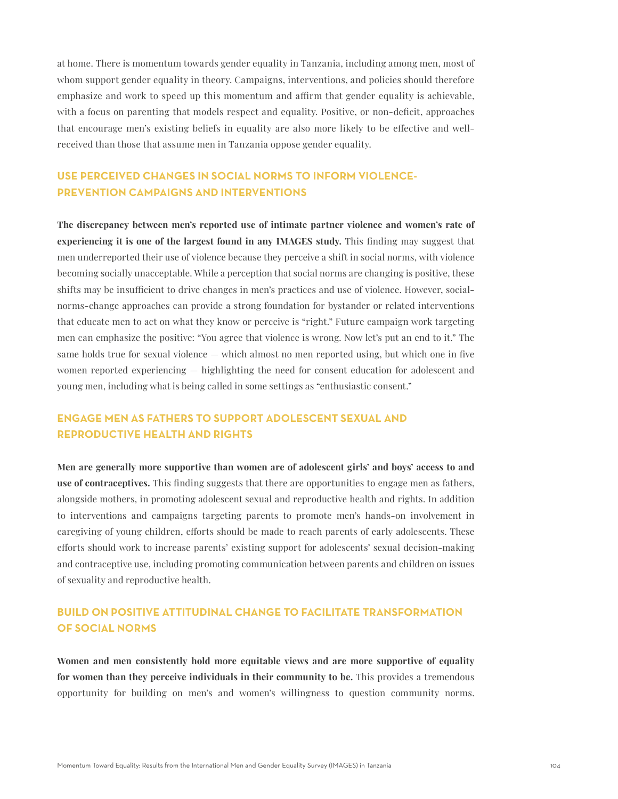at home. There is momentum towards gender equality in Tanzania, including among men, most of whom support gender equality in theory. Campaigns, interventions, and policies should therefore emphasize and work to speed up this momentum and affirm that gender equality is achievable, with a focus on parenting that models respect and equality. Positive, or non-deficit, approaches that encourage men's existing beliefs in equality are also more likely to be effective and wellreceived than those that assume men in Tanzania oppose gender equality.

## **USE PERCEIVED CHANGES IN SOCIAL NORMS TO INFORM VIOLENCE-PREVENTION CAMPAIGNS AND INTERVENTIONS**

**The discrepancy between men's reported use of intimate partner violence and women's rate of experiencing it is one of the largest found in any IMAGES study.** This finding may suggest that men underreported their use of violence because they perceive a shift in social norms, with violence becoming socially unacceptable. While a perception that social norms are changing is positive, these shifts may be insufficient to drive changes in men's practices and use of violence. However, socialnorms-change approaches can provide a strong foundation for bystander or related interventions that educate men to act on what they know or perceive is "right." Future campaign work targeting men can emphasize the positive: "You agree that violence is wrong. Now let's put an end to it." The same holds true for sexual violence — which almost no men reported using, but which one in five women reported experiencing — highlighting the need for consent education for adolescent and young men, including what is being called in some settings as "enthusiastic consent."

## **ENGAGE MEN AS FATHERS TO SUPPORT ADOLESCENT SEXUAL AND REPRODUCTIVE HEALTH AND RIGHTS**

**Men are generally more supportive than women are of adolescent girls' and boys' access to and use of contraceptives.** This finding suggests that there are opportunities to engage men as fathers, alongside mothers, in promoting adolescent sexual and reproductive health and rights. In addition to interventions and campaigns targeting parents to promote men's hands-on involvement in caregiving of young children, efforts should be made to reach parents of early adolescents. These efforts should work to increase parents' existing support for adolescents' sexual decision-making and contraceptive use, including promoting communication between parents and children on issues of sexuality and reproductive health.

## **BUILD ON POSITIVE ATTITUDINAL CHANGE TO FACILITATE TRANSFORMATION OF SOCIAL NORMS**

**Women and men consistently hold more equitable views and are more supportive of equality for women than they perceive individuals in their community to be.** This provides a tremendous opportunity for building on men's and women's willingness to question community norms.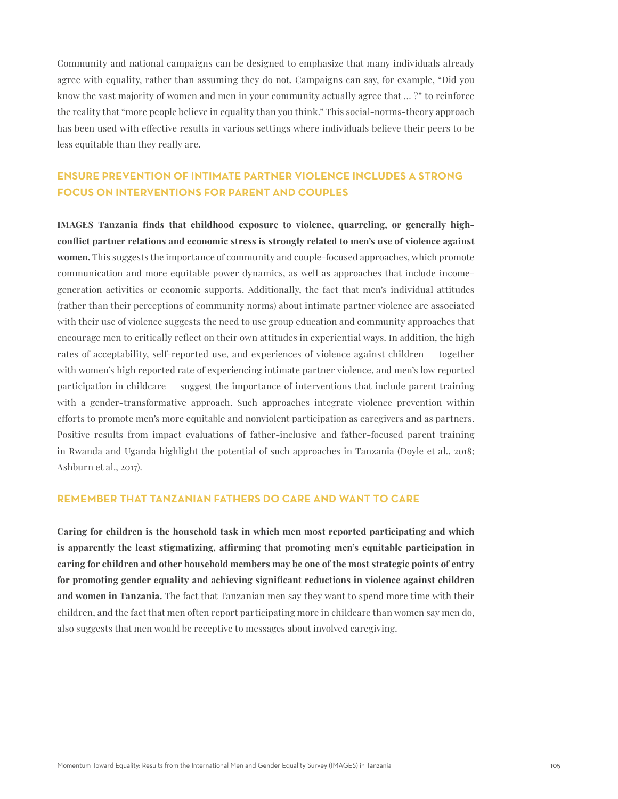Community and national campaigns can be designed to emphasize that many individuals already agree with equality, rather than assuming they do not. Campaigns can say, for example, "Did you know the vast majority of women and men in your community actually agree that … ?" to reinforce the reality that "more people believe in equality than you think." This social-norms-theory approach has been used with effective results in various settings where individuals believe their peers to be less equitable than they really are.

## **ENSURE PREVENTION OF INTIMATE PARTNER VIOLENCE INCLUDES A STRONG FOCUS ON INTERVENTIONS FOR PARENT AND COUPLES**

**IMAGES Tanzania finds that childhood exposure to violence, quarreling, or generally highconflict partner relations and economic stress is strongly related to men's use of violence against women.** This suggests the importance of community and couple-focused approaches, which promote communication and more equitable power dynamics, as well as approaches that include incomegeneration activities or economic supports. Additionally, the fact that men's individual attitudes (rather than their perceptions of community norms) about intimate partner violence are associated with their use of violence suggests the need to use group education and community approaches that encourage men to critically reflect on their own attitudes in experiential ways. In addition, the high rates of acceptability, self-reported use, and experiences of violence against children — together with women's high reported rate of experiencing intimate partner violence, and men's low reported participation in childcare — suggest the importance of interventions that include parent training with a gender-transformative approach. Such approaches integrate violence prevention within efforts to promote men's more equitable and nonviolent participation as caregivers and as partners. Positive results from impact evaluations of father-inclusive and father-focused parent training in Rwanda and Uganda highlight the potential of such approaches in Tanzania (Doyle et al., 2018; Ashburn et al., 2017).

### **REMEMBER THAT TANZANIAN FATHERS DO CARE AND WANT TO CARE**

**Caring for children is the household task in which men most reported participating and which is apparently the least stigmatizing, affirming that promoting men's equitable participation in caring for children and other household members may be one of the most strategic points of entry for promoting gender equality and achieving significant reductions in violence against children and women in Tanzania.** The fact that Tanzanian men say they want to spend more time with their children, and the fact that men often report participating more in childcare than women say men do, also suggests that men would be receptive to messages about involved caregiving.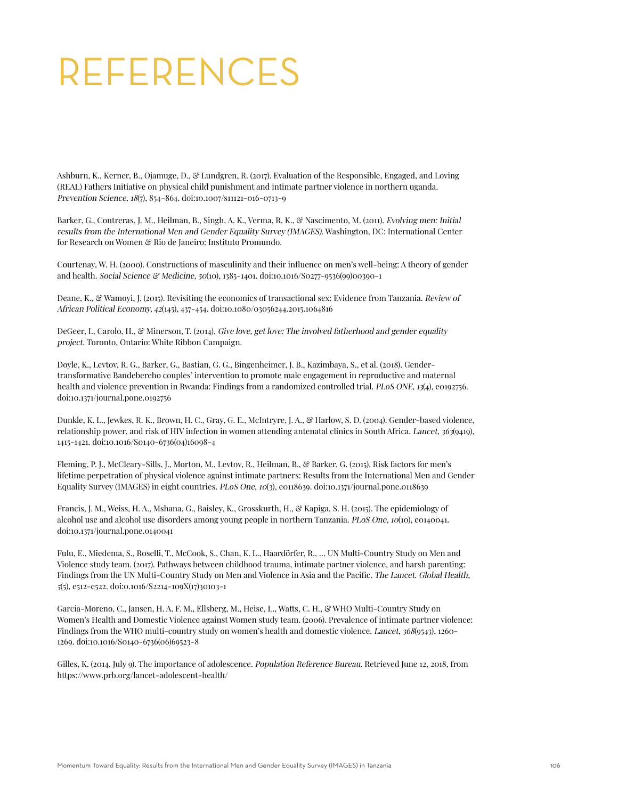# REFERENCES

Ashburn, K., Kerner, B., Ojamuge, D., & Lundgren, R. (2017). Evaluation of the Responsible, Engaged, and Loving (REAL) Fathers Initiative on physical child punishment and intimate partner violence in northern uganda. Prevention Science, 18(7), 854–864. doi:10.1007/s11121-016-0713-9

Barker, G., Contreras, J. M., Heilman, B., Singh, A. K., Verma, R. K., & Nascimento, M. (2011). Evolving men: Initial results from the International Men and Gender Equality Survey (IMAGES). Washington, DC: International Center for Research on Women & Rio de Janeiro: Instituto Promundo.

Courtenay, W. H. (2000). Constructions of masculinity and their influence on men's well-being: A theory of gender and health. Social Science & Medicine, 50(10), 1385-1401. doi:10.1016/S0277-9536(99)00390-1

Deane, K., & Wamoyi, J. (2015). Revisiting the economics of transactional sex: Evidence from Tanzania. Review of African Political Economy, 42(145), 437-454. doi:10.1080/03056244.2015.1064816

DeGeer, I., Carolo, H., & Minerson, T. (2014). Give love, get love: The involved fatherhood and gender equality project. Toronto, Ontario: White Ribbon Campaign.

Doyle, K., Levtov, R. G., Barker, G., Bastian, G. G., Bingenheimer, J. B., Kazimbaya, S., et al. (2018). Gendertransformative Bandebereho couples' intervention to promote male engagement in reproductive and maternal health and violence prevention in Rwanda: Findings from a randomized controlled trial. PLoS ONE, 13(4), e0192756. doi:10.1371/journal.pone.0192756

Dunkle, K. L., Jewkes, R. K., Brown, H. C., Gray, G. E., McIntryre, J. A., & Harlow, S. D. (2004). Gender-based violence, relationship power, and risk of HIV infection in women attending antenatal clinics in South Africa. Lancet, 363(9419), 1415-1421. doi:10.1016/S0140-6736(04)16098-4

Fleming, P. J., McCleary-Sills, J., Morton, M., Levtov, R., Heilman, B., & Barker, G. (2015). Risk factors for men's lifetime perpetration of physical violence against intimate partners: Results from the International Men and Gender Equality Survey (IMAGES) in eight countries. PLoS One, 10(3), e0118639. doi:10.1371/journal.pone.0118639

Francis, J. M., Weiss, H. A., Mshana, G., Baisley, K., Grosskurth, H., & Kapiga, S. H. (2015). The epidemiology of alcohol use and alcohol use disorders among young people in northern Tanzania. PLoS One, 10(10), e0140041. doi:10.1371/journal.pone.0140041

Fulu, E., Miedema, S., Roselli, T., McCook, S., Chan, K. L., Haardörfer, R., … UN Multi-Country Study on Men and Violence study team. (2017). Pathways between childhood trauma, intimate partner violence, and harsh parenting: Findings from the UN Multi-Country Study on Men and Violence in Asia and the Pacific. The Lancet. Global Health, 5(5), e512-e522. doi:0.1016/S2214-109X(17)30103-1

Garcia-Moreno, C., Jansen, H. A. F. M., Ellsberg, M., Heise, L., Watts, C. H., & WHO Multi-Country Study on Women's Health and Domestic Violence against Women study team. (2006). Prevalence of intimate partner violence: Findings from the WHO multi-country study on women's health and domestic violence. Lancet, 368(9543), 1260- 1269. doi:10.1016/S0140-6736(06)69523-8

Gilles, K. (2014, July 9). The importance of adolescence. Population Reference Bureau. Retrieved June 12, 2018, from https://www.prb.org/lancet-adolescent-health/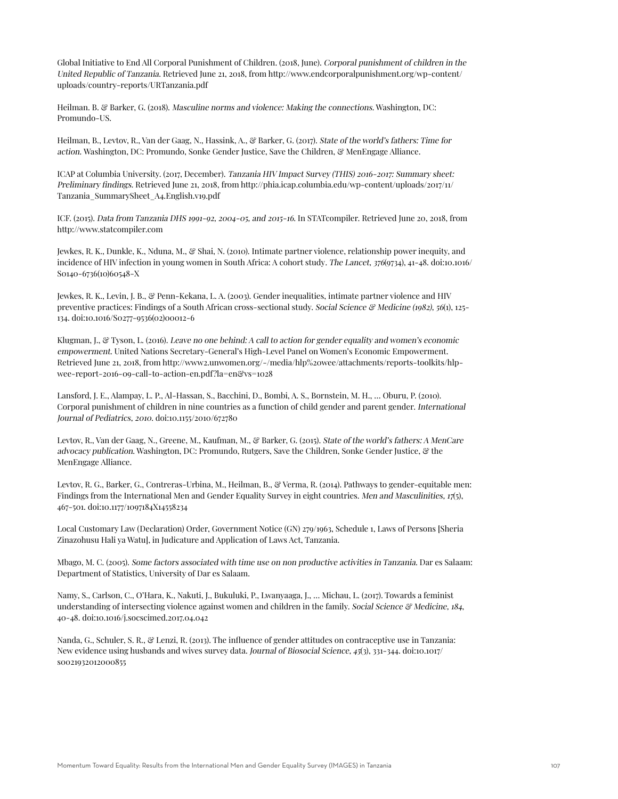Global Initiative to End All Corporal Punishment of Children. (2018, June). Corporal punishment of children in the United Republic of Tanzania. Retrieved June 21, 2018, from http://www.endcorporalpunishment.org/wp-content/ uploads/country-reports/URTanzania.pdf

Heilman. B. & Barker, G. (2018). Masculine norms and violence: Making the connections. Washington, DC: Promundo-US.

Heilman, B., Levtov, R., Van der Gaag, N., Hassink, A., & Barker, G. (2017). State of the world's fathers: Time for action. Washington, DC: Promundo, Sonke Gender Justice, Save the Children, & MenEngage Alliance.

ICAP at Columbia University. (2017, December). Tanzania HIV Impact Survey (THIS) 2016-2017: Summary sheet: Preliminary findings. Retrieved June 21, 2018, from http://phia.icap.columbia.edu/wp-content/uploads/2017/11/ Tanzania\_SummarySheet\_A4.English.v19.pdf

ICF. (2015). Data from Tanzania DHS 1991-92, 2004-05, and 2015-16. In STATcompiler. Retrieved June 20, 2018, from http://www.statcompiler.com

Jewkes, R. K., Dunkle, K., Nduna, M., & Shai, N. (2010). Intimate partner violence, relationship power inequity, and incidence of HIV infection in young women in South Africa: A cohort study. The Lancet, 376(9734), 41-48. doi:10.1016/ S0140-6736(10)60548-X

Jewkes, R. K., Levin, J. B., & Penn-Kekana, L. A. (2003). Gender inequalities, intimate partner violence and HIV preventive practices: Findings of a South African cross-sectional study. Social Science & Medicine (1982), 56(1), 125-134. doi:10.1016/S0277-9536(02)00012-6

Klugman, J., & Tyson, L. (2016). Leave no one behind: A call to action for gender equality and women's economic empowerment. United Nations Secretary-General's High-Level Panel on Women's Economic Empowerment. Retrieved June 21, 2018, from http://www2.unwomen.org/-/media/hlp%20wee/attachments/reports-toolkits/hlpwee-report-2016-09-call-to-action-en.pdf?la=en&vs=1028

Lansford, J. E., Alampay, L. P., Al-Hassan, S., Bacchini, D., Bombi, A. S., Bornstein, M. H., … Oburu, P. (2010). Corporal punishment of children in nine countries as a function of child gender and parent gender. International Journal of Pediatrics, 2010. doi:10.1155/2010/672780

Levtov, R., Van der Gaag, N., Greene, M., Kaufman, M., & Barker, G. (2015). State of the world's fathers: A MenCare advocacy publication. Washington, DC: Promundo, Rutgers, Save the Children, Sonke Gender Justice, & the MenEngage Alliance.

Levtov, R. G., Barker, G., Contreras-Urbina, M., Heilman, B., & Verma, R. (2014). Pathways to gender-equitable men: Findings from the International Men and Gender Equality Survey in eight countries. Men and Masculinities,  $17(5)$ , 467-501. doi:10.1177/1097184X14558234

Local Customary Law (Declaration) Order, Government Notice (GN) 279/1963, Schedule 1, Laws of Persons [Sheria Zinazohusu Hali ya Watu], in Judicature and Application of Laws Act, Tanzania.

Mbago, M. C. (2005). Some factors associated with time use on non productive activities in Tanzania. Dar es Salaam: Department of Statistics, University of Dar es Salaam.

Namy, S., Carlson, C., O'Hara, K., Nakuti, J., Bukuluki, P., Lwanyaaga, J., … Michau, L. (2017). Towards a feminist understanding of intersecting violence against women and children in the family. Social Science  $\mathcal{C}$  Medicine, 184, 40-48. doi:10.1016/j.socscimed.2017.04.042

Nanda, G., Schuler, S. R., & Lenzi, R. (2013). The influence of gender attitudes on contraceptive use in Tanzania: New evidence using husbands and wives survey data. Journal of Biosocial Science, 45(3), 331-344. doi:10.1017/ s0021932012000855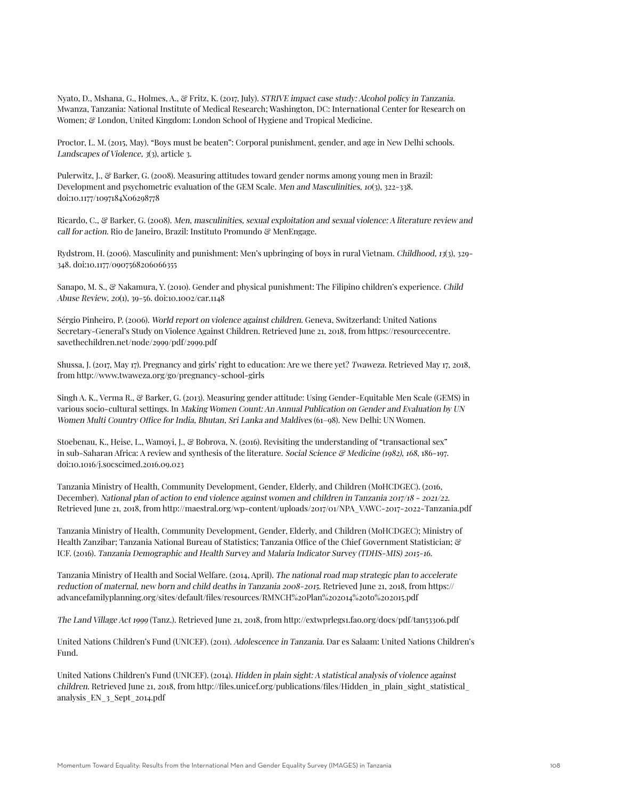Nyato, D., Mshana, G., Holmes, A., & Fritz, K. (2017, July). STRIVE impact case study: Alcohol policy in Tanzania. Mwanza, Tanzania: National Institute of Medical Research; Washington, DC: International Center for Research on Women; & London, United Kingdom: London School of Hygiene and Tropical Medicine.

Proctor, L. M. (2015, May). "Boys must be beaten": Corporal punishment, gender, and age in New Delhi schools. Landscapes of Violence,  $3(3)$ , article 3.

Pulerwitz, J., & Barker, G. (2008). Measuring attitudes toward gender norms among young men in Brazil: Development and psychometric evaluation of the GEM Scale. Men and Masculinities, 10(3), 322-338. doi:10.1177/1097184X06298778

Ricardo, C., & Barker, G. (2008). Men, masculinities, sexual exploitation and sexual violence: A literature review and call for action. Rio de Janeiro, Brazil: Instituto Promundo & MenEngage.

Rydstrom, H. (2006). Masculinity and punishment: Men's upbringing of boys in rural Vietnam. Childhood, 13(3), 329- 348. doi:10.1177/0907568206066355

Sanapo, M. S., & Nakamura, Y. (2010). Gender and physical punishment: The Filipino children's experience. Child Abuse Review, 20(1), 39-56. doi:10.1002/car.1148

Sérgio Pinheiro, P. (2006). World report on violence against children. Geneva, Switzerland: United Nations Secretary-General's Study on Violence Against Children. Retrieved June 21, 2018, from https://resourcecentre. savethechildren.net/node/2999/pdf/2999.pdf

Shussa, J. (2017, May 17). Pregnancy and girls' right to education: Are we there yet? Twaweza. Retrieved May 17, 2018, from http://www.twaweza.org/go/pregnancy-school-girls

Singh A. K., Verma R., & Barker, G. (2013). Measuring gender attitude: Using Gender-Equitable Men Scale (GEMS) in various socio-cultural settings. In Making Women Count: An Annual Publication on Gender and Evaluation by UN Women Multi Country Office for India, Bhutan, Sri Lanka and Maldives (61–98). New Delhi: UN Women.

Stoebenau, K., Heise, L., Wamoyi, J., & Bobrova, N. (2016). Revisiting the understanding of "transactional sex" in sub-Saharan Africa: A review and synthesis of the literature. Social Science  $\mathcal{C}$  Medicine (1982), 168, 186-197. doi:10.1016/j.socscimed.2016.09.023

Tanzania Ministry of Health, Community Development, Gender, Elderly, and Children (MoHCDGEC). (2016, December). National plan of action to end violence against women and children in Tanzania 2017/18 - 2021/22. Retrieved June 21, 2018, from http://maestral.org/wp-content/uploads/2017/01/NPA\_VAWC-2017-2022-Tanzania.pdf

Tanzania Ministry of Health, Community Development, Gender, Elderly, and Children (MoHCDGEC); Ministry of Health Zanzibar; Tanzania National Bureau of Statistics; Tanzania Office of the Chief Government Statistician; & ICF. (2016). Tanzania Demographic and Health Survey and Malaria Indicator Survey (TDHS-MIS) 2015-16.

Tanzania Ministry of Health and Social Welfare. (2014, April). The national road map strategic plan to accelerate reduction of maternal, new born and child deaths in Tanzania 2008-2015. Retrieved June 21, 2018, from https:// advancefamilyplanning.org/sites/default/files/resources/RMNCH%20Plan%202014%20to%202015.pdf

The Land Village Act 1999 (Tanz.). Retrieved June 21, 2018, from http://extwprlegs1.fao.org/docs/pdf/tan53306.pdf

United Nations Children's Fund (UNICEF). (2011). Adolescence in Tanzania. Dar es Salaam: United Nations Children's Fund.

United Nations Children's Fund (UNICEF). (2014). Hidden in plain sight: A statistical analysis of violence against children. Retrieved June 21, 2018, from http://files.unicef.org/publications/files/Hidden\_in\_plain\_sight\_statistical\_ analysis\_EN\_3\_Sept\_2014.pdf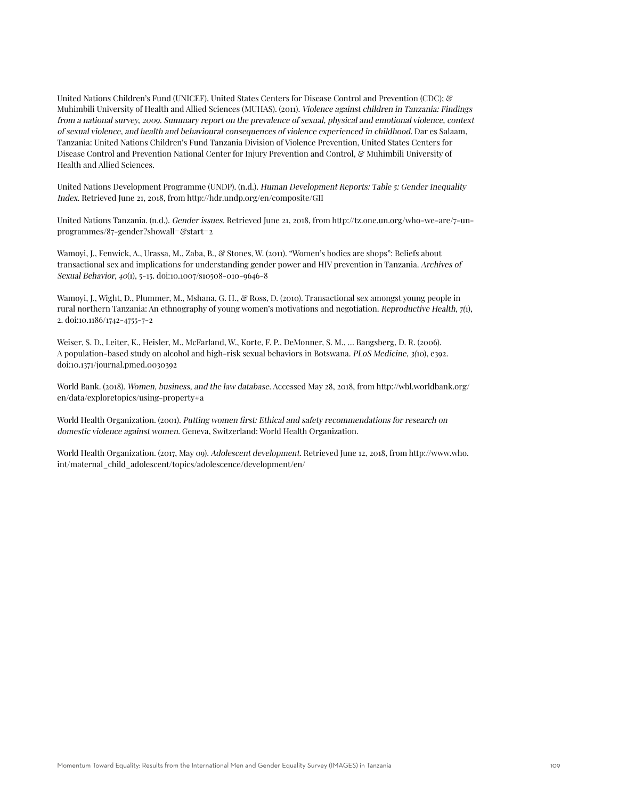United Nations Children's Fund (UNICEF), United States Centers for Disease Control and Prevention (CDC); & Muhimbili University of Health and Allied Sciences (MUHAS). (2011). Violence against children in Tanzania: Findings from a national survey, 2009. Summary report on the prevalence of sexual, physical and emotional violence, context of sexual violence, and health and behavioural consequences of violence experienced in childhood. Dar es Salaam, Tanzania: United Nations Children's Fund Tanzania Division of Violence Prevention, United States Centers for Disease Control and Prevention National Center for Injury Prevention and Control, & Muhimbili University of Health and Allied Sciences.

United Nations Development Programme (UNDP). (n.d.). Human Development Reports: Table 5: Gender Inequality Index. Retrieved June 21, 2018, from http://hdr.undp.org/en/composite/GII

United Nations Tanzania. (n.d.). Gender issues. Retrieved June 21, 2018, from http://tz.one.un.org/who-we-are/7-unprogrammes/87-gender?showall=&start=2

Wamoyi, J., Fenwick, A., Urassa, M., Zaba, B., & Stones, W. (2011). "Women's bodies are shops": Beliefs about transactional sex and implications for understanding gender power and HIV prevention in Tanzania. Archives of Sexual Behavior, 40(1), 5-15. doi:10.1007/s10508-010-9646-8

Wamoyi, J., Wight, D., Plummer, M., Mshana, G. H., & Ross, D. (2010). Transactional sex amongst young people in rural northern Tanzania: An ethnography of young women's motivations and negotiation. Reproductive Health, 7(1), 2. doi:10.1186/1742-4755-7-2

Weiser, S. D., Leiter, K., Heisler, M., McFarland, W., Korte, F. P., DeMonner, S. M., … Bangsberg, D. R. (2006). A population-based study on alcohol and high-risk sexual behaviors in Botswana. PLoS Medicine, 3(10), e392. doi:10.1371/journal.pmed.0030392

World Bank. (2018). Women, business, and the law database. Accessed May 28, 2018, from http://wbl.worldbank.org/ en/data/exploretopics/using-property#a

World Health Organization. (2001). Putting women first: Ethical and safety recommendations for research on domestic violence against women. Geneva, Switzerland: World Health Organization.

World Health Organization. (2017, May 09). Adolescent development. Retrieved June 12, 2018, from http://www.who. int/maternal\_child\_adolescent/topics/adolescence/development/en/